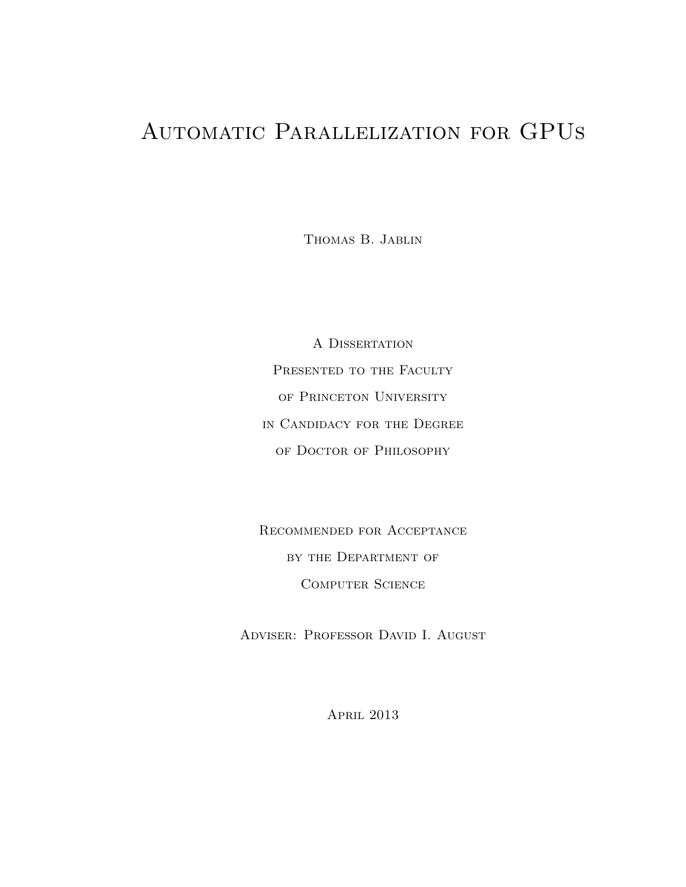## Automatic Parallelization for GPUs

Thomas B. Jablin

A Dissertation PRESENTED TO THE FACULTY of Princeton University in Candidacy for the Degree of Doctor of Philosophy

Recommended for Acceptance by the Department of Computer Science

Adviser: Professor David I. August

April 2013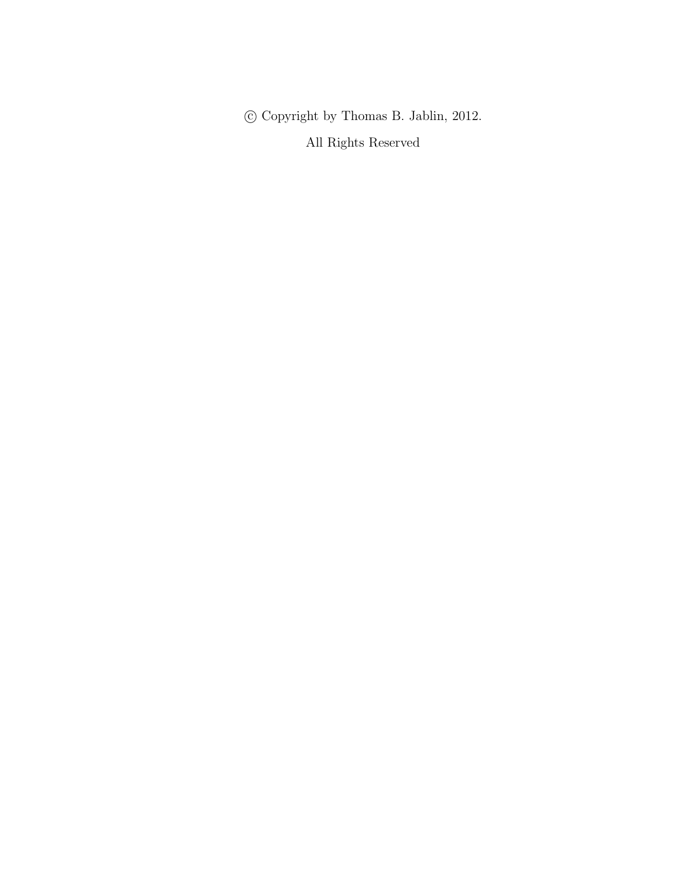$\copyright$  Copyright by Thomas B. Jablin, 2012. All Rights Reserved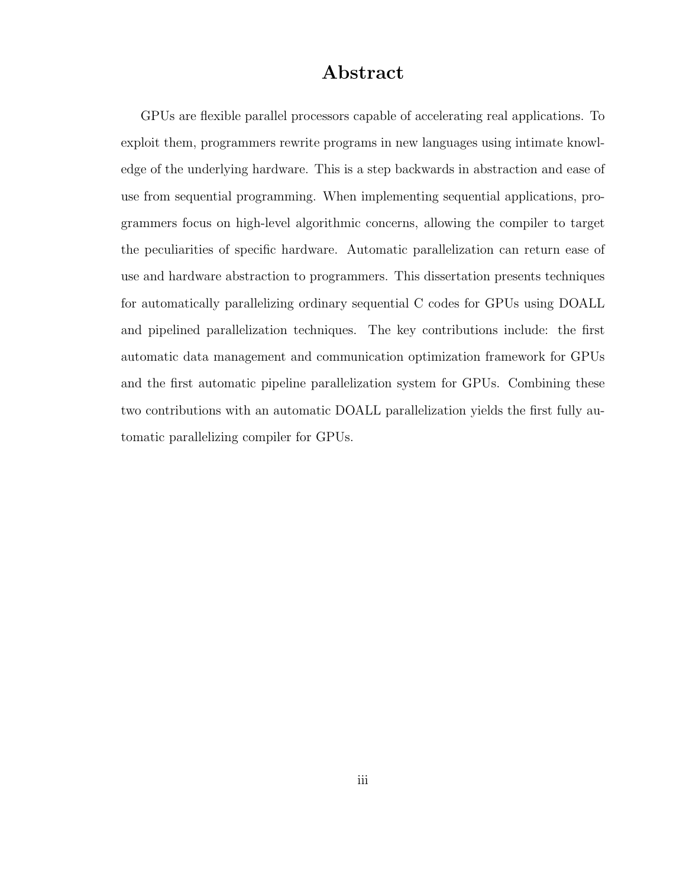### Abstract

GPUs are flexible parallel processors capable of accelerating real applications. To exploit them, programmers rewrite programs in new languages using intimate knowledge of the underlying hardware. This is a step backwards in abstraction and ease of use from sequential programming. When implementing sequential applications, programmers focus on high-level algorithmic concerns, allowing the compiler to target the peculiarities of specific hardware. Automatic parallelization can return ease of use and hardware abstraction to programmers. This dissertation presents techniques for automatically parallelizing ordinary sequential C codes for GPUs using DOALL and pipelined parallelization techniques. The key contributions include: the first automatic data management and communication optimization framework for GPUs and the first automatic pipeline parallelization system for GPUs. Combining these two contributions with an automatic DOALL parallelization yields the first fully automatic parallelizing compiler for GPUs.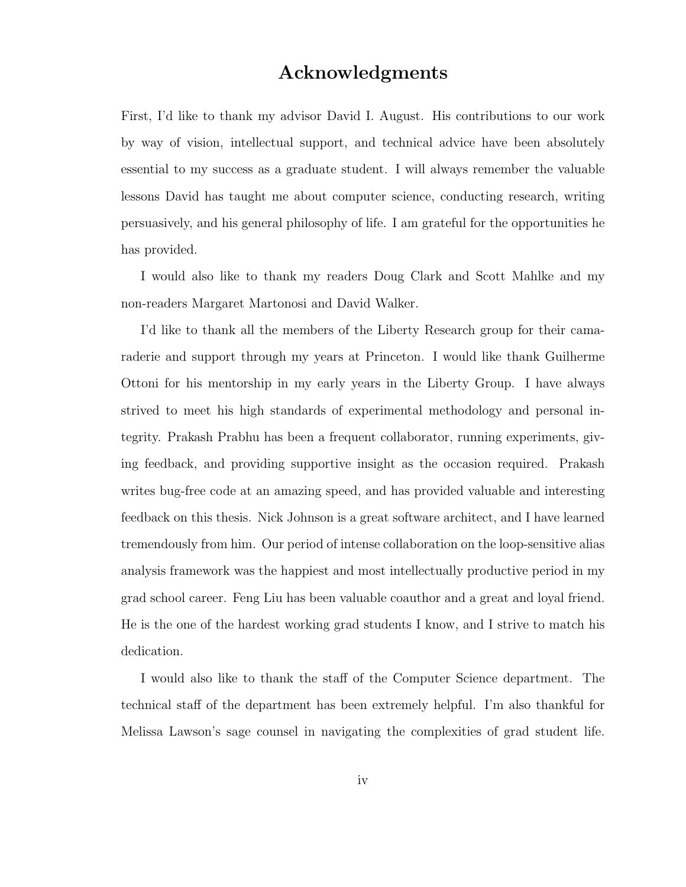### Acknowledgments

First, I'd like to thank my advisor David I. August. His contributions to our work by way of vision, intellectual support, and technical advice have been absolutely essential to my success as a graduate student. I will always remember the valuable lessons David has taught me about computer science, conducting research, writing persuasively, and his general philosophy of life. I am grateful for the opportunities he has provided.

I would also like to thank my readers Doug Clark and Scott Mahlke and my non-readers Margaret Martonosi and David Walker.

I'd like to thank all the members of the Liberty Research group for their camaraderie and support through my years at Princeton. I would like thank Guilherme Ottoni for his mentorship in my early years in the Liberty Group. I have always strived to meet his high standards of experimental methodology and personal integrity. Prakash Prabhu has been a frequent collaborator, running experiments, giving feedback, and providing supportive insight as the occasion required. Prakash writes bug-free code at an amazing speed, and has provided valuable and interesting feedback on this thesis. Nick Johnson is a great software architect, and I have learned tremendously from him. Our period of intense collaboration on the loop-sensitive alias analysis framework was the happiest and most intellectually productive period in my grad school career. Feng Liu has been valuable coauthor and a great and loyal friend. He is the one of the hardest working grad students I know, and I strive to match his dedication.

I would also like to thank the staff of the Computer Science department. The technical staff of the department has been extremely helpful. I'm also thankful for Melissa Lawson's sage counsel in navigating the complexities of grad student life.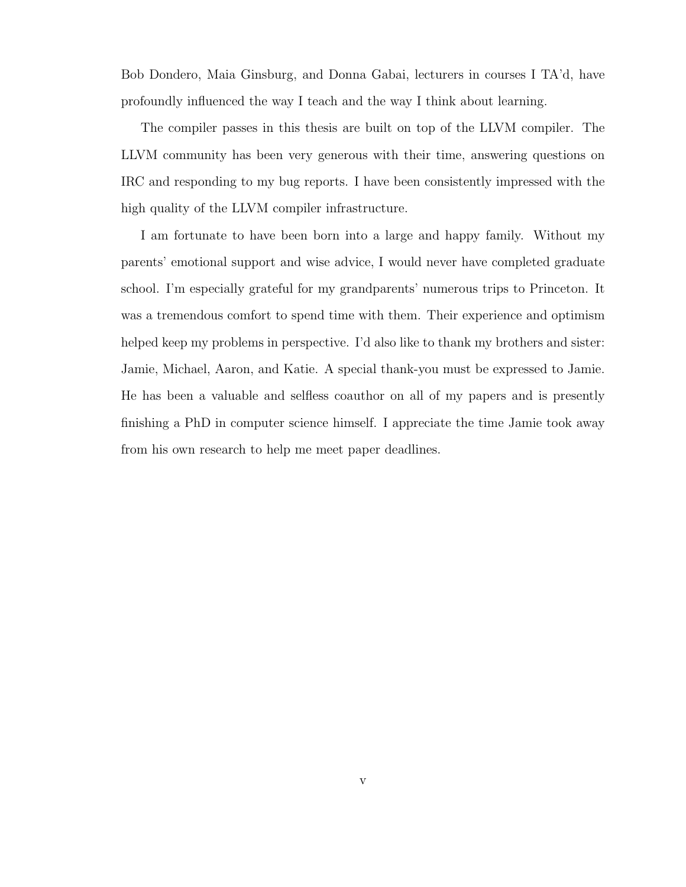Bob Dondero, Maia Ginsburg, and Donna Gabai, lecturers in courses I TA'd, have profoundly influenced the way I teach and the way I think about learning.

The compiler passes in this thesis are built on top of the LLVM compiler. The LLVM community has been very generous with their time, answering questions on IRC and responding to my bug reports. I have been consistently impressed with the high quality of the LLVM compiler infrastructure.

I am fortunate to have been born into a large and happy family. Without my parents' emotional support and wise advice, I would never have completed graduate school. I'm especially grateful for my grandparents' numerous trips to Princeton. It was a tremendous comfort to spend time with them. Their experience and optimism helped keep my problems in perspective. I'd also like to thank my brothers and sister: Jamie, Michael, Aaron, and Katie. A special thank-you must be expressed to Jamie. He has been a valuable and selfless coauthor on all of my papers and is presently finishing a PhD in computer science himself. I appreciate the time Jamie took away from his own research to help me meet paper deadlines.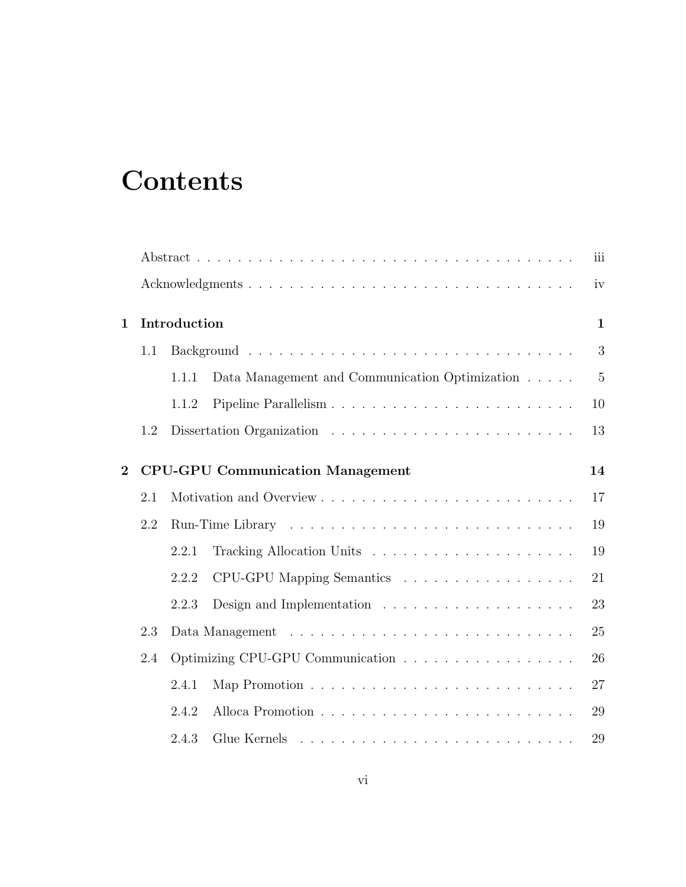# **Contents**

|                |              | iii                                           |                                                                       |       |  |  |
|----------------|--------------|-----------------------------------------------|-----------------------------------------------------------------------|-------|--|--|
|                |              |                                               |                                                                       | iv    |  |  |
| $\mathbf{1}$   | Introduction |                                               |                                                                       |       |  |  |
|                | 1.1          |                                               |                                                                       |       |  |  |
|                |              | 1.1.1                                         | Data Management and Communication Optimization                        | $5\,$ |  |  |
|                |              | 1.1.2                                         |                                                                       | 10    |  |  |
|                | 1.2          |                                               |                                                                       | 13    |  |  |
| $\overline{2}$ |              | <b>CPU-GPU Communication Management</b><br>14 |                                                                       |       |  |  |
|                | 2.1          |                                               |                                                                       | 17    |  |  |
|                | 2.2          | 19                                            |                                                                       |       |  |  |
|                |              | 2.2.1                                         |                                                                       | 19    |  |  |
|                |              | 2.2.2                                         | CPU-GPU Mapping Semantics                                             | 21    |  |  |
|                |              | 2.2.3                                         | Design and Implementation $\dots \dots \dots \dots \dots \dots \dots$ | 23    |  |  |
|                | 2.3          |                                               |                                                                       |       |  |  |
|                | 2.4          | Optimizing CPU-GPU Communication<br>26        |                                                                       |       |  |  |
|                |              | 2.4.1                                         |                                                                       | 27    |  |  |
|                |              | 2.4.2                                         |                                                                       | 29    |  |  |
|                |              | 2.4.3                                         |                                                                       | 29    |  |  |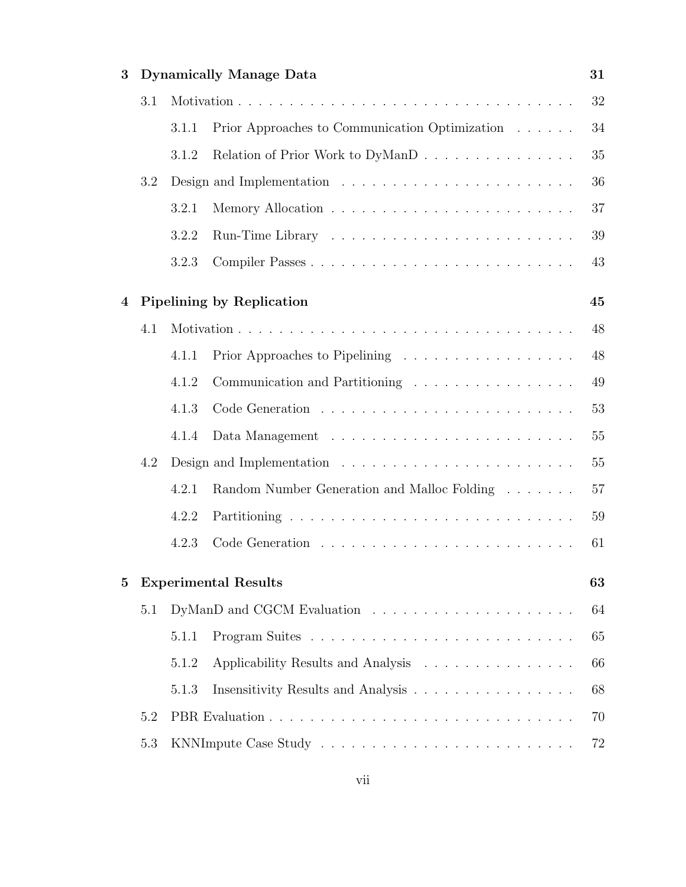| 3        |                                                                                    | <b>Dynamically Manage Data</b><br>31 |                                                                                     |    |  |  |  |  |
|----------|------------------------------------------------------------------------------------|--------------------------------------|-------------------------------------------------------------------------------------|----|--|--|--|--|
|          | 3.1                                                                                |                                      |                                                                                     |    |  |  |  |  |
|          |                                                                                    | 3.1.1                                | Prior Approaches to Communication Optimization                                      | 34 |  |  |  |  |
|          |                                                                                    | 3.1.2                                | Relation of Prior Work to DyManD                                                    | 35 |  |  |  |  |
|          | 3.2                                                                                |                                      | Design and Implementation $\ldots \ldots \ldots \ldots \ldots \ldots \ldots \ldots$ | 36 |  |  |  |  |
|          |                                                                                    | 3.2.1                                |                                                                                     | 37 |  |  |  |  |
|          |                                                                                    | 3.2.2                                |                                                                                     | 39 |  |  |  |  |
|          |                                                                                    | 3.2.3                                |                                                                                     | 43 |  |  |  |  |
| 4        |                                                                                    |                                      | <b>Pipelining by Replication</b>                                                    | 45 |  |  |  |  |
|          | 4.1                                                                                |                                      |                                                                                     | 48 |  |  |  |  |
|          |                                                                                    | 4.1.1                                | Prior Approaches to Pipelining                                                      | 48 |  |  |  |  |
|          |                                                                                    | 4.1.2                                | Communication and Partitioning                                                      | 49 |  |  |  |  |
|          |                                                                                    | 4.1.3                                |                                                                                     | 53 |  |  |  |  |
|          |                                                                                    | 4.1.4                                |                                                                                     | 55 |  |  |  |  |
|          | 4.2<br>Design and Implementation $\dots \dots \dots \dots \dots \dots \dots \dots$ |                                      |                                                                                     |    |  |  |  |  |
|          |                                                                                    | 4.2.1                                | Random Number Generation and Malloc Folding                                         | 57 |  |  |  |  |
|          |                                                                                    | 4.2.2                                |                                                                                     | 59 |  |  |  |  |
|          |                                                                                    | 4.2.3                                |                                                                                     | 61 |  |  |  |  |
| $\bf{5}$ |                                                                                    | <b>Experimental Results</b>          |                                                                                     |    |  |  |  |  |
|          | 5.1                                                                                |                                      |                                                                                     |    |  |  |  |  |
|          |                                                                                    | 5.1.1                                |                                                                                     | 65 |  |  |  |  |
|          |                                                                                    | 5.1.2                                | Applicability Results and Analysis                                                  | 66 |  |  |  |  |
|          | Insensitivity Results and Analysis<br>5.1.3                                        |                                      |                                                                                     |    |  |  |  |  |
|          | 5.2                                                                                | 70                                   |                                                                                     |    |  |  |  |  |
|          | 5.3                                                                                | 72                                   |                                                                                     |    |  |  |  |  |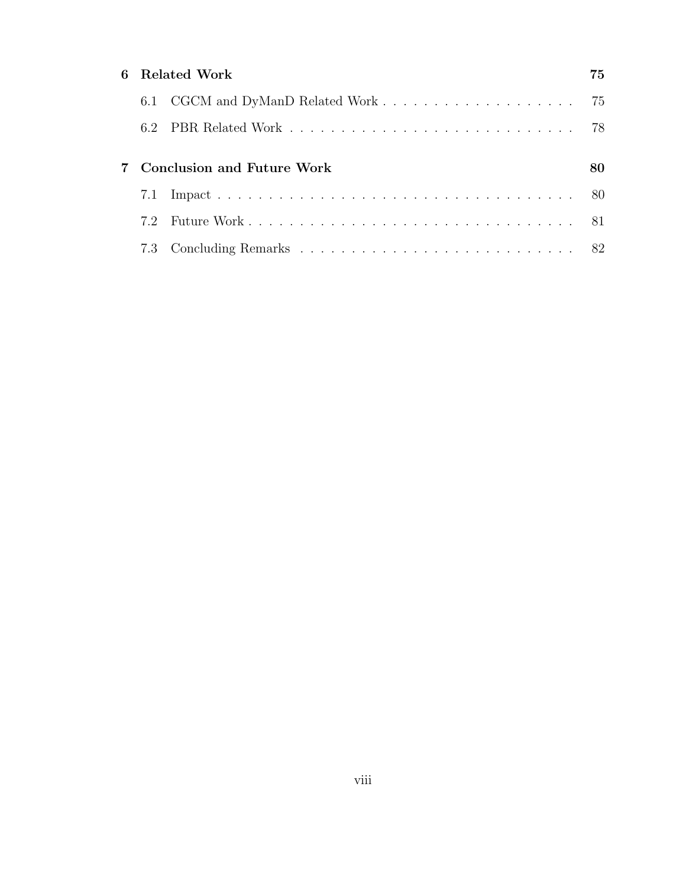| 6 Related Work |                              |  |  |  |  |
|----------------|------------------------------|--|--|--|--|
|                |                              |  |  |  |  |
|                |                              |  |  |  |  |
|                | 7 Conclusion and Future Work |  |  |  |  |
| 7.1            |                              |  |  |  |  |
| 72             |                              |  |  |  |  |
|                |                              |  |  |  |  |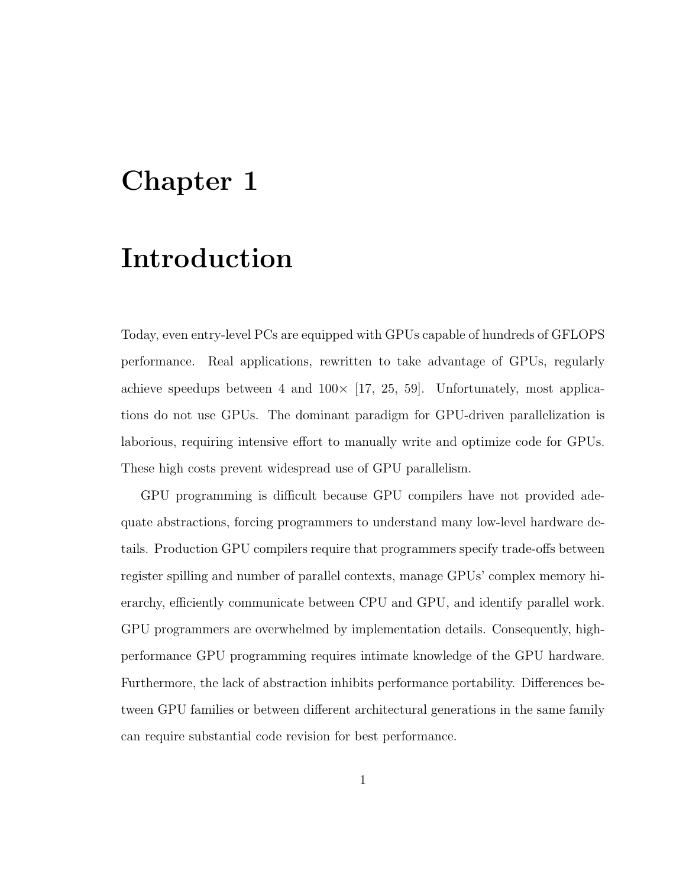# Chapter 1

# Introduction

Today, even entry-level PCs are equipped with GPUs capable of hundreds of GFLOPS performance. Real applications, rewritten to take advantage of GPUs, regularly achieve speedups between 4 and  $100 \times [17, 25, 59]$ . Unfortunately, most applications do not use GPUs. The dominant paradigm for GPU-driven parallelization is laborious, requiring intensive effort to manually write and optimize code for GPUs. These high costs prevent widespread use of GPU parallelism.

GPU programming is difficult because GPU compilers have not provided adequate abstractions, forcing programmers to understand many low-level hardware details. Production GPU compilers require that programmers specify trade-offs between register spilling and number of parallel contexts, manage GPUs' complex memory hierarchy, efficiently communicate between CPU and GPU, and identify parallel work. GPU programmers are overwhelmed by implementation details. Consequently, highperformance GPU programming requires intimate knowledge of the GPU hardware. Furthermore, the lack of abstraction inhibits performance portability. Differences between GPU families or between different architectural generations in the same family can require substantial code revision for best performance.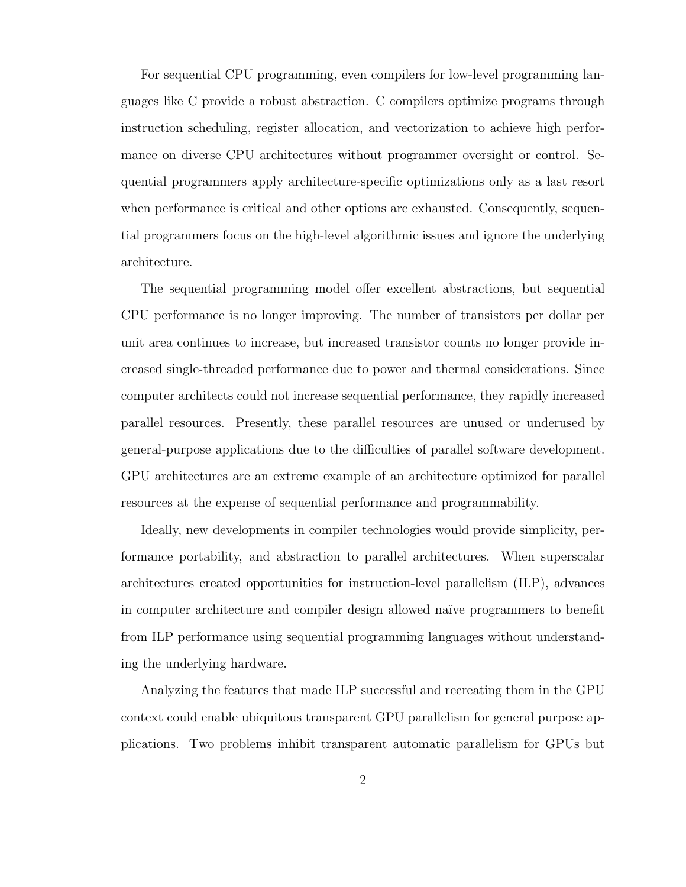For sequential CPU programming, even compilers for low-level programming languages like C provide a robust abstraction. C compilers optimize programs through instruction scheduling, register allocation, and vectorization to achieve high performance on diverse CPU architectures without programmer oversight or control. Sequential programmers apply architecture-specific optimizations only as a last resort when performance is critical and other options are exhausted. Consequently, sequential programmers focus on the high-level algorithmic issues and ignore the underlying architecture.

The sequential programming model offer excellent abstractions, but sequential CPU performance is no longer improving. The number of transistors per dollar per unit area continues to increase, but increased transistor counts no longer provide increased single-threaded performance due to power and thermal considerations. Since computer architects could not increase sequential performance, they rapidly increased parallel resources. Presently, these parallel resources are unused or underused by general-purpose applications due to the difficulties of parallel software development. GPU architectures are an extreme example of an architecture optimized for parallel resources at the expense of sequential performance and programmability.

Ideally, new developments in compiler technologies would provide simplicity, performance portability, and abstraction to parallel architectures. When superscalar architectures created opportunities for instruction-level parallelism (ILP), advances in computer architecture and compiler design allowed naïve programmers to benefit from ILP performance using sequential programming languages without understanding the underlying hardware.

Analyzing the features that made ILP successful and recreating them in the GPU context could enable ubiquitous transparent GPU parallelism for general purpose applications. Two problems inhibit transparent automatic parallelism for GPUs but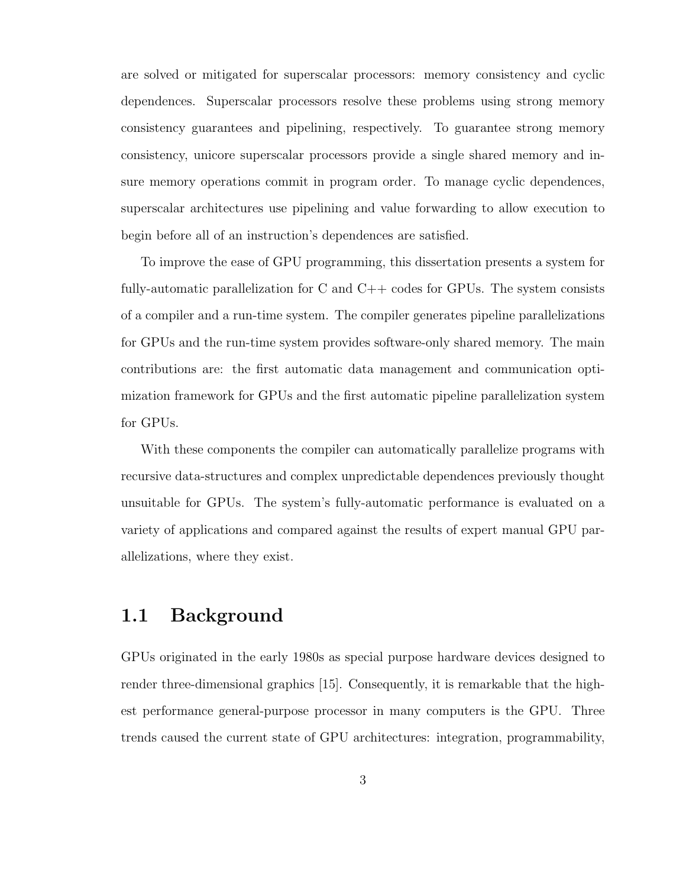are solved or mitigated for superscalar processors: memory consistency and cyclic dependences. Superscalar processors resolve these problems using strong memory consistency guarantees and pipelining, respectively. To guarantee strong memory consistency, unicore superscalar processors provide a single shared memory and insure memory operations commit in program order. To manage cyclic dependences, superscalar architectures use pipelining and value forwarding to allow execution to begin before all of an instruction's dependences are satisfied.

To improve the ease of GPU programming, this dissertation presents a system for fully-automatic parallelization for C and  $C++$  codes for GPUs. The system consists of a compiler and a run-time system. The compiler generates pipeline parallelizations for GPUs and the run-time system provides software-only shared memory. The main contributions are: the first automatic data management and communication optimization framework for GPUs and the first automatic pipeline parallelization system for GPUs.

With these components the compiler can automatically parallelize programs with recursive data-structures and complex unpredictable dependences previously thought unsuitable for GPUs. The system's fully-automatic performance is evaluated on a variety of applications and compared against the results of expert manual GPU parallelizations, where they exist.

### 1.1 Background

GPUs originated in the early 1980s as special purpose hardware devices designed to render three-dimensional graphics [15]. Consequently, it is remarkable that the highest performance general-purpose processor in many computers is the GPU. Three trends caused the current state of GPU architectures: integration, programmability,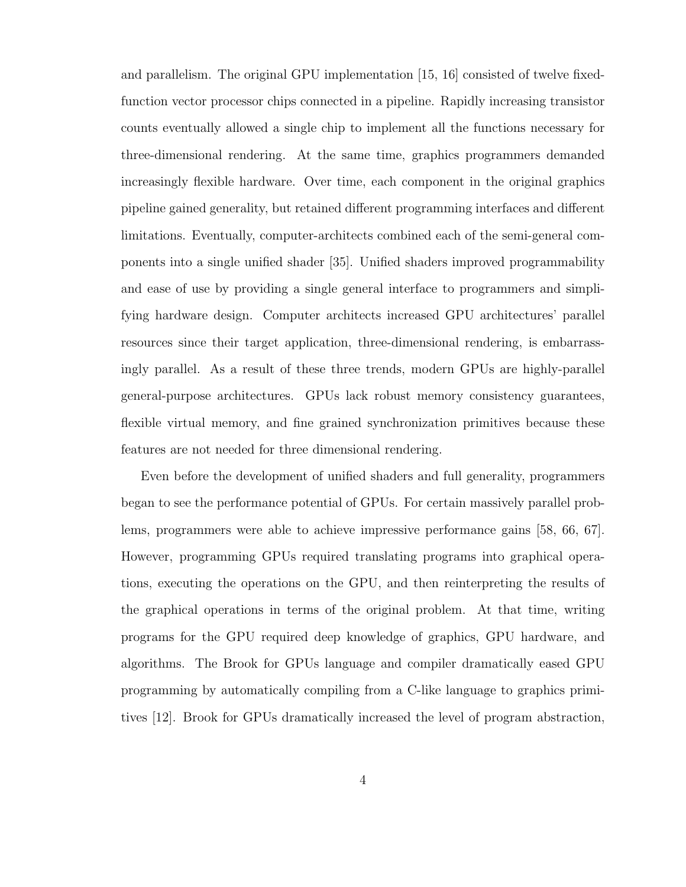and parallelism. The original GPU implementation [15, 16] consisted of twelve fixedfunction vector processor chips connected in a pipeline. Rapidly increasing transistor counts eventually allowed a single chip to implement all the functions necessary for three-dimensional rendering. At the same time, graphics programmers demanded increasingly flexible hardware. Over time, each component in the original graphics pipeline gained generality, but retained different programming interfaces and different limitations. Eventually, computer-architects combined each of the semi-general components into a single unified shader [35]. Unified shaders improved programmability and ease of use by providing a single general interface to programmers and simplifying hardware design. Computer architects increased GPU architectures' parallel resources since their target application, three-dimensional rendering, is embarrassingly parallel. As a result of these three trends, modern GPUs are highly-parallel general-purpose architectures. GPUs lack robust memory consistency guarantees, flexible virtual memory, and fine grained synchronization primitives because these features are not needed for three dimensional rendering.

Even before the development of unified shaders and full generality, programmers began to see the performance potential of GPUs. For certain massively parallel problems, programmers were able to achieve impressive performance gains [58, 66, 67]. However, programming GPUs required translating programs into graphical operations, executing the operations on the GPU, and then reinterpreting the results of the graphical operations in terms of the original problem. At that time, writing programs for the GPU required deep knowledge of graphics, GPU hardware, and algorithms. The Brook for GPUs language and compiler dramatically eased GPU programming by automatically compiling from a C-like language to graphics primitives [12]. Brook for GPUs dramatically increased the level of program abstraction,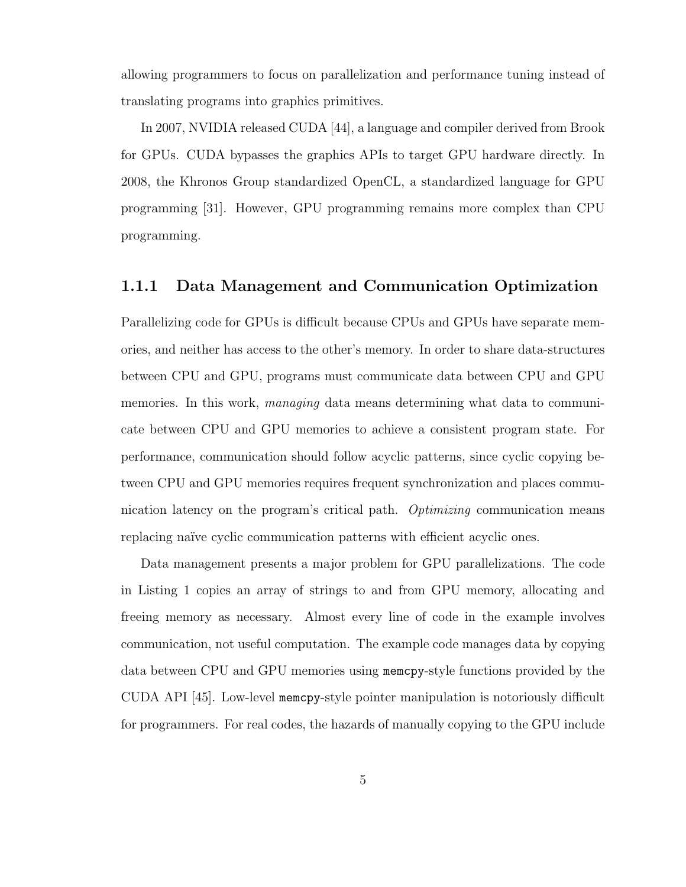allowing programmers to focus on parallelization and performance tuning instead of translating programs into graphics primitives.

In 2007, NVIDIA released CUDA [44], a language and compiler derived from Brook for GPUs. CUDA bypasses the graphics APIs to target GPU hardware directly. In 2008, the Khronos Group standardized OpenCL, a standardized language for GPU programming [31]. However, GPU programming remains more complex than CPU programming.

#### 1.1.1 Data Management and Communication Optimization

Parallelizing code for GPUs is difficult because CPUs and GPUs have separate memories, and neither has access to the other's memory. In order to share data-structures between CPU and GPU, programs must communicate data between CPU and GPU memories. In this work, *managing* data means determining what data to communicate between CPU and GPU memories to achieve a consistent program state. For performance, communication should follow acyclic patterns, since cyclic copying between CPU and GPU memories requires frequent synchronization and places communication latency on the program's critical path. *Optimizing* communication means replacing naïve cyclic communication patterns with efficient acyclic ones.

Data management presents a major problem for GPU parallelizations. The code in Listing 1 copies an array of strings to and from GPU memory, allocating and freeing memory as necessary. Almost every line of code in the example involves communication, not useful computation. The example code manages data by copying data between CPU and GPU memories using memcpy-style functions provided by the CUDA API [45]. Low-level memcpy-style pointer manipulation is notoriously difficult for programmers. For real codes, the hazards of manually copying to the GPU include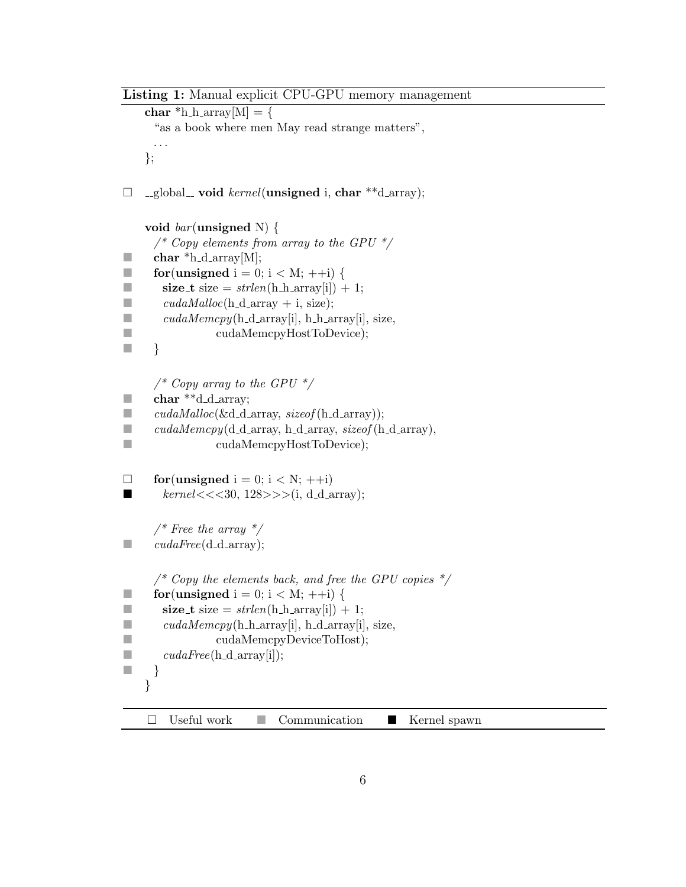```
Listing 1: Manual explicit CPU-GPU memory management
    char *h_harx[W] = \{"as a book where men May read strange matters",
     . . .
    };
\Box _global_ void kernel(unsigned i, char **d_array);
    void bar(\text{unsigned N}) {
      /* Copy elements from array to the GPU */\blacksquare char *h_d_array[M];
for (unsigned i = 0; i < M; ++i) {
size_t size = \text{strlen}(\text{h}\text{-}\text{h}\text{-}\text{array}[i]) + 1;\Box cudaMalloc(h_d_array + i, size);
\blacksquare cudaMemcpy(h_d_array[i], h_h_array[i], size,
■ cudaMemcpyHostToDevice);
\Box/* Copy array to the GPU */\blacksquare char **d_d_array;
\Box cudaMalloc(&d_d_array, sizeof(h_d_array));
\Box cudaMemcpy(d_d_array, h_d_array, sizeof(h_d_array),
■ cudaMemcpyHostToDevice);
\Box for(unsigned i = 0; i < N; ++i)
■ kernel \lt \lt \lt 30, 128 \gt \gt \gt (i, d_d_{array});\frac{1}{2} Free the array \frac{1}{2}\Box cudaFree(d_d_array);
      \frac{1}{2} Copy the elements back, and free the GPU copies \frac{1}{2}for (unsigned i = 0; i < M; ++i) {
size_t size = \text{st}rlen(h_h_array[i]) + 1;
\blacksquare cudaMemcpy(h_h_array[i], h_d_array[i], size,
■ cudaMemcpyDeviceToHost);
\Box cudaFree(h_d_array[i]);
\begin{array}{ccc} \square & \end{array}}
    \Box Useful work \Box Communication \Box Kernel spawn
```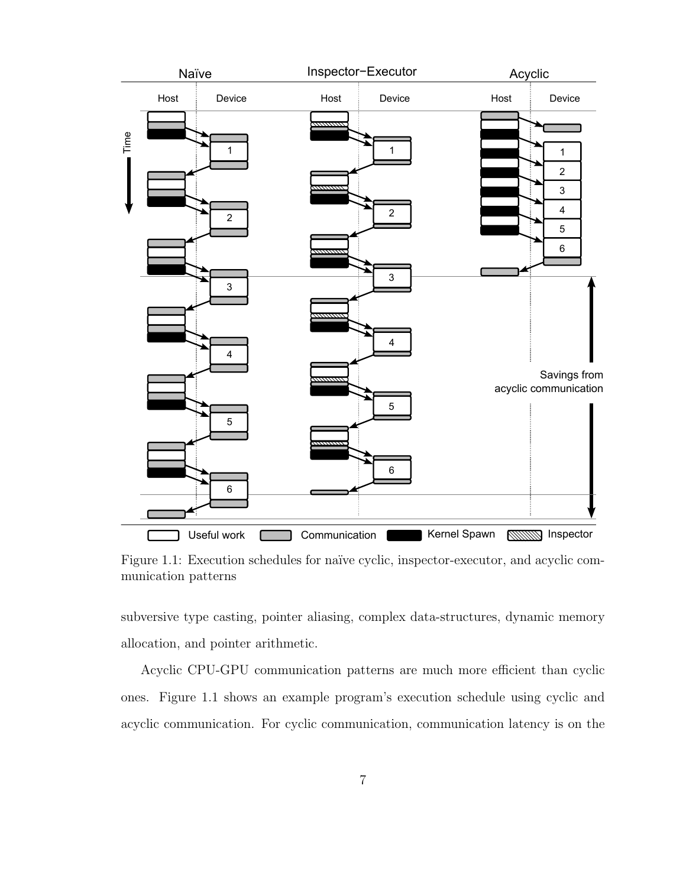

Figure 1.1: Execution schedules for naïve cyclic, inspector-executor, and acyclic communication patterns

subversive type casting, pointer aliasing, complex data-structures, dynamic memory allocation, and pointer arithmetic.

Acyclic CPU-GPU communication patterns are much more efficient than cyclic ones. Figure 1.1 shows an example program's execution schedule using cyclic and acyclic communication. For cyclic communication, communication latency is on the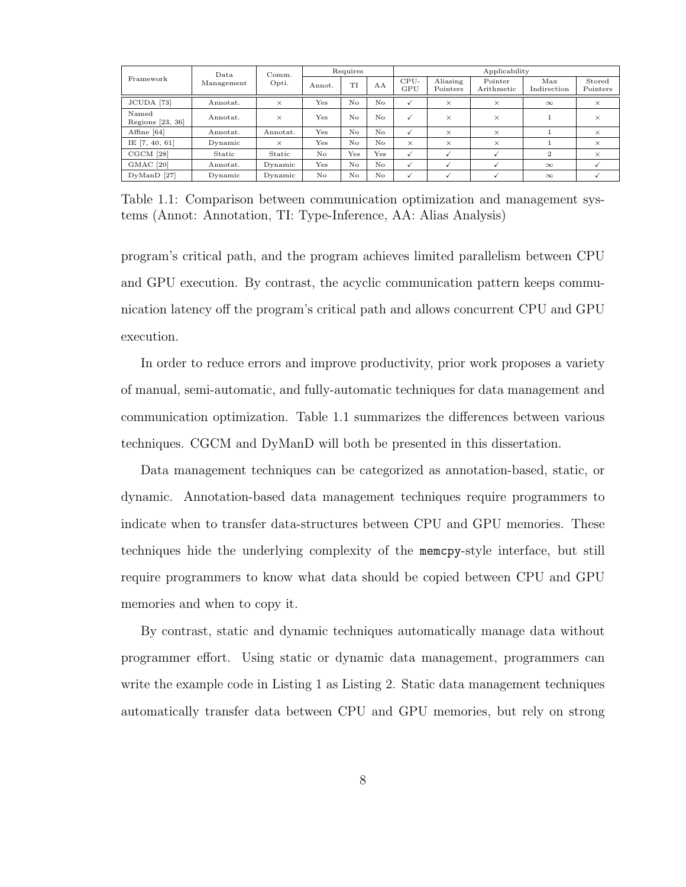|                             | Data<br>Management | Comm.<br>Opti. | Requires |     |          | Applicability |                      |                       |                    |                    |
|-----------------------------|--------------------|----------------|----------|-----|----------|---------------|----------------------|-----------------------|--------------------|--------------------|
| Framework                   |                    |                | Annot.   | ТT  | AA       | CPU-<br>GPU   | Aliasing<br>Pointers | Pointer<br>Arithmetic | Max<br>Indirection | Stored<br>Pointers |
| JCUDA [73]                  | Annotat.           | $\times$       | Yes      | No  | No.      | √             | $\times$             | $\times$              | $\infty$           | $\times$           |
| Named<br>Regions $[23, 36]$ | Annotat.           | $\times$       | Yes      | No  | $\rm No$ | $\checkmark$  | $\times$             | $\times$              |                    | $\times$           |
| Affine [64]                 | Annotat.           | Annotat.       | Yes      | No  | No.      | $\checkmark$  | $\times$             | $\times$              |                    | $\times$           |
| IE $[7, 40, 61]$            | Dynamic            | $\times$       | Yes      | No  | No       | $\times$      | $\times$             | $\times$              |                    | $\times$           |
| CGCM [28]                   | Static             | Static         | No       | Yes | Yes      | $\checkmark$  |                      |                       | $\overline{2}$     | $\times$           |
| GMAC <sup>[20]</sup>        | Annotat.           | Dynamic        | Yes      | No  | No       | $\checkmark$  |                      | $\checkmark$          | $\infty$           |                    |
| $DyManD$ [27]               | Dynamic            | Dynamic        | No       | No  | No       | √             |                      |                       | $\infty$           |                    |

Table 1.1: Comparison between communication optimization and management systems (Annot: Annotation, TI: Type-Inference, AA: Alias Analysis)

program's critical path, and the program achieves limited parallelism between CPU and GPU execution. By contrast, the acyclic communication pattern keeps communication latency off the program's critical path and allows concurrent CPU and GPU execution.

In order to reduce errors and improve productivity, prior work proposes a variety of manual, semi-automatic, and fully-automatic techniques for data management and communication optimization. Table 1.1 summarizes the differences between various techniques. CGCM and DyManD will both be presented in this dissertation.

Data management techniques can be categorized as annotation-based, static, or dynamic. Annotation-based data management techniques require programmers to indicate when to transfer data-structures between CPU and GPU memories. These techniques hide the underlying complexity of the memcpy-style interface, but still require programmers to know what data should be copied between CPU and GPU memories and when to copy it.

By contrast, static and dynamic techniques automatically manage data without programmer effort. Using static or dynamic data management, programmers can write the example code in Listing 1 as Listing 2. Static data management techniques automatically transfer data between CPU and GPU memories, but rely on strong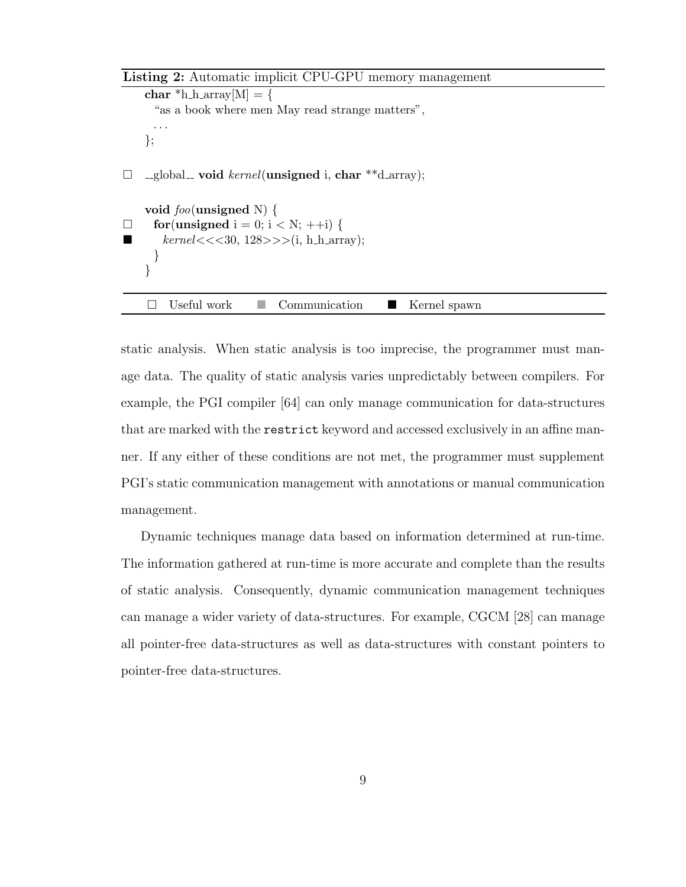Listing 2: Automatic implicit CPU-GPU memory management

```
char *h_harary[M] = \{"as a book where men May read strange matters",
     . . .
    };
\Box _global_ void kernel(unsigned i, char **d_array);
    void foo(unsigned N) {
\Box for(unsigned i = 0; i < N; ++i) {
       kernel \lt \lt \lt 30, 128 \gt \gt \lt (i, h_harrow);
     }
    }
    \Box Useful work \Box Communication \Box Kernel spawn
```
static analysis. When static analysis is too imprecise, the programmer must manage data. The quality of static analysis varies unpredictably between compilers. For example, the PGI compiler [64] can only manage communication for data-structures that are marked with the restrict keyword and accessed exclusively in an affine manner. If any either of these conditions are not met, the programmer must supplement PGI's static communication management with annotations or manual communication management.

Dynamic techniques manage data based on information determined at run-time. The information gathered at run-time is more accurate and complete than the results of static analysis. Consequently, dynamic communication management techniques can manage a wider variety of data-structures. For example, CGCM [28] can manage all pointer-free data-structures as well as data-structures with constant pointers to pointer-free data-structures.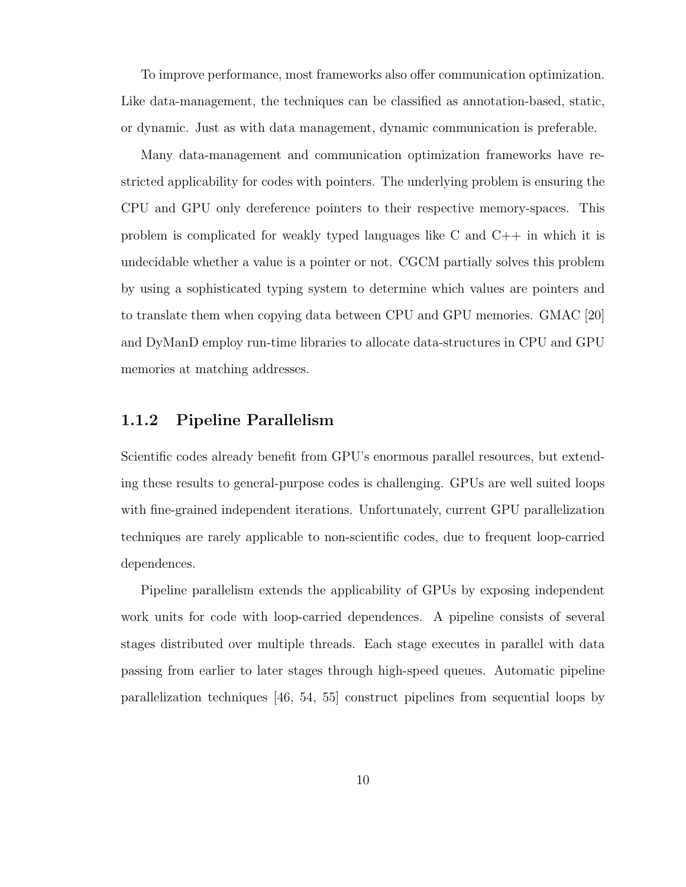To improve performance, most frameworks also offer communication optimization. Like data-management, the techniques can be classified as annotation-based, static, or dynamic. Just as with data management, dynamic communication is preferable.

Many data-management and communication optimization frameworks have restricted applicability for codes with pointers. The underlying problem is ensuring the CPU and GPU only dereference pointers to their respective memory-spaces. This problem is complicated for weakly typed languages like C and C++ in which it is undecidable whether a value is a pointer or not. CGCM partially solves this problem by using a sophisticated typing system to determine which values are pointers and to translate them when copying data between CPU and GPU memories. GMAC [20] and DyManD employ run-time libraries to allocate data-structures in CPU and GPU memories at matching addresses.

#### 1.1.2 Pipeline Parallelism

Scientific codes already benefit from GPU's enormous parallel resources, but extending these results to general-purpose codes is challenging. GPUs are well suited loops with fine-grained independent iterations. Unfortunately, current GPU parallelization techniques are rarely applicable to non-scientific codes, due to frequent loop-carried dependences.

Pipeline parallelism extends the applicability of GPUs by exposing independent work units for code with loop-carried dependences. A pipeline consists of several stages distributed over multiple threads. Each stage executes in parallel with data passing from earlier to later stages through high-speed queues. Automatic pipeline parallelization techniques [46, 54, 55] construct pipelines from sequential loops by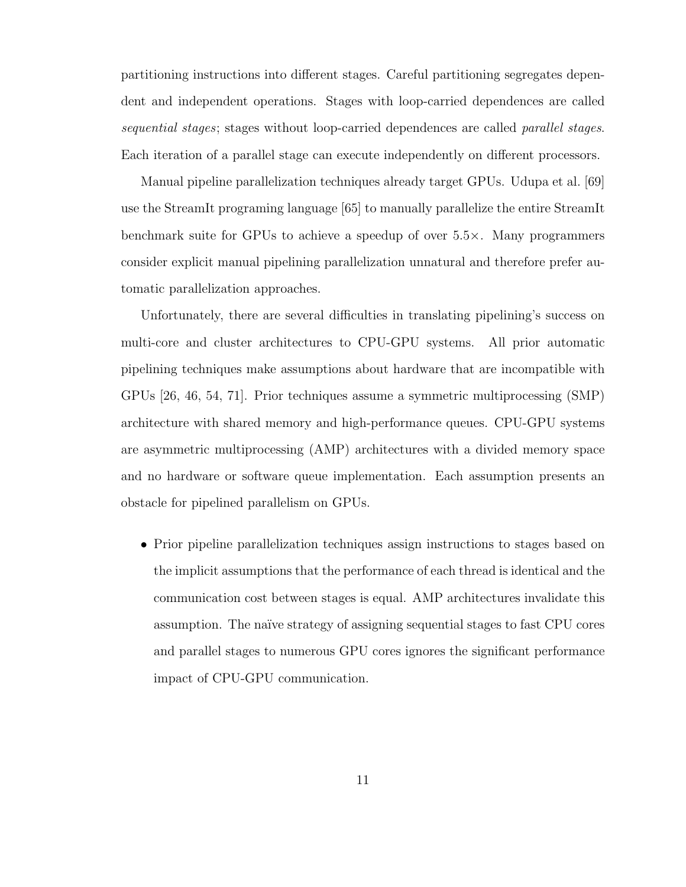partitioning instructions into different stages. Careful partitioning segregates dependent and independent operations. Stages with loop-carried dependences are called sequential stages; stages without loop-carried dependences are called *parallel stages*. Each iteration of a parallel stage can execute independently on different processors.

Manual pipeline parallelization techniques already target GPUs. Udupa et al. [69] use the StreamIt programing language [65] to manually parallelize the entire StreamIt benchmark suite for GPUs to achieve a speedup of over 5.5×. Many programmers consider explicit manual pipelining parallelization unnatural and therefore prefer automatic parallelization approaches.

Unfortunately, there are several difficulties in translating pipelining's success on multi-core and cluster architectures to CPU-GPU systems. All prior automatic pipelining techniques make assumptions about hardware that are incompatible with GPUs [26, 46, 54, 71]. Prior techniques assume a symmetric multiprocessing (SMP) architecture with shared memory and high-performance queues. CPU-GPU systems are asymmetric multiprocessing (AMP) architectures with a divided memory space and no hardware or software queue implementation. Each assumption presents an obstacle for pipelined parallelism on GPUs.

• Prior pipeline parallelization techniques assign instructions to stages based on the implicit assumptions that the performance of each thread is identical and the communication cost between stages is equal. AMP architectures invalidate this assumption. The naïve strategy of assigning sequential stages to fast CPU cores and parallel stages to numerous GPU cores ignores the significant performance impact of CPU-GPU communication.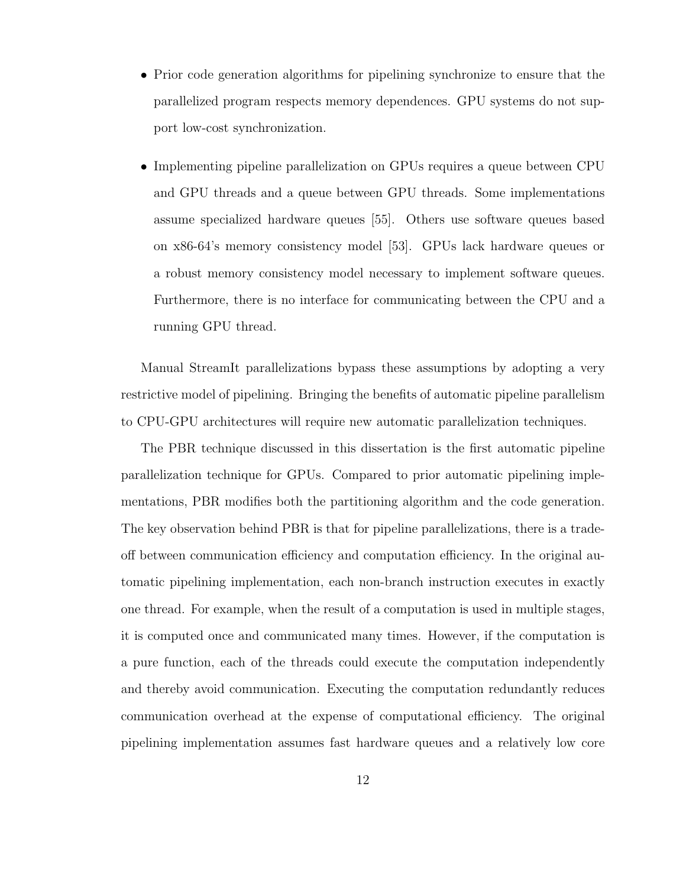- Prior code generation algorithms for pipelining synchronize to ensure that the parallelized program respects memory dependences. GPU systems do not support low-cost synchronization.
- Implementing pipeline parallelization on GPUs requires a queue between CPU and GPU threads and a queue between GPU threads. Some implementations assume specialized hardware queues [55]. Others use software queues based on x86-64's memory consistency model [53]. GPUs lack hardware queues or a robust memory consistency model necessary to implement software queues. Furthermore, there is no interface for communicating between the CPU and a running GPU thread.

Manual StreamIt parallelizations bypass these assumptions by adopting a very restrictive model of pipelining. Bringing the benefits of automatic pipeline parallelism to CPU-GPU architectures will require new automatic parallelization techniques.

The PBR technique discussed in this dissertation is the first automatic pipeline parallelization technique for GPUs. Compared to prior automatic pipelining implementations, PBR modifies both the partitioning algorithm and the code generation. The key observation behind PBR is that for pipeline parallelizations, there is a tradeoff between communication efficiency and computation efficiency. In the original automatic pipelining implementation, each non-branch instruction executes in exactly one thread. For example, when the result of a computation is used in multiple stages, it is computed once and communicated many times. However, if the computation is a pure function, each of the threads could execute the computation independently and thereby avoid communication. Executing the computation redundantly reduces communication overhead at the expense of computational efficiency. The original pipelining implementation assumes fast hardware queues and a relatively low core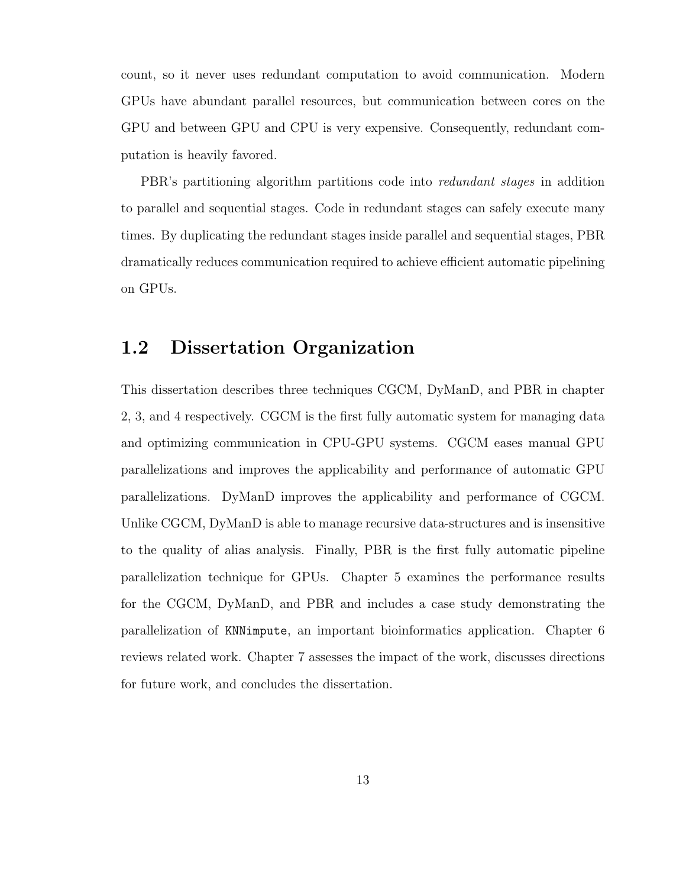count, so it never uses redundant computation to avoid communication. Modern GPUs have abundant parallel resources, but communication between cores on the GPU and between GPU and CPU is very expensive. Consequently, redundant computation is heavily favored.

PBR's partitioning algorithm partitions code into redundant stages in addition to parallel and sequential stages. Code in redundant stages can safely execute many times. By duplicating the redundant stages inside parallel and sequential stages, PBR dramatically reduces communication required to achieve efficient automatic pipelining on GPUs.

### 1.2 Dissertation Organization

This dissertation describes three techniques CGCM, DyManD, and PBR in chapter 2, 3, and 4 respectively. CGCM is the first fully automatic system for managing data and optimizing communication in CPU-GPU systems. CGCM eases manual GPU parallelizations and improves the applicability and performance of automatic GPU parallelizations. DyManD improves the applicability and performance of CGCM. Unlike CGCM, DyManD is able to manage recursive data-structures and is insensitive to the quality of alias analysis. Finally, PBR is the first fully automatic pipeline parallelization technique for GPUs. Chapter 5 examines the performance results for the CGCM, DyManD, and PBR and includes a case study demonstrating the parallelization of KNNimpute, an important bioinformatics application. Chapter 6 reviews related work. Chapter 7 assesses the impact of the work, discusses directions for future work, and concludes the dissertation.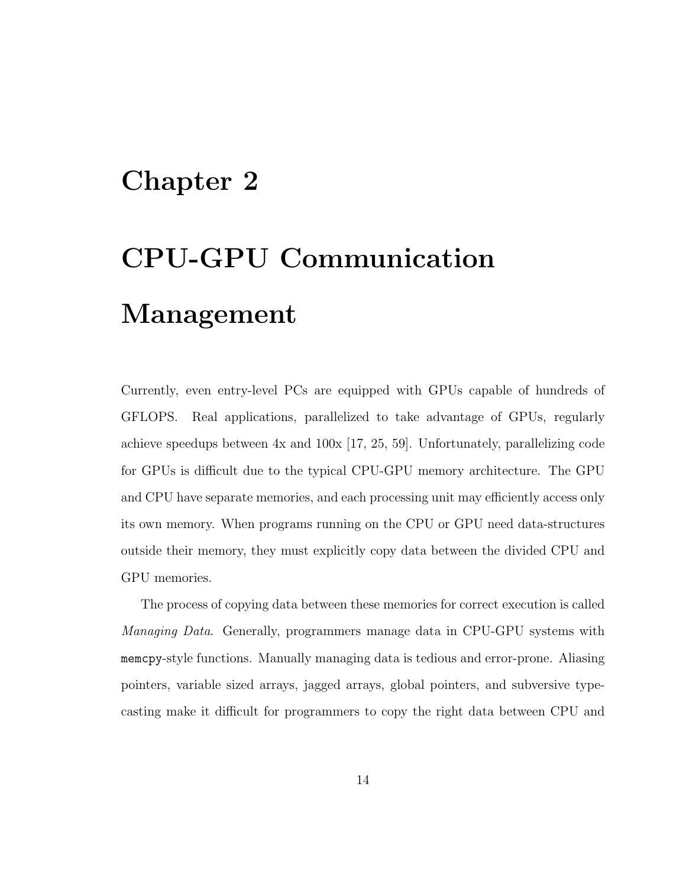# Chapter 2

# CPU-GPU Communication Management

Currently, even entry-level PCs are equipped with GPUs capable of hundreds of GFLOPS. Real applications, parallelized to take advantage of GPUs, regularly achieve speedups between 4x and 100x [17, 25, 59]. Unfortunately, parallelizing code for GPUs is difficult due to the typical CPU-GPU memory architecture. The GPU and CPU have separate memories, and each processing unit may efficiently access only its own memory. When programs running on the CPU or GPU need data-structures outside their memory, they must explicitly copy data between the divided CPU and GPU memories.

The process of copying data between these memories for correct execution is called Managing Data. Generally, programmers manage data in CPU-GPU systems with memcpy-style functions. Manually managing data is tedious and error-prone. Aliasing pointers, variable sized arrays, jagged arrays, global pointers, and subversive typecasting make it difficult for programmers to copy the right data between CPU and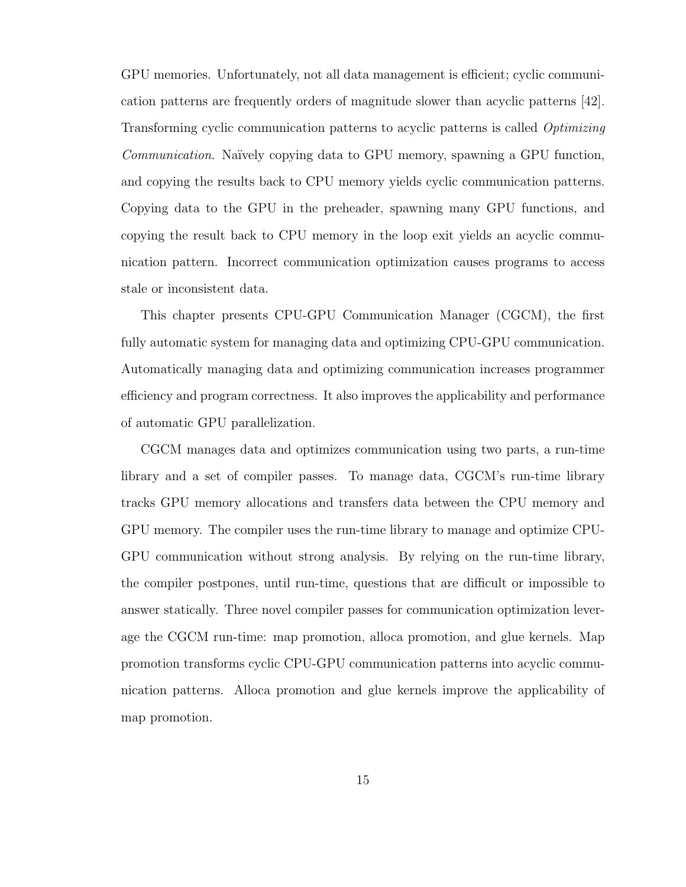GPU memories. Unfortunately, not all data management is efficient; cyclic communication patterns are frequently orders of magnitude slower than acyclic patterns [42]. Transforming cyclic communication patterns to acyclic patterns is called Optimizing Communication. Naïvely copying data to GPU memory, spawning a GPU function, and copying the results back to CPU memory yields cyclic communication patterns. Copying data to the GPU in the preheader, spawning many GPU functions, and copying the result back to CPU memory in the loop exit yields an acyclic communication pattern. Incorrect communication optimization causes programs to access stale or inconsistent data.

This chapter presents CPU-GPU Communication Manager (CGCM), the first fully automatic system for managing data and optimizing CPU-GPU communication. Automatically managing data and optimizing communication increases programmer efficiency and program correctness. It also improves the applicability and performance of automatic GPU parallelization.

CGCM manages data and optimizes communication using two parts, a run-time library and a set of compiler passes. To manage data, CGCM's run-time library tracks GPU memory allocations and transfers data between the CPU memory and GPU memory. The compiler uses the run-time library to manage and optimize CPU-GPU communication without strong analysis. By relying on the run-time library, the compiler postpones, until run-time, questions that are difficult or impossible to answer statically. Three novel compiler passes for communication optimization leverage the CGCM run-time: map promotion, alloca promotion, and glue kernels. Map promotion transforms cyclic CPU-GPU communication patterns into acyclic communication patterns. Alloca promotion and glue kernels improve the applicability of map promotion.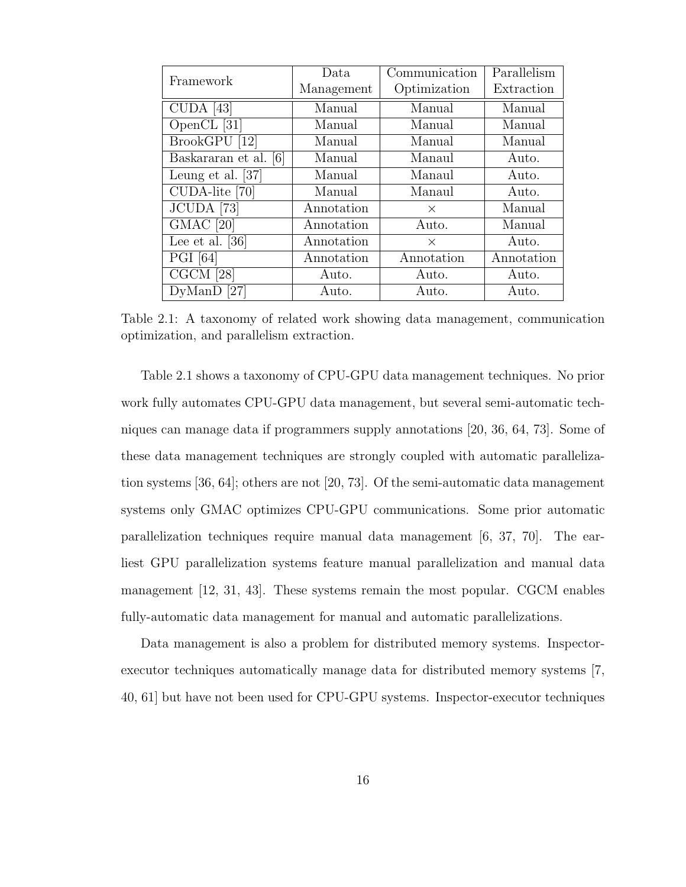| Framework             | Data       | Communication | Parallelism |  |
|-----------------------|------------|---------------|-------------|--|
|                       | Management | Optimization  | Extraction  |  |
| $CUDA$ [43]           | Manual     | Manual        | Manual      |  |
| OpenCL [31]           | Manual     | Manual        | Manual      |  |
| BrookGPU [12]         | Manual     | Manual        | Manual      |  |
| Baskararan et al. [6] | Manual     | Manaul        | Auto.       |  |
| Leung et al. $[37]$   | Manual     | Manaul        | Auto.       |  |
| CUDA-lite [70]        | Manual     | Manaul        | Auto.       |  |
| JCUDA [73]            | Annotation | $\times$      | Manual      |  |
| $GMAC$ [20]           | Annotation | Auto.         | Manual      |  |
| Lee et al. $[36]$     | Annotation | $\times$      | Auto.       |  |
| <b>PGI</b> [64]       | Annotation | Annotation    | Annotation  |  |
| $CGCM$ [28]           | Auto.      | Auto.         | Auto.       |  |
| $DyManD$ [27]         | Auto.      | Auto.         | Auto.       |  |

Table 2.1: A taxonomy of related work showing data management, communication optimization, and parallelism extraction.

Table 2.1 shows a taxonomy of CPU-GPU data management techniques. No prior work fully automates CPU-GPU data management, but several semi-automatic techniques can manage data if programmers supply annotations [20, 36, 64, 73]. Some of these data management techniques are strongly coupled with automatic parallelization systems [36, 64]; others are not [20, 73]. Of the semi-automatic data management systems only GMAC optimizes CPU-GPU communications. Some prior automatic parallelization techniques require manual data management [6, 37, 70]. The earliest GPU parallelization systems feature manual parallelization and manual data management [12, 31, 43]. These systems remain the most popular. CGCM enables fully-automatic data management for manual and automatic parallelizations.

Data management is also a problem for distributed memory systems. Inspectorexecutor techniques automatically manage data for distributed memory systems [7, 40, 61] but have not been used for CPU-GPU systems. Inspector-executor techniques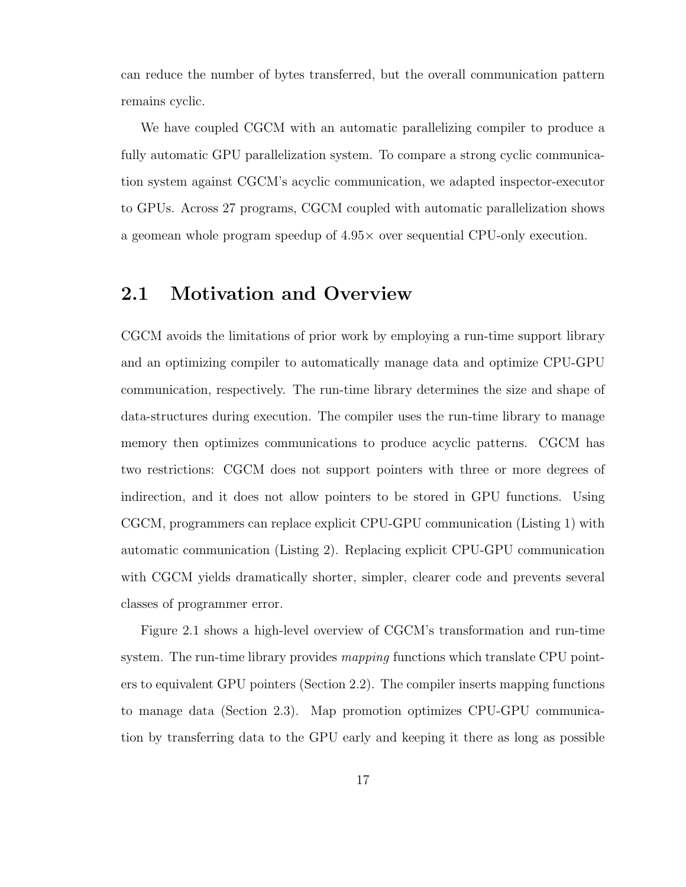can reduce the number of bytes transferred, but the overall communication pattern remains cyclic.

We have coupled CGCM with an automatic parallelizing compiler to produce a fully automatic GPU parallelization system. To compare a strong cyclic communication system against CGCM's acyclic communication, we adapted inspector-executor to GPUs. Across 27 programs, CGCM coupled with automatic parallelization shows a geomean whole program speedup of 4.95× over sequential CPU-only execution.

### 2.1 Motivation and Overview

CGCM avoids the limitations of prior work by employing a run-time support library and an optimizing compiler to automatically manage data and optimize CPU-GPU communication, respectively. The run-time library determines the size and shape of data-structures during execution. The compiler uses the run-time library to manage memory then optimizes communications to produce acyclic patterns. CGCM has two restrictions: CGCM does not support pointers with three or more degrees of indirection, and it does not allow pointers to be stored in GPU functions. Using CGCM, programmers can replace explicit CPU-GPU communication (Listing 1) with automatic communication (Listing 2). Replacing explicit CPU-GPU communication with CGCM yields dramatically shorter, simpler, clearer code and prevents several classes of programmer error.

Figure 2.1 shows a high-level overview of CGCM's transformation and run-time system. The run-time library provides *mapping* functions which translate CPU pointers to equivalent GPU pointers (Section 2.2). The compiler inserts mapping functions to manage data (Section 2.3). Map promotion optimizes CPU-GPU communication by transferring data to the GPU early and keeping it there as long as possible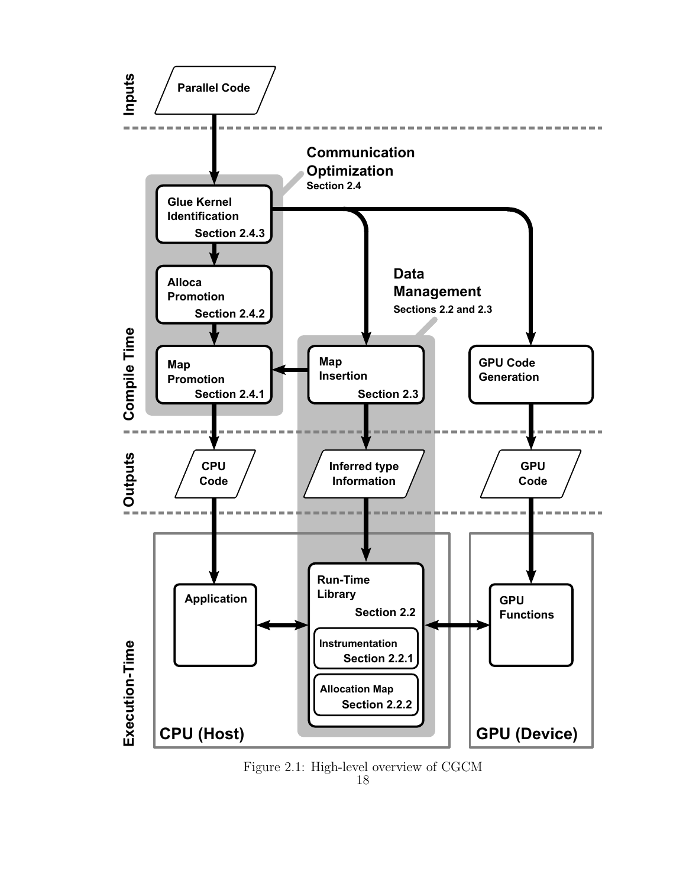

 $\begin{tabular}{l} Figure 2.1: High-level overview of CGCM \\ 18 \end{tabular}$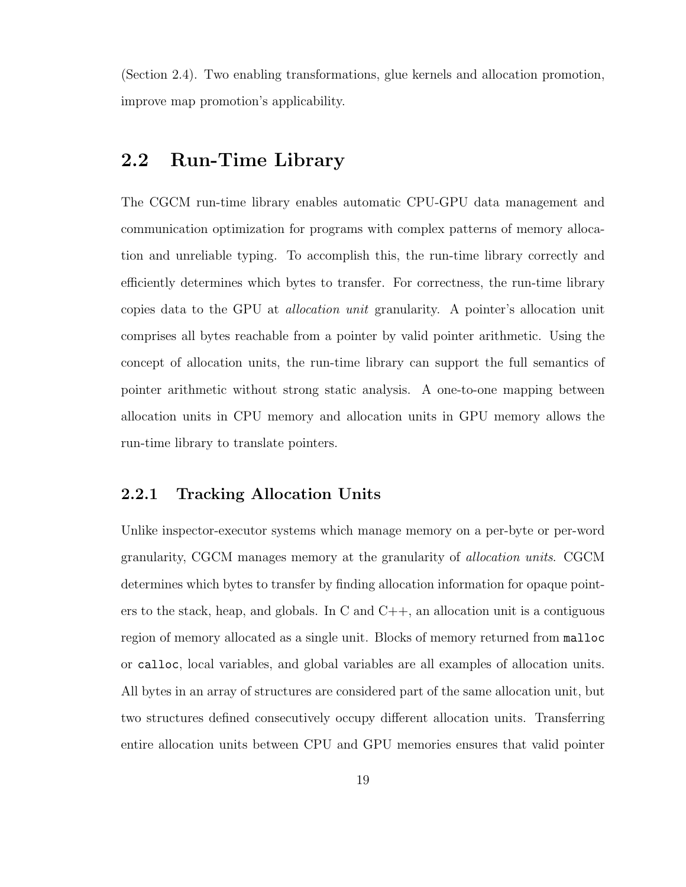(Section 2.4). Two enabling transformations, glue kernels and allocation promotion, improve map promotion's applicability.

### 2.2 Run-Time Library

The CGCM run-time library enables automatic CPU-GPU data management and communication optimization for programs with complex patterns of memory allocation and unreliable typing. To accomplish this, the run-time library correctly and efficiently determines which bytes to transfer. For correctness, the run-time library copies data to the GPU at allocation unit granularity. A pointer's allocation unit comprises all bytes reachable from a pointer by valid pointer arithmetic. Using the concept of allocation units, the run-time library can support the full semantics of pointer arithmetic without strong static analysis. A one-to-one mapping between allocation units in CPU memory and allocation units in GPU memory allows the run-time library to translate pointers.

#### 2.2.1 Tracking Allocation Units

Unlike inspector-executor systems which manage memory on a per-byte or per-word granularity, CGCM manages memory at the granularity of allocation units. CGCM determines which bytes to transfer by finding allocation information for opaque pointers to the stack, heap, and globals. In C and  $C_{++}$ , an allocation unit is a contiguous region of memory allocated as a single unit. Blocks of memory returned from malloc or calloc, local variables, and global variables are all examples of allocation units. All bytes in an array of structures are considered part of the same allocation unit, but two structures defined consecutively occupy different allocation units. Transferring entire allocation units between CPU and GPU memories ensures that valid pointer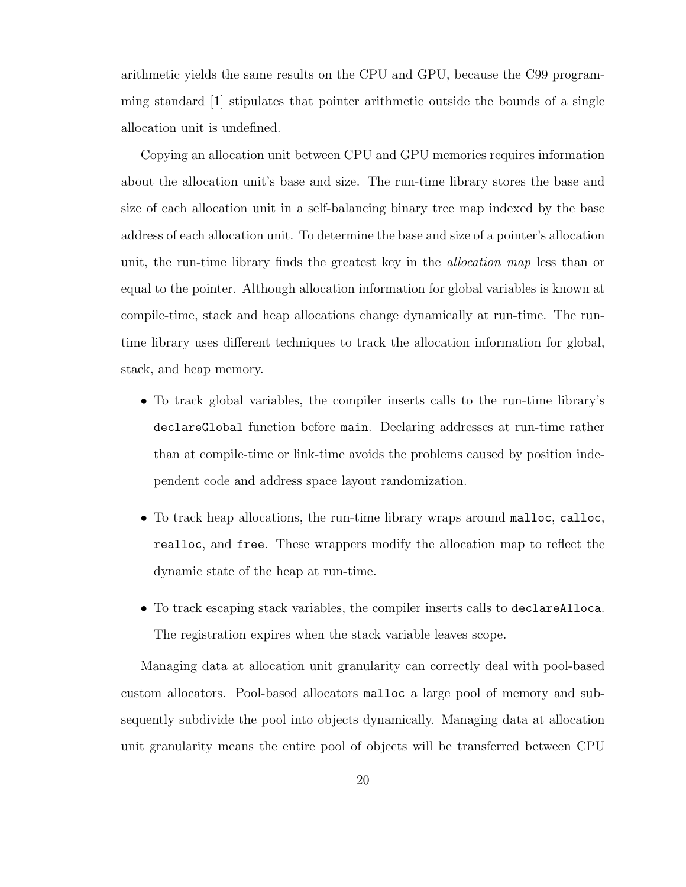arithmetic yields the same results on the CPU and GPU, because the C99 programming standard [1] stipulates that pointer arithmetic outside the bounds of a single allocation unit is undefined.

Copying an allocation unit between CPU and GPU memories requires information about the allocation unit's base and size. The run-time library stores the base and size of each allocation unit in a self-balancing binary tree map indexed by the base address of each allocation unit. To determine the base and size of a pointer's allocation unit, the run-time library finds the greatest key in the allocation map less than or equal to the pointer. Although allocation information for global variables is known at compile-time, stack and heap allocations change dynamically at run-time. The runtime library uses different techniques to track the allocation information for global, stack, and heap memory.

- To track global variables, the compiler inserts calls to the run-time library's declareGlobal function before main. Declaring addresses at run-time rather than at compile-time or link-time avoids the problems caused by position independent code and address space layout randomization.
- To track heap allocations, the run-time library wraps around malloc, calloc, realloc, and free. These wrappers modify the allocation map to reflect the dynamic state of the heap at run-time.
- To track escaping stack variables, the compiler inserts calls to declareAlloca. The registration expires when the stack variable leaves scope.

Managing data at allocation unit granularity can correctly deal with pool-based custom allocators. Pool-based allocators malloc a large pool of memory and subsequently subdivide the pool into objects dynamically. Managing data at allocation unit granularity means the entire pool of objects will be transferred between CPU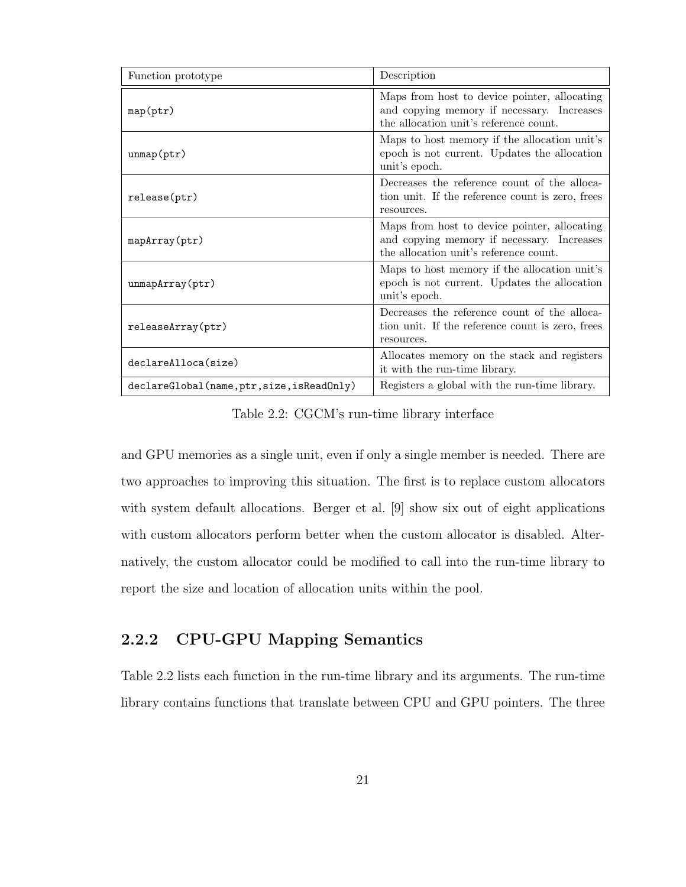| Function prototype                         | Description                                                                                                                          |  |  |  |
|--------------------------------------------|--------------------------------------------------------------------------------------------------------------------------------------|--|--|--|
| map(ptr)                                   | Maps from host to device pointer, allocating<br>and copying memory if necessary. Increases<br>the allocation unit's reference count. |  |  |  |
| $\text{unmap}(\text{ptr})$                 | Maps to host memory if the allocation unit's<br>epoch is not current. Updates the allocation<br>unit's epoch.                        |  |  |  |
| release(ptr)                               | Decreases the reference count of the alloca-<br>tion unit. If the reference count is zero, frees<br>resources.                       |  |  |  |
| mapArray(ptr)                              | Maps from host to device pointer, allocating<br>and copying memory if necessary. Increases<br>the allocation unit's reference count. |  |  |  |
| $\text{unmapArray}(\text{ptr})$            | Maps to host memory if the allocation unit's<br>epoch is not current. Updates the allocation<br>unit's epoch.                        |  |  |  |
| releaseArray(ptr)                          | Decreases the reference count of the alloca-<br>tion unit. If the reference count is zero, frees<br>resources.                       |  |  |  |
| declareAlloca(size)                        | Allocates memory on the stack and registers<br>it with the run-time library.                                                         |  |  |  |
| declareGlobal(name, ptr, size, isReadOnly) | Registers a global with the run-time library.                                                                                        |  |  |  |

Table 2.2: CGCM's run-time library interface

and GPU memories as a single unit, even if only a single member is needed. There are two approaches to improving this situation. The first is to replace custom allocators with system default allocations. Berger et al. [9] show six out of eight applications with custom allocators perform better when the custom allocator is disabled. Alternatively, the custom allocator could be modified to call into the run-time library to report the size and location of allocation units within the pool.

### 2.2.2 CPU-GPU Mapping Semantics

Table 2.2 lists each function in the run-time library and its arguments. The run-time library contains functions that translate between CPU and GPU pointers. The three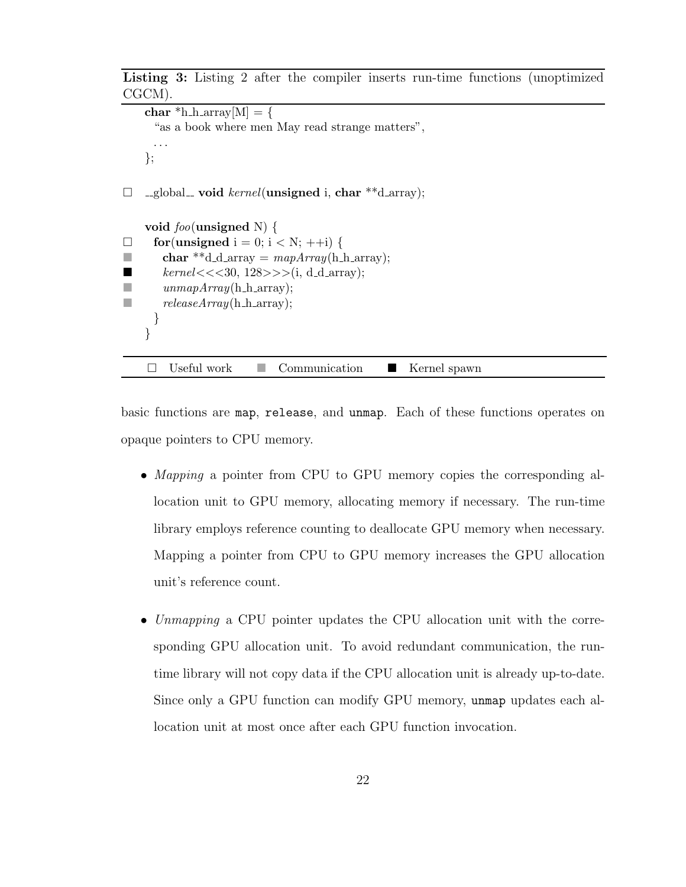Listing 3: Listing 2 after the compiler inserts run-time functions (unoptimized CGCM).

```
char *h_h_array[M] = \{"as a book where men May read strange matters",
     . . .
   };
\Box _global_ void kernel(unsigned i, char **d_array);
   void foo(unsigned N) {
\Box for (unsigned i = 0; i < N; ++i) {
char **d_d_array = mapArray(h_harrow);
■ kernel \lt \lt \lt 30, 128 \gt \gt \gt (i, d_d = array);\Box unmapArray(h_h_array);
\blacksquare releaseArray(h_h_array);
     }
   }
    \Box Useful work \Box Communication \Box Kernel spawn
```
basic functions are map, release, and unmap. Each of these functions operates on opaque pointers to CPU memory.

- Mapping a pointer from CPU to GPU memory copies the corresponding allocation unit to GPU memory, allocating memory if necessary. The run-time library employs reference counting to deallocate GPU memory when necessary. Mapping a pointer from CPU to GPU memory increases the GPU allocation unit's reference count.
- Unmapping a CPU pointer updates the CPU allocation unit with the corresponding GPU allocation unit. To avoid redundant communication, the runtime library will not copy data if the CPU allocation unit is already up-to-date. Since only a GPU function can modify GPU memory, unmap updates each allocation unit at most once after each GPU function invocation.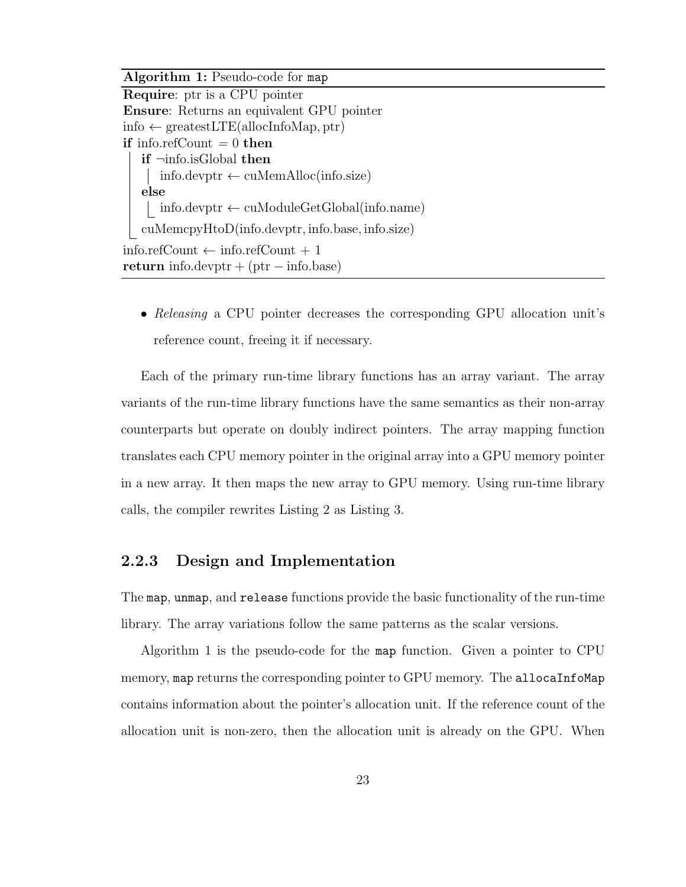Algorithm 1: Pseudo-code for map

Require: ptr is a CPU pointer Ensure: Returns an equivalent GPU pointer info ← greatestLTE(allocInfoMap, ptr) if info.refCount  $= 0$  then if ¬info.isGlobal then  $info.devptr \leftarrow cuMemAlloc(info.size)$ else info.devptr ← cuModuleGetGlobal(info.name) cuMemcpyHtoD(info.devptr, info.base, info.size) info.refCount ← info.refCount + 1 return info.devptr + (ptr – info.base)

• Releasing a CPU pointer decreases the corresponding GPU allocation unit's reference count, freeing it if necessary.

Each of the primary run-time library functions has an array variant. The array variants of the run-time library functions have the same semantics as their non-array counterparts but operate on doubly indirect pointers. The array mapping function translates each CPU memory pointer in the original array into a GPU memory pointer in a new array. It then maps the new array to GPU memory. Using run-time library calls, the compiler rewrites Listing 2 as Listing 3.

#### 2.2.3 Design and Implementation

The map, unmap, and release functions provide the basic functionality of the run-time library. The array variations follow the same patterns as the scalar versions.

Algorithm 1 is the pseudo-code for the map function. Given a pointer to CPU memory, map returns the corresponding pointer to GPU memory. The allocaInfoMap contains information about the pointer's allocation unit. If the reference count of the allocation unit is non-zero, then the allocation unit is already on the GPU. When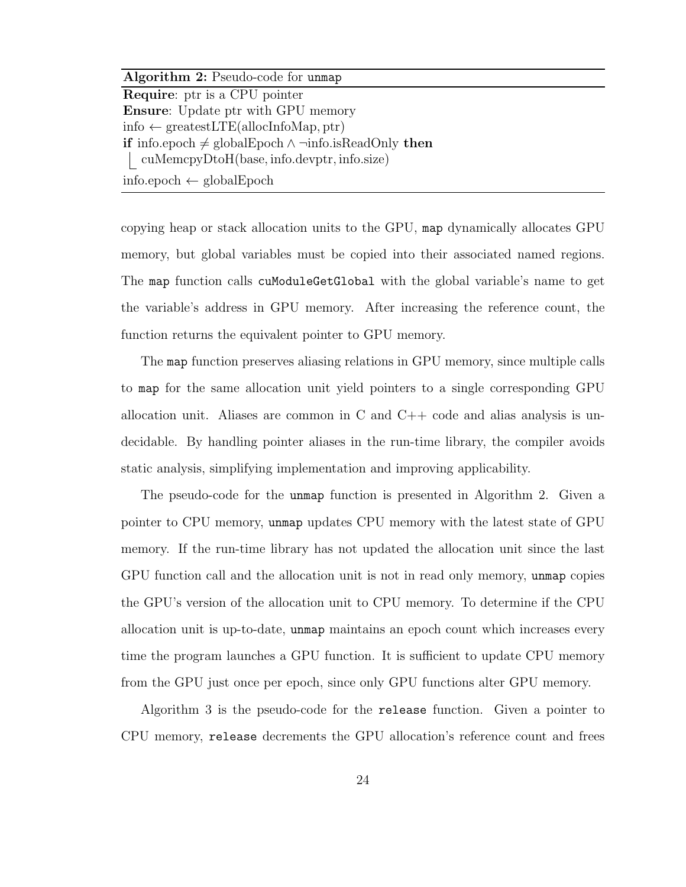Algorithm 2: Pseudo-code for unmap Require: ptr is a CPU pointer Ensure: Update ptr with GPU memory info  $\leftarrow$  greatestLTE(allocInfoMap, ptr) **if** info.epoch  $\neq$  globalEpoch ∧ ¬info.isReadOnly **then** cuMemcpyDtoH(base, info.devptr, info.size) info.epoch ← globalEpoch

copying heap or stack allocation units to the GPU, map dynamically allocates GPU memory, but global variables must be copied into their associated named regions. The map function calls cuModuleGetGlobal with the global variable's name to get the variable's address in GPU memory. After increasing the reference count, the function returns the equivalent pointer to GPU memory.

The map function preserves aliasing relations in GPU memory, since multiple calls to map for the same allocation unit yield pointers to a single corresponding GPU allocation unit. Aliases are common in C and  $C++$  code and alias analysis is undecidable. By handling pointer aliases in the run-time library, the compiler avoids static analysis, simplifying implementation and improving applicability.

The pseudo-code for the unmap function is presented in Algorithm 2. Given a pointer to CPU memory, unmap updates CPU memory with the latest state of GPU memory. If the run-time library has not updated the allocation unit since the last GPU function call and the allocation unit is not in read only memory, unmap copies the GPU's version of the allocation unit to CPU memory. To determine if the CPU allocation unit is up-to-date, unmap maintains an epoch count which increases every time the program launches a GPU function. It is sufficient to update CPU memory from the GPU just once per epoch, since only GPU functions alter GPU memory.

Algorithm 3 is the pseudo-code for the release function. Given a pointer to CPU memory, release decrements the GPU allocation's reference count and frees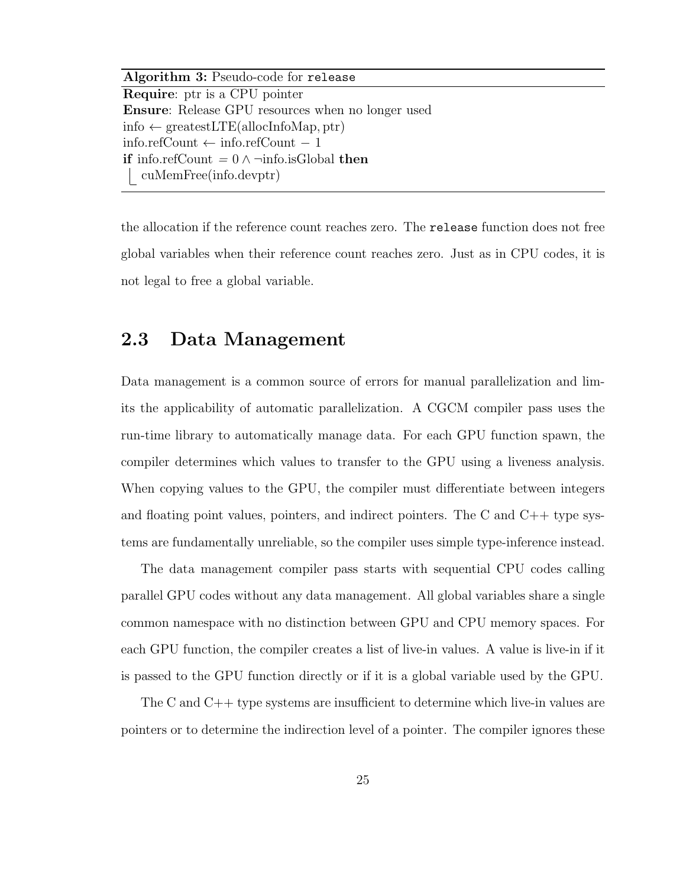Algorithm 3: Pseudo-code for release Require: ptr is a CPU pointer Ensure: Release GPU resources when no longer used info  $\leftarrow$  greatestLTE(allocInfoMap, ptr) info.refCount ← info.refCount − 1 **if** info.refCount =  $0 \wedge \neg$ info.isGlobal **then** cuMemFree(info.devptr)

the allocation if the reference count reaches zero. The release function does not free global variables when their reference count reaches zero. Just as in CPU codes, it is not legal to free a global variable.

### 2.3 Data Management

Data management is a common source of errors for manual parallelization and limits the applicability of automatic parallelization. A CGCM compiler pass uses the run-time library to automatically manage data. For each GPU function spawn, the compiler determines which values to transfer to the GPU using a liveness analysis. When copying values to the GPU, the compiler must differentiate between integers and floating point values, pointers, and indirect pointers. The C and  $C_{++}$  type systems are fundamentally unreliable, so the compiler uses simple type-inference instead.

The data management compiler pass starts with sequential CPU codes calling parallel GPU codes without any data management. All global variables share a single common namespace with no distinction between GPU and CPU memory spaces. For each GPU function, the compiler creates a list of live-in values. A value is live-in if it is passed to the GPU function directly or if it is a global variable used by the GPU.

The C and C++ type systems are insufficient to determine which live-in values are pointers or to determine the indirection level of a pointer. The compiler ignores these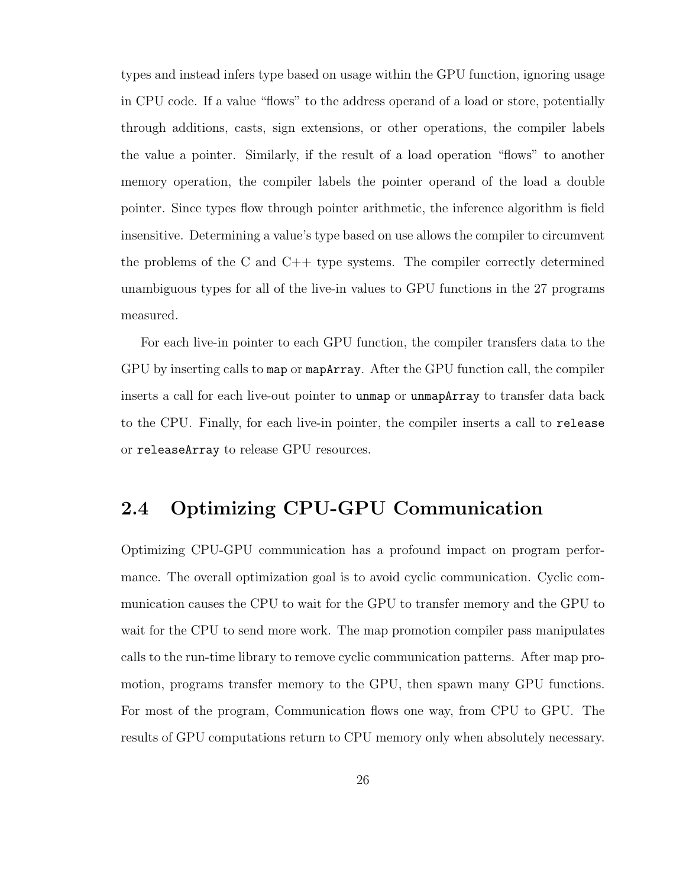types and instead infers type based on usage within the GPU function, ignoring usage in CPU code. If a value "flows" to the address operand of a load or store, potentially through additions, casts, sign extensions, or other operations, the compiler labels the value a pointer. Similarly, if the result of a load operation "flows" to another memory operation, the compiler labels the pointer operand of the load a double pointer. Since types flow through pointer arithmetic, the inference algorithm is field insensitive. Determining a value's type based on use allows the compiler to circumvent the problems of the C and C++ type systems. The compiler correctly determined unambiguous types for all of the live-in values to GPU functions in the 27 programs measured.

For each live-in pointer to each GPU function, the compiler transfers data to the GPU by inserting calls to map or mapArray. After the GPU function call, the compiler inserts a call for each live-out pointer to unmap or unmapArray to transfer data back to the CPU. Finally, for each live-in pointer, the compiler inserts a call to release or releaseArray to release GPU resources.

### 2.4 Optimizing CPU-GPU Communication

Optimizing CPU-GPU communication has a profound impact on program performance. The overall optimization goal is to avoid cyclic communication. Cyclic communication causes the CPU to wait for the GPU to transfer memory and the GPU to wait for the CPU to send more work. The map promotion compiler pass manipulates calls to the run-time library to remove cyclic communication patterns. After map promotion, programs transfer memory to the GPU, then spawn many GPU functions. For most of the program, Communication flows one way, from CPU to GPU. The results of GPU computations return to CPU memory only when absolutely necessary.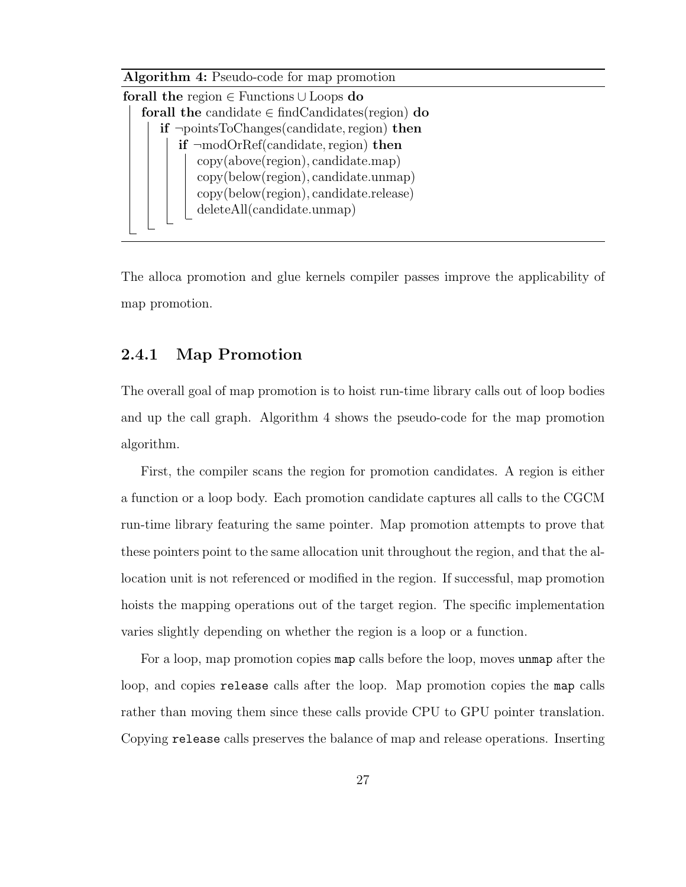

The alloca promotion and glue kernels compiler passes improve the applicability of map promotion.

#### 2.4.1 Map Promotion

The overall goal of map promotion is to hoist run-time library calls out of loop bodies and up the call graph. Algorithm 4 shows the pseudo-code for the map promotion algorithm.

First, the compiler scans the region for promotion candidates. A region is either a function or a loop body. Each promotion candidate captures all calls to the CGCM run-time library featuring the same pointer. Map promotion attempts to prove that these pointers point to the same allocation unit throughout the region, and that the allocation unit is not referenced or modified in the region. If successful, map promotion hoists the mapping operations out of the target region. The specific implementation varies slightly depending on whether the region is a loop or a function.

For a loop, map promotion copies map calls before the loop, moves unmap after the loop, and copies release calls after the loop. Map promotion copies the map calls rather than moving them since these calls provide CPU to GPU pointer translation. Copying release calls preserves the balance of map and release operations. Inserting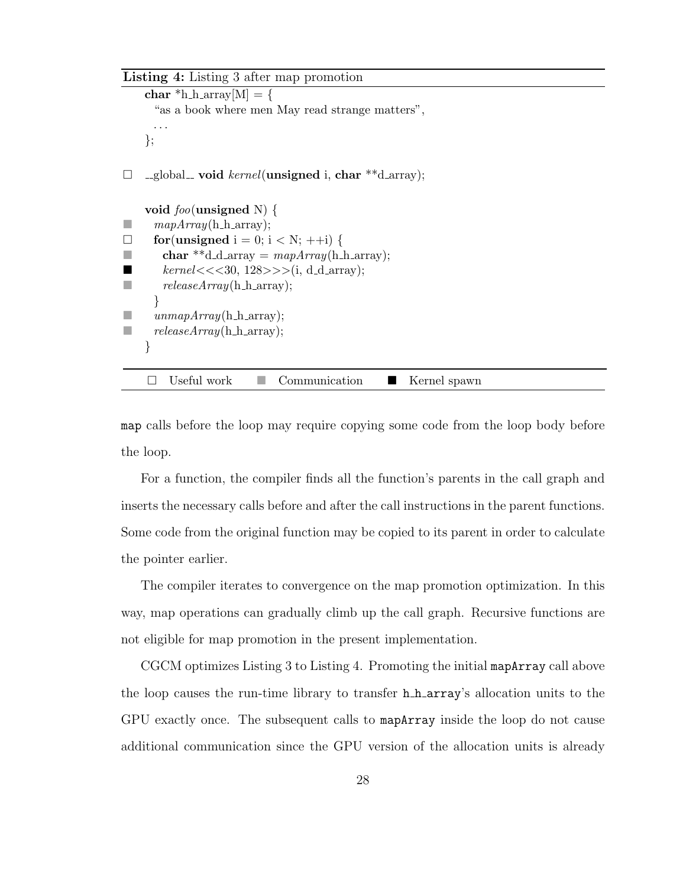Listing 4: Listing 3 after map promotion

```
char *h_harary[M] = \{"as a book where men May read strange matters",
     . . .
    };
\Box _global_ void kernel(unsigned i, char **d_array);
    void foo(unsigned N) {
\Box mapArray(h_h_array);
\Box for(unsigned i = 0; i < N; ++i) {
char **d_d_array = mapArray(h_harrow; x);
■ kernel \lt \lt \lt 30, 128 \gt \gt \gt (i, d_d = array);\blacksquare releaseArray(h_h_array);
     }
     unmapArray(h_harrow);
\blacksquare releaseArray(h_h_array);
    }
    \Box Useful work \Box Communication \Box Kernel spawn
```
map calls before the loop may require copying some code from the loop body before the loop.

For a function, the compiler finds all the function's parents in the call graph and inserts the necessary calls before and after the call instructions in the parent functions. Some code from the original function may be copied to its parent in order to calculate the pointer earlier.

The compiler iterates to convergence on the map promotion optimization. In this way, map operations can gradually climb up the call graph. Recursive functions are not eligible for map promotion in the present implementation.

CGCM optimizes Listing 3 to Listing 4. Promoting the initial mapArray call above the loop causes the run-time library to transfer h h array's allocation units to the GPU exactly once. The subsequent calls to mapArray inside the loop do not cause additional communication since the GPU version of the allocation units is already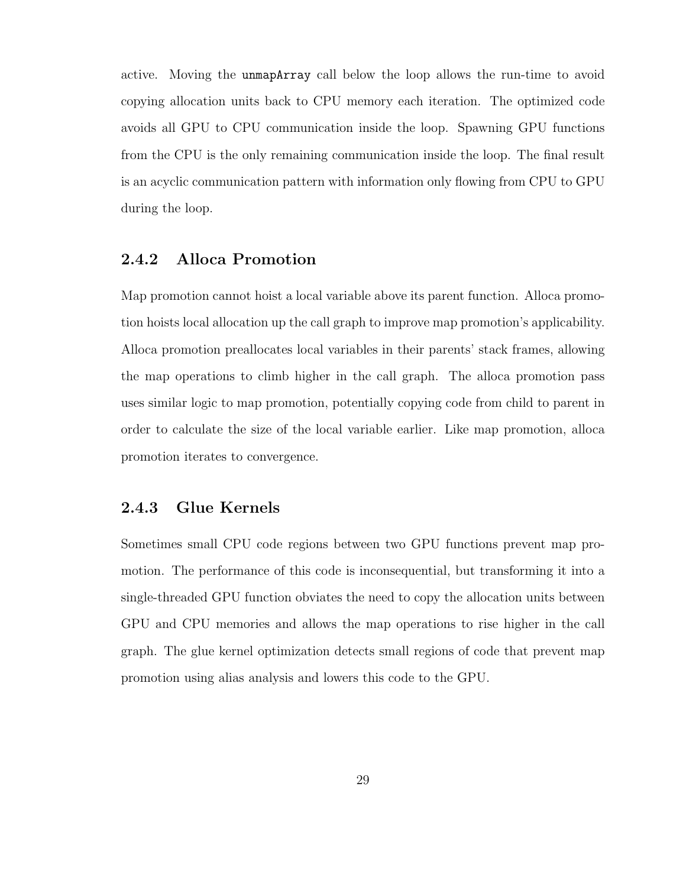active. Moving the unmapArray call below the loop allows the run-time to avoid copying allocation units back to CPU memory each iteration. The optimized code avoids all GPU to CPU communication inside the loop. Spawning GPU functions from the CPU is the only remaining communication inside the loop. The final result is an acyclic communication pattern with information only flowing from CPU to GPU during the loop.

## 2.4.2 Alloca Promotion

Map promotion cannot hoist a local variable above its parent function. Alloca promotion hoists local allocation up the call graph to improve map promotion's applicability. Alloca promotion preallocates local variables in their parents' stack frames, allowing the map operations to climb higher in the call graph. The alloca promotion pass uses similar logic to map promotion, potentially copying code from child to parent in order to calculate the size of the local variable earlier. Like map promotion, alloca promotion iterates to convergence.

### 2.4.3 Glue Kernels

Sometimes small CPU code regions between two GPU functions prevent map promotion. The performance of this code is inconsequential, but transforming it into a single-threaded GPU function obviates the need to copy the allocation units between GPU and CPU memories and allows the map operations to rise higher in the call graph. The glue kernel optimization detects small regions of code that prevent map promotion using alias analysis and lowers this code to the GPU.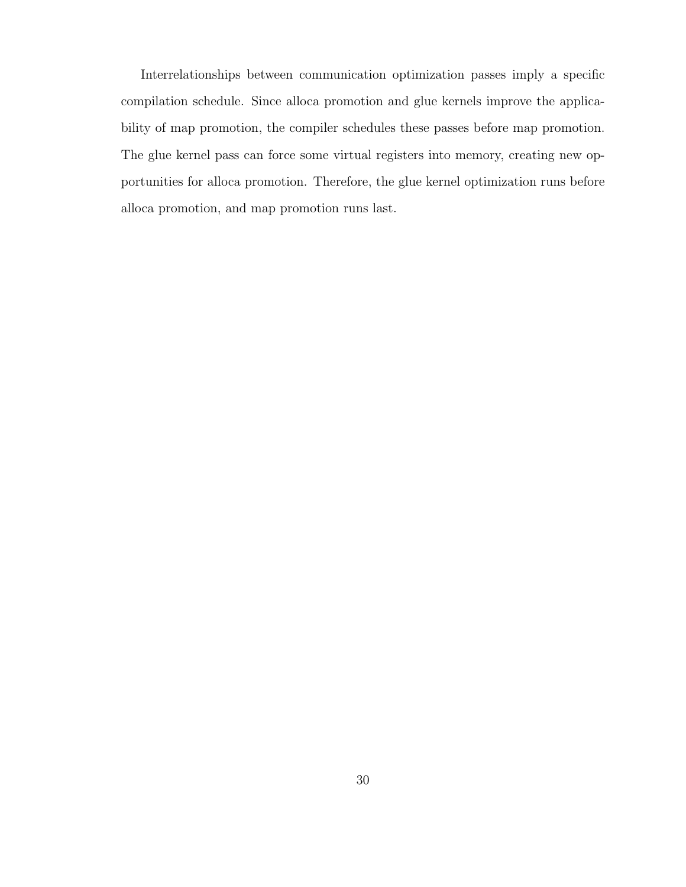Interrelationships between communication optimization passes imply a specific compilation schedule. Since alloca promotion and glue kernels improve the applicability of map promotion, the compiler schedules these passes before map promotion. The glue kernel pass can force some virtual registers into memory, creating new opportunities for alloca promotion. Therefore, the glue kernel optimization runs before alloca promotion, and map promotion runs last.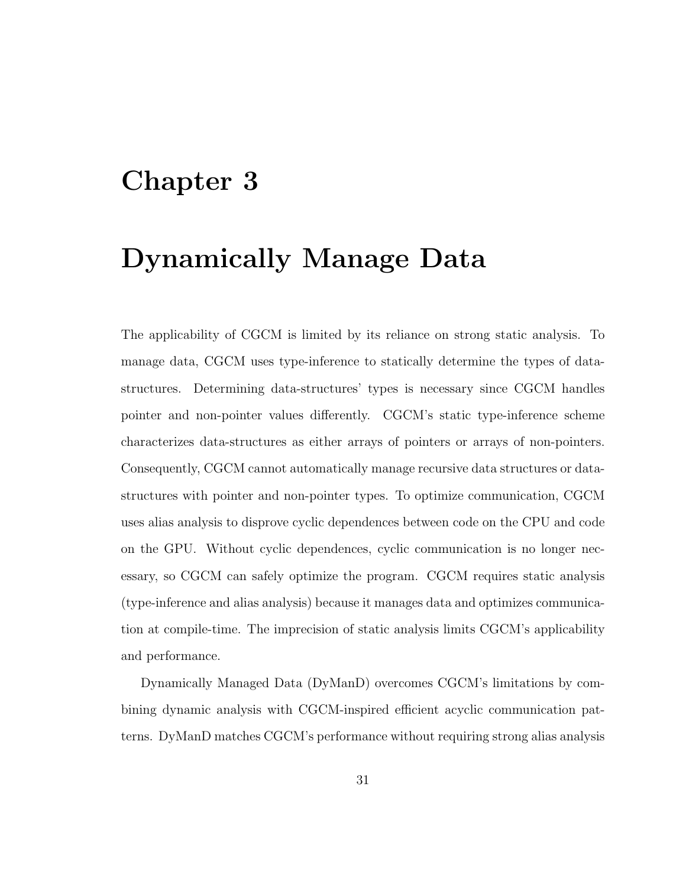## Chapter 3

## Dynamically Manage Data

The applicability of CGCM is limited by its reliance on strong static analysis. To manage data, CGCM uses type-inference to statically determine the types of datastructures. Determining data-structures' types is necessary since CGCM handles pointer and non-pointer values differently. CGCM's static type-inference scheme characterizes data-structures as either arrays of pointers or arrays of non-pointers. Consequently, CGCM cannot automatically manage recursive data structures or datastructures with pointer and non-pointer types. To optimize communication, CGCM uses alias analysis to disprove cyclic dependences between code on the CPU and code on the GPU. Without cyclic dependences, cyclic communication is no longer necessary, so CGCM can safely optimize the program. CGCM requires static analysis (type-inference and alias analysis) because it manages data and optimizes communication at compile-time. The imprecision of static analysis limits CGCM's applicability and performance.

Dynamically Managed Data (DyManD) overcomes CGCM's limitations by combining dynamic analysis with CGCM-inspired efficient acyclic communication patterns. DyManD matches CGCM's performance without requiring strong alias analysis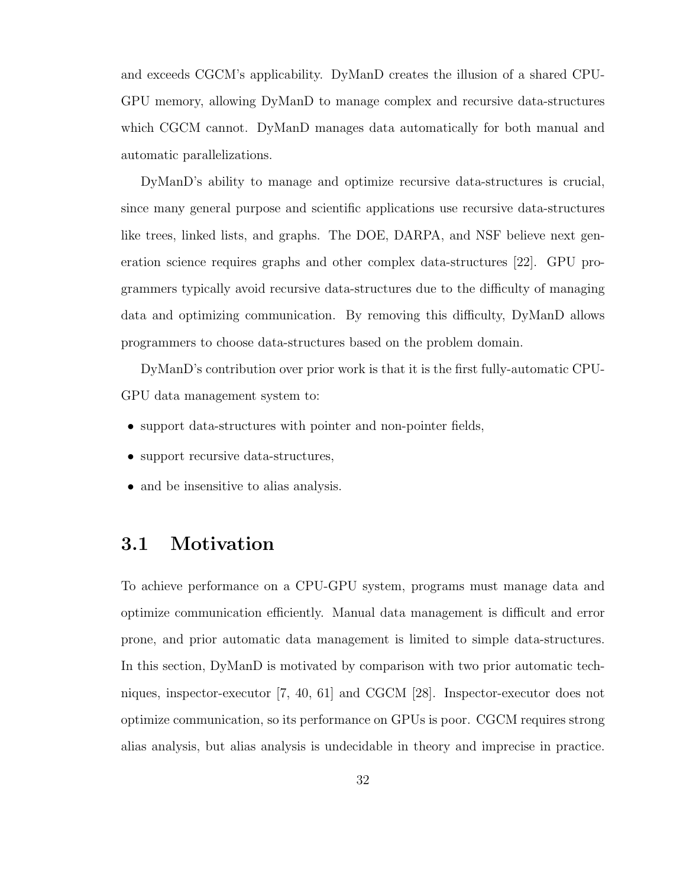and exceeds CGCM's applicability. DyManD creates the illusion of a shared CPU-GPU memory, allowing DyManD to manage complex and recursive data-structures which CGCM cannot. DyManD manages data automatically for both manual and automatic parallelizations.

DyManD's ability to manage and optimize recursive data-structures is crucial, since many general purpose and scientific applications use recursive data-structures like trees, linked lists, and graphs. The DOE, DARPA, and NSF believe next generation science requires graphs and other complex data-structures [22]. GPU programmers typically avoid recursive data-structures due to the difficulty of managing data and optimizing communication. By removing this difficulty, DyManD allows programmers to choose data-structures based on the problem domain.

DyManD's contribution over prior work is that it is the first fully-automatic CPU-GPU data management system to:

- support data-structures with pointer and non-pointer fields,
- support recursive data-structures,
- and be insensitive to alias analysis.

## 3.1 Motivation

To achieve performance on a CPU-GPU system, programs must manage data and optimize communication efficiently. Manual data management is difficult and error prone, and prior automatic data management is limited to simple data-structures. In this section, DyManD is motivated by comparison with two prior automatic techniques, inspector-executor [7, 40, 61] and CGCM [28]. Inspector-executor does not optimize communication, so its performance on GPUs is poor. CGCM requires strong alias analysis, but alias analysis is undecidable in theory and imprecise in practice.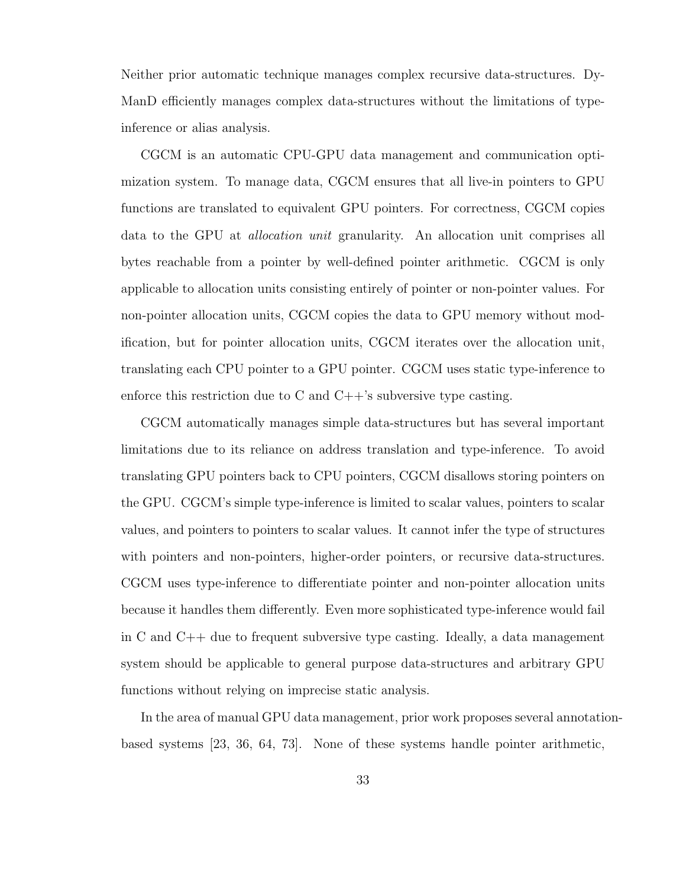Neither prior automatic technique manages complex recursive data-structures. Dy-ManD efficiently manages complex data-structures without the limitations of typeinference or alias analysis.

CGCM is an automatic CPU-GPU data management and communication optimization system. To manage data, CGCM ensures that all live-in pointers to GPU functions are translated to equivalent GPU pointers. For correctness, CGCM copies data to the GPU at allocation unit granularity. An allocation unit comprises all bytes reachable from a pointer by well-defined pointer arithmetic. CGCM is only applicable to allocation units consisting entirely of pointer or non-pointer values. For non-pointer allocation units, CGCM copies the data to GPU memory without modification, but for pointer allocation units, CGCM iterates over the allocation unit, translating each CPU pointer to a GPU pointer. CGCM uses static type-inference to enforce this restriction due to C and  $C++$ 's subversive type casting.

CGCM automatically manages simple data-structures but has several important limitations due to its reliance on address translation and type-inference. To avoid translating GPU pointers back to CPU pointers, CGCM disallows storing pointers on the GPU. CGCM's simple type-inference is limited to scalar values, pointers to scalar values, and pointers to pointers to scalar values. It cannot infer the type of structures with pointers and non-pointers, higher-order pointers, or recursive data-structures. CGCM uses type-inference to differentiate pointer and non-pointer allocation units because it handles them differently. Even more sophisticated type-inference would fail in C and C++ due to frequent subversive type casting. Ideally, a data management system should be applicable to general purpose data-structures and arbitrary GPU functions without relying on imprecise static analysis.

In the area of manual GPU data management, prior work proposes several annotationbased systems [23, 36, 64, 73]. None of these systems handle pointer arithmetic,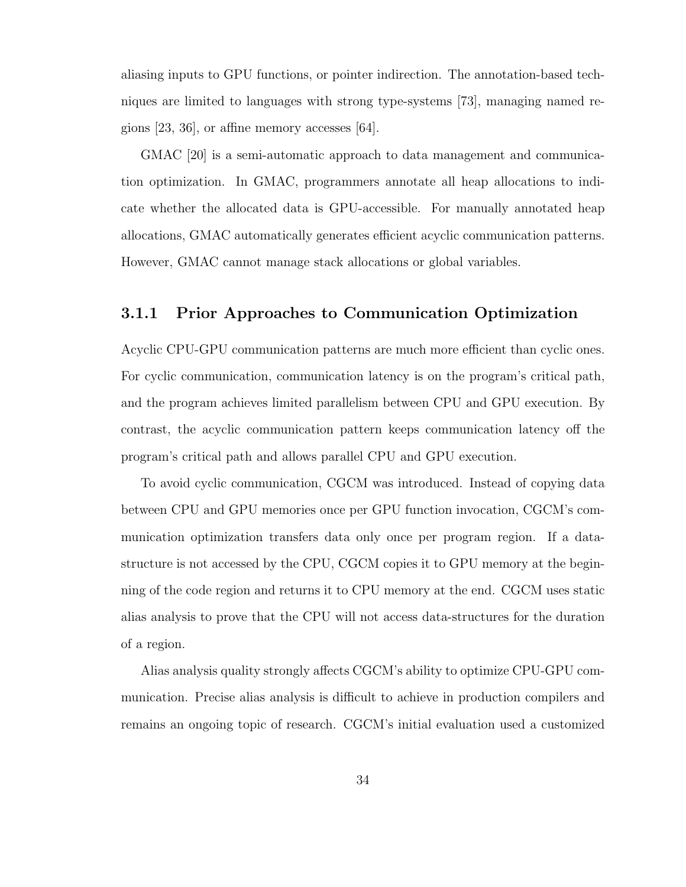aliasing inputs to GPU functions, or pointer indirection. The annotation-based techniques are limited to languages with strong type-systems [73], managing named regions [23, 36], or affine memory accesses [64].

GMAC [20] is a semi-automatic approach to data management and communication optimization. In GMAC, programmers annotate all heap allocations to indicate whether the allocated data is GPU-accessible. For manually annotated heap allocations, GMAC automatically generates efficient acyclic communication patterns. However, GMAC cannot manage stack allocations or global variables.

## 3.1.1 Prior Approaches to Communication Optimization

Acyclic CPU-GPU communication patterns are much more efficient than cyclic ones. For cyclic communication, communication latency is on the program's critical path, and the program achieves limited parallelism between CPU and GPU execution. By contrast, the acyclic communication pattern keeps communication latency off the program's critical path and allows parallel CPU and GPU execution.

To avoid cyclic communication, CGCM was introduced. Instead of copying data between CPU and GPU memories once per GPU function invocation, CGCM's communication optimization transfers data only once per program region. If a datastructure is not accessed by the CPU, CGCM copies it to GPU memory at the beginning of the code region and returns it to CPU memory at the end. CGCM uses static alias analysis to prove that the CPU will not access data-structures for the duration of a region.

Alias analysis quality strongly affects CGCM's ability to optimize CPU-GPU communication. Precise alias analysis is difficult to achieve in production compilers and remains an ongoing topic of research. CGCM's initial evaluation used a customized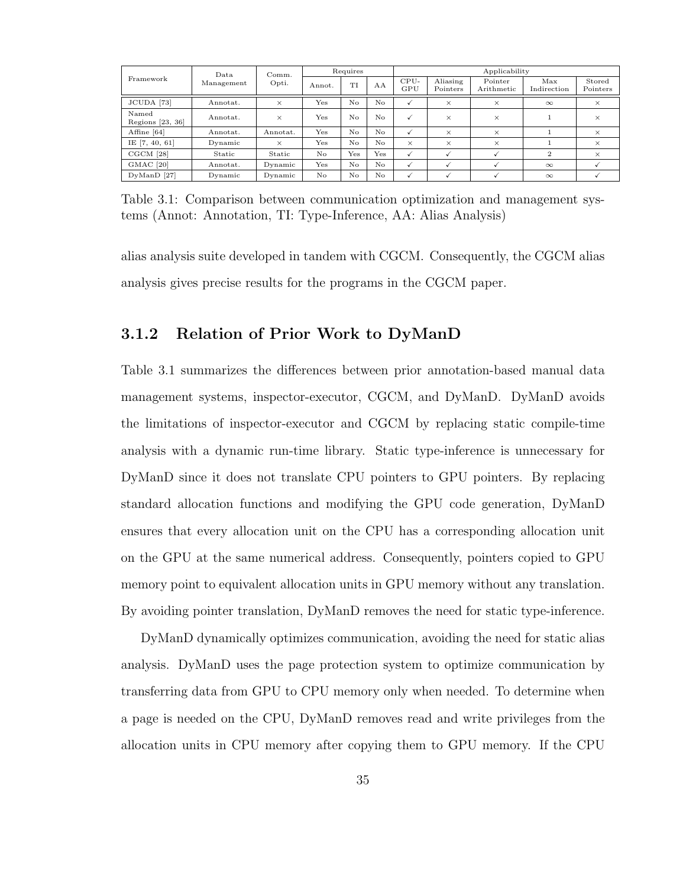| Framework                   | Data.<br>Management | Comm.<br>Opti. | Requires |     |          | Applicability |                      |                       |                    |                    |
|-----------------------------|---------------------|----------------|----------|-----|----------|---------------|----------------------|-----------------------|--------------------|--------------------|
|                             |                     |                | Annot.   | ТT  | AA       | CPU-<br>GPU   | Aliasing<br>Pointers | Pointer<br>Arithmetic | Max<br>Indirection | Stored<br>Pointers |
| JCUDA [73]                  | Annotat.            | $\times$       | Yes      | No  | No.      | $\checkmark$  | $\times$             | $\times$              | $\infty$           | $\times$           |
| Named<br>Regions $[23, 36]$ | Annotat.            | $\times$       | Yes      | No  | $\rm No$ | $\checkmark$  | $\times$             | $\times$              |                    | $\times$           |
| Affine [64]                 | Annotat.            | Annotat.       | Yes      | No  | No       | $\checkmark$  | $\times$             | $\times$              |                    | $\times$           |
| IE [7, 40, 61]              | Dynamic             | $\times$       | Yes      | No  | $\rm No$ | $\times$      | $\times$             | $\times$              |                    | $\times$           |
| CGCM [28]                   | Static              | Static         | No       | Yes | Yes      | $\checkmark$  |                      |                       | $\overline{2}$     | $\times$           |
| GMAC <sup>[20]</sup>        | Annotat.            | Dynamic        | Yes      | No  | No       | $\checkmark$  |                      |                       | $\infty$           |                    |
| $DvManD$ [27]               | Dynamic             | Dynamic        | No       | No  | $\rm No$ | $\checkmark$  |                      |                       | $\infty$           |                    |

Table 3.1: Comparison between communication optimization and management systems (Annot: Annotation, TI: Type-Inference, AA: Alias Analysis)

alias analysis suite developed in tandem with CGCM. Consequently, the CGCM alias analysis gives precise results for the programs in the CGCM paper.

### 3.1.2 Relation of Prior Work to DyManD

Table 3.1 summarizes the differences between prior annotation-based manual data management systems, inspector-executor, CGCM, and DyManD. DyManD avoids the limitations of inspector-executor and CGCM by replacing static compile-time analysis with a dynamic run-time library. Static type-inference is unnecessary for DyManD since it does not translate CPU pointers to GPU pointers. By replacing standard allocation functions and modifying the GPU code generation, DyManD ensures that every allocation unit on the CPU has a corresponding allocation unit on the GPU at the same numerical address. Consequently, pointers copied to GPU memory point to equivalent allocation units in GPU memory without any translation. By avoiding pointer translation, DyManD removes the need for static type-inference.

DyManD dynamically optimizes communication, avoiding the need for static alias analysis. DyManD uses the page protection system to optimize communication by transferring data from GPU to CPU memory only when needed. To determine when a page is needed on the CPU, DyManD removes read and write privileges from the allocation units in CPU memory after copying them to GPU memory. If the CPU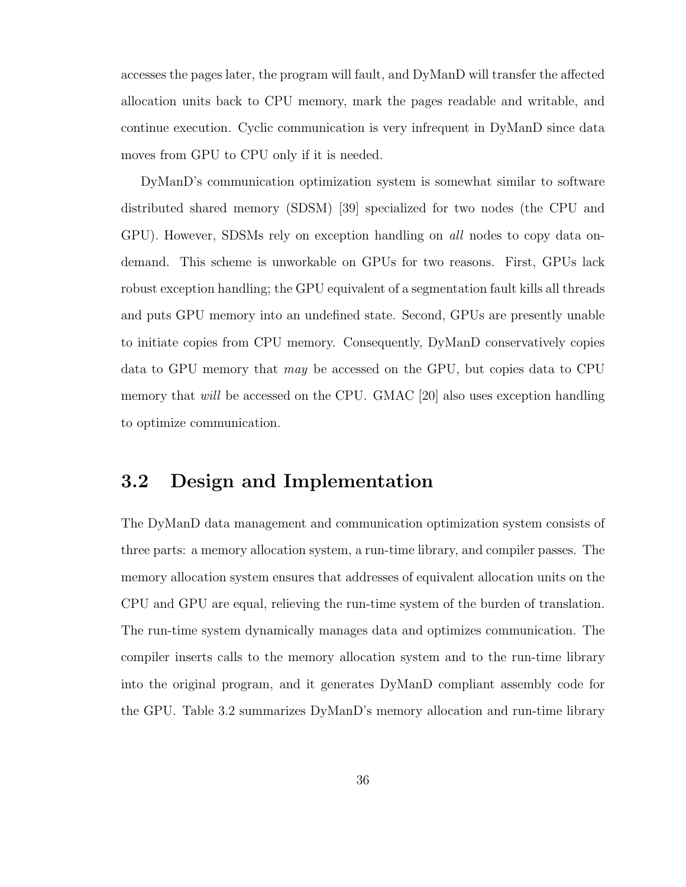accesses the pages later, the program will fault, and DyManD will transfer the affected allocation units back to CPU memory, mark the pages readable and writable, and continue execution. Cyclic communication is very infrequent in DyManD since data moves from GPU to CPU only if it is needed.

DyManD's communication optimization system is somewhat similar to software distributed shared memory (SDSM) [39] specialized for two nodes (the CPU and GPU). However, SDSMs rely on exception handling on all nodes to copy data ondemand. This scheme is unworkable on GPUs for two reasons. First, GPUs lack robust exception handling; the GPU equivalent of a segmentation fault kills all threads and puts GPU memory into an undefined state. Second, GPUs are presently unable to initiate copies from CPU memory. Consequently, DyManD conservatively copies data to GPU memory that may be accessed on the GPU, but copies data to CPU memory that *will* be accessed on the CPU. GMAC [20] also uses exception handling to optimize communication.

## 3.2 Design and Implementation

The DyManD data management and communication optimization system consists of three parts: a memory allocation system, a run-time library, and compiler passes. The memory allocation system ensures that addresses of equivalent allocation units on the CPU and GPU are equal, relieving the run-time system of the burden of translation. The run-time system dynamically manages data and optimizes communication. The compiler inserts calls to the memory allocation system and to the run-time library into the original program, and it generates DyManD compliant assembly code for the GPU. Table 3.2 summarizes DyManD's memory allocation and run-time library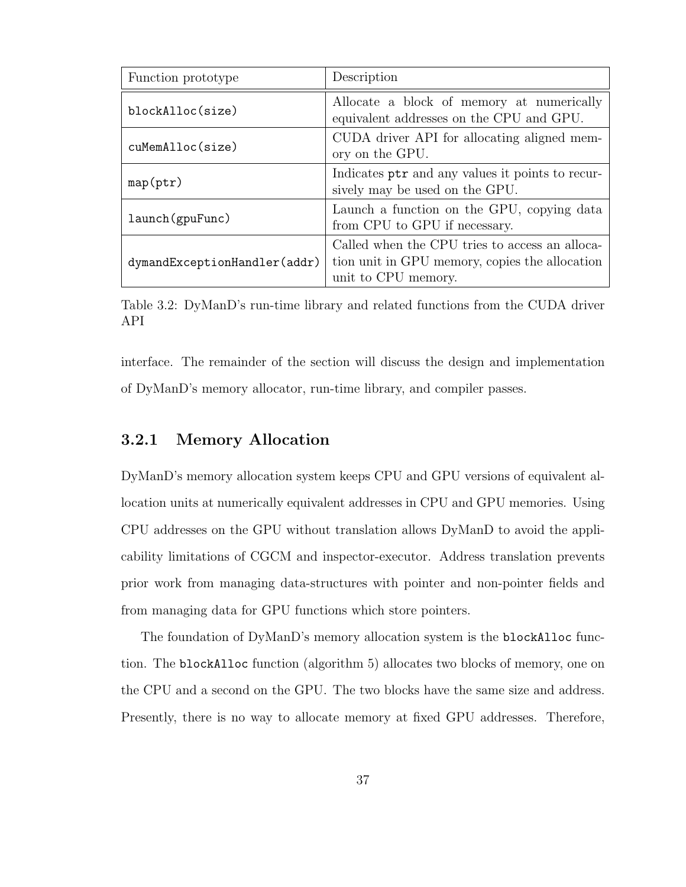| Function prototype           | Description                                                                                                             |  |  |  |
|------------------------------|-------------------------------------------------------------------------------------------------------------------------|--|--|--|
| blockAlloc(size)             | Allocate a block of memory at numerically<br>equivalent addresses on the CPU and GPU.                                   |  |  |  |
| cuMemAlloc(size)             | CUDA driver API for allocating aligned mem-<br>ory on the GPU.                                                          |  |  |  |
| map(ptr)                     | Indicates ptr and any values it points to recur-<br>sively may be used on the GPU.                                      |  |  |  |
| launch (gpuFunc)             | Launch a function on the GPU, copying data<br>from CPU to GPU if necessary.                                             |  |  |  |
| dymandExceptionHandler(addr) | Called when the CPU tries to access an alloca-<br>tion unit in GPU memory, copies the allocation<br>unit to CPU memory. |  |  |  |

Table 3.2: DyManD's run-time library and related functions from the CUDA driver API

interface. The remainder of the section will discuss the design and implementation of DyManD's memory allocator, run-time library, and compiler passes.

## 3.2.1 Memory Allocation

DyManD's memory allocation system keeps CPU and GPU versions of equivalent allocation units at numerically equivalent addresses in CPU and GPU memories. Using CPU addresses on the GPU without translation allows DyManD to avoid the applicability limitations of CGCM and inspector-executor. Address translation prevents prior work from managing data-structures with pointer and non-pointer fields and from managing data for GPU functions which store pointers.

The foundation of DyManD's memory allocation system is the blockAlloc function. The blockAlloc function (algorithm 5) allocates two blocks of memory, one on the CPU and a second on the GPU. The two blocks have the same size and address. Presently, there is no way to allocate memory at fixed GPU addresses. Therefore,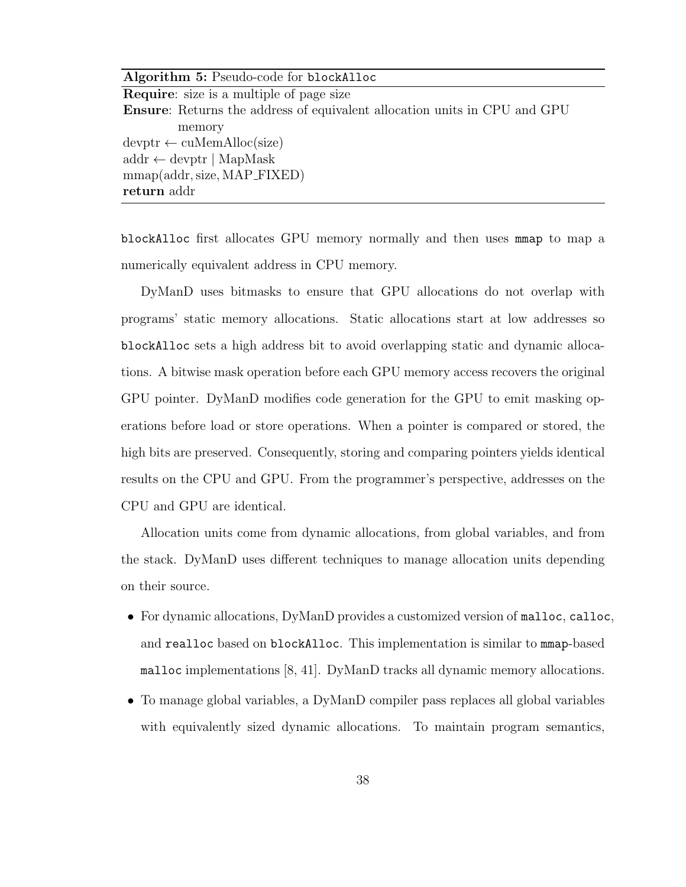| Algorithm 5: Pseudo-code for blockAlloc                                          |
|----------------------------------------------------------------------------------|
| <b>Require:</b> size is a multiple of page size                                  |
| <b>Ensure:</b> Returns the address of equivalent allocation units in CPU and GPU |
| memory                                                                           |
| $devptr \leftarrow cuMemAlice(size)$                                             |
| $\text{addr} \leftarrow \text{devptr} \mid \text{MapMask}$                       |
| mmap(addr, size, MAP_FIXED)                                                      |
| return addr                                                                      |

blockAlloc first allocates GPU memory normally and then uses mmap to map a numerically equivalent address in CPU memory.

DyManD uses bitmasks to ensure that GPU allocations do not overlap with programs' static memory allocations. Static allocations start at low addresses so blockAlloc sets a high address bit to avoid overlapping static and dynamic allocations. A bitwise mask operation before each GPU memory access recovers the original GPU pointer. DyManD modifies code generation for the GPU to emit masking operations before load or store operations. When a pointer is compared or stored, the high bits are preserved. Consequently, storing and comparing pointers yields identical results on the CPU and GPU. From the programmer's perspective, addresses on the CPU and GPU are identical.

Allocation units come from dynamic allocations, from global variables, and from the stack. DyManD uses different techniques to manage allocation units depending on their source.

- For dynamic allocations, DyManD provides a customized version of malloc, calloc, and realloc based on blockAlloc. This implementation is similar to mmap-based malloc implementations [8, 41]. DyManD tracks all dynamic memory allocations.
- To manage global variables, a DyManD compiler pass replaces all global variables with equivalently sized dynamic allocations. To maintain program semantics,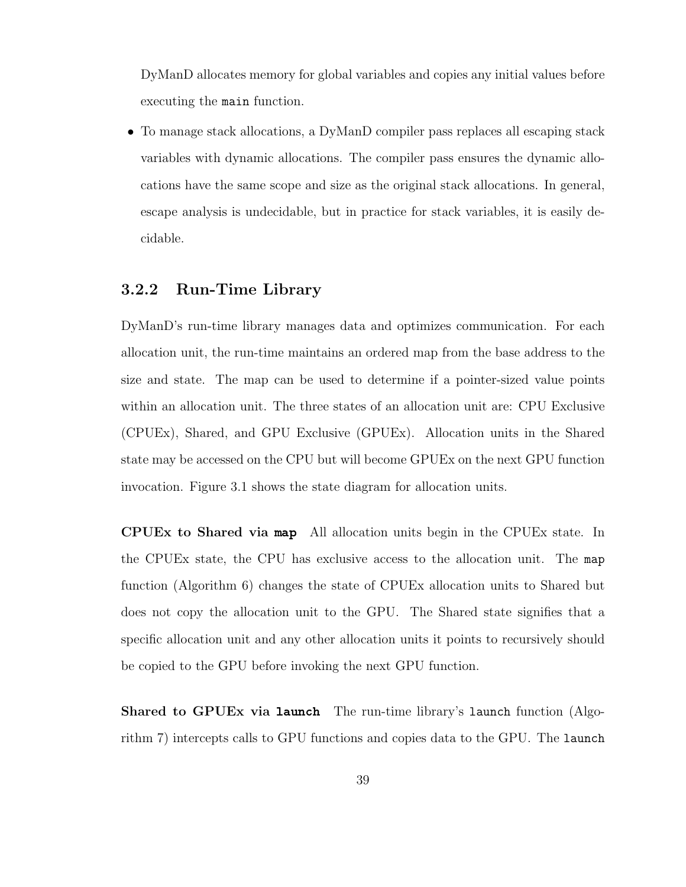DyManD allocates memory for global variables and copies any initial values before executing the main function.

• To manage stack allocations, a DyManD compiler pass replaces all escaping stack variables with dynamic allocations. The compiler pass ensures the dynamic allocations have the same scope and size as the original stack allocations. In general, escape analysis is undecidable, but in practice for stack variables, it is easily decidable.

### 3.2.2 Run-Time Library

DyManD's run-time library manages data and optimizes communication. For each allocation unit, the run-time maintains an ordered map from the base address to the size and state. The map can be used to determine if a pointer-sized value points within an allocation unit. The three states of an allocation unit are: CPU Exclusive (CPUEx), Shared, and GPU Exclusive (GPUEx). Allocation units in the Shared state may be accessed on the CPU but will become GPUEx on the next GPU function invocation. Figure 3.1 shows the state diagram for allocation units.

CPUEx to Shared via map All allocation units begin in the CPUEx state. In the CPUEx state, the CPU has exclusive access to the allocation unit. The map function (Algorithm 6) changes the state of CPUEx allocation units to Shared but does not copy the allocation unit to the GPU. The Shared state signifies that a specific allocation unit and any other allocation units it points to recursively should be copied to the GPU before invoking the next GPU function.

Shared to GPUEx via launch The run-time library's launch function (Algorithm 7) intercepts calls to GPU functions and copies data to the GPU. The launch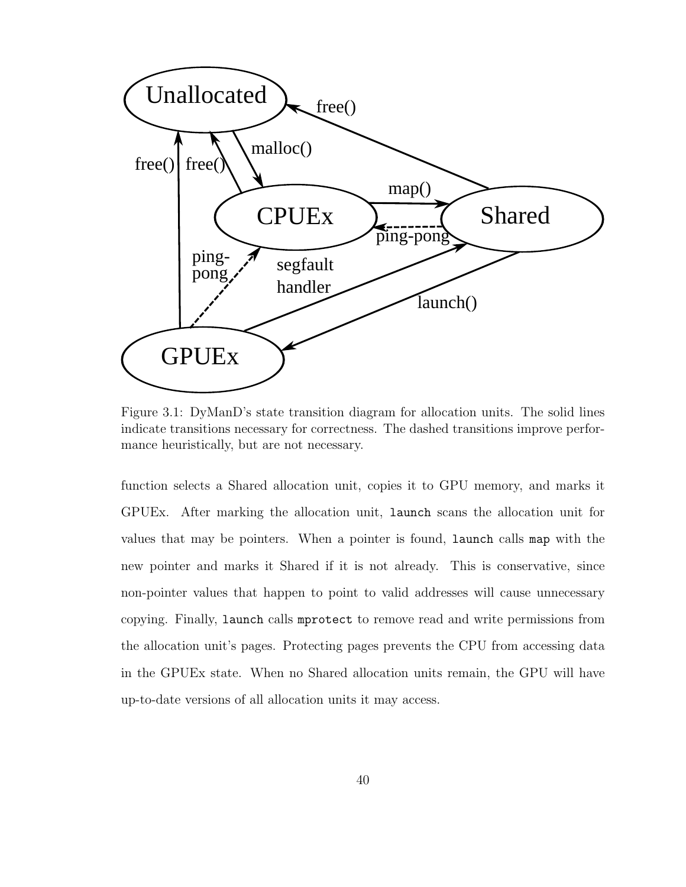

Figure 3.1: DyManD's state transition diagram for allocation units. The solid lines indicate transitions necessary for correctness. The dashed transitions improve performance heuristically, but are not necessary.

function selects a Shared allocation unit, copies it to GPU memory, and marks it GPUEx. After marking the allocation unit, launch scans the allocation unit for values that may be pointers. When a pointer is found, launch calls map with the new pointer and marks it Shared if it is not already. This is conservative, since non-pointer values that happen to point to valid addresses will cause unnecessary copying. Finally, launch calls mprotect to remove read and write permissions from the allocation unit's pages. Protecting pages prevents the CPU from accessing data in the GPUEx state. When no Shared allocation units remain, the GPU will have up-to-date versions of all allocation units it may access.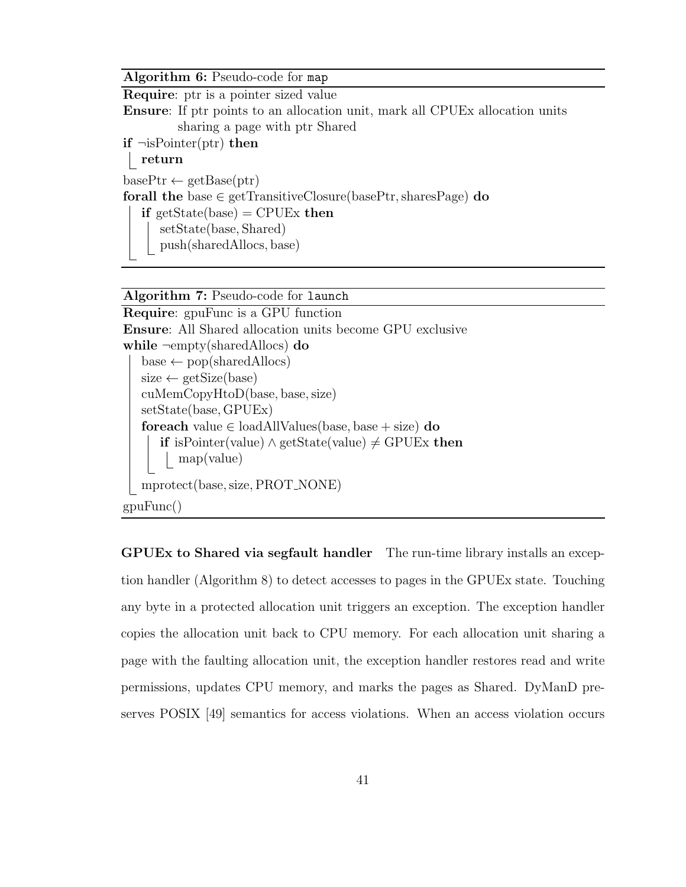Algorithm 6: Pseudo-code for map

Require: ptr is a pointer sized value Ensure: If ptr points to an allocation unit, mark all CPUEx allocation units sharing a page with ptr Shared  $if \neg isPointer(ptr) then$ return  $basePtr \leftarrow getBase(ptr)$ forall the base  $\in$  getTransitiveClosure(basePtr, sharesPage) do if getState(base) = CPUEx then setState(base, Shared) push(sharedAllocs, base)

Algorithm 7: Pseudo-code for launch

```
Require: gpuFunc is a GPU function
Ensure: All Shared allocation units become GPU exclusive
while \neg \text{empty}(\text{sharedAllocs}) do
   base \leftarrow pop(sharedAllocs)size \leftarrow getSize(base)cuMemCopyHtoD(base, base, size)
   setState(base, GPUEx)
   foreach value \in loadAllValues(base, base + size) do
      if isPointer(value) ∧ getState(value) \neq GPUEx then
         map(value)
  mprotect(base, size, PROT_NONE)
gpuFunc()
```
GPUEx to Shared via segfault handler The run-time library installs an exception handler (Algorithm 8) to detect accesses to pages in the GPUEx state. Touching any byte in a protected allocation unit triggers an exception. The exception handler copies the allocation unit back to CPU memory. For each allocation unit sharing a page with the faulting allocation unit, the exception handler restores read and write permissions, updates CPU memory, and marks the pages as Shared. DyManD preserves POSIX [49] semantics for access violations. When an access violation occurs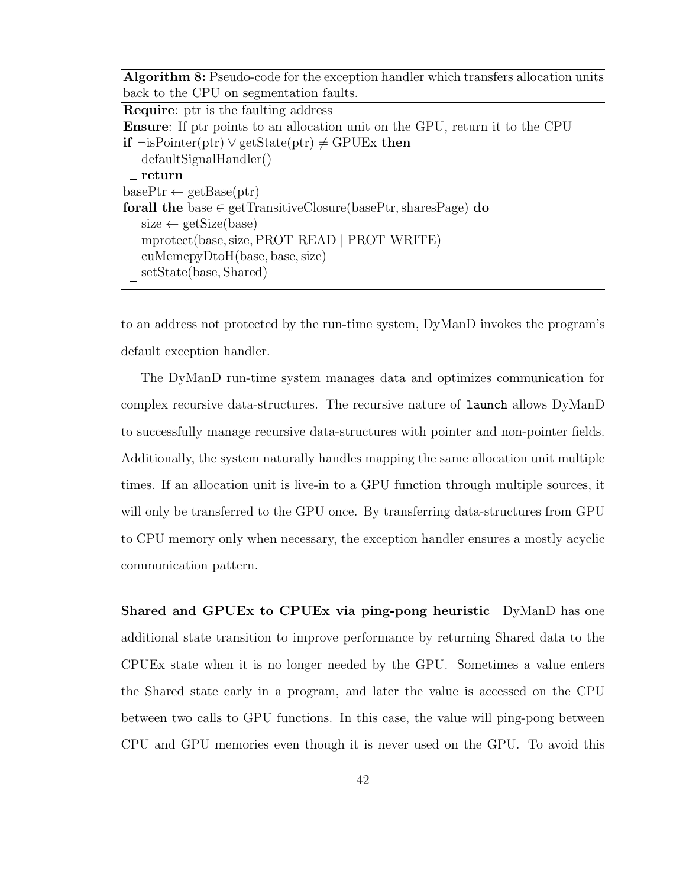Algorithm 8: Pseudo-code for the exception handler which transfers allocation units back to the CPU on segmentation faults.

Require: ptr is the faulting address Ensure: If ptr points to an allocation unit on the GPU, return it to the CPU **if**  $\neg$ isPointer(ptr)  $\lor$  getState(ptr)  $\neq$  GPUEx then defaultSignalHandler()  $\_$  return  $basePtr \leftarrow getBase(ptr)$ forall the base  $\in$  getTransitiveClosure(basePtr, sharesPage) do  $size \leftarrow getSize(base)$ mprotect(base,size, PROT READ | PROT WRITE) cuMemcpyDtoH(base, base, size) setState(base, Shared)

to an address not protected by the run-time system, DyManD invokes the program's default exception handler.

The DyManD run-time system manages data and optimizes communication for complex recursive data-structures. The recursive nature of launch allows DyManD to successfully manage recursive data-structures with pointer and non-pointer fields. Additionally, the system naturally handles mapping the same allocation unit multiple times. If an allocation unit is live-in to a GPU function through multiple sources, it will only be transferred to the GPU once. By transferring data-structures from GPU to CPU memory only when necessary, the exception handler ensures a mostly acyclic communication pattern.

Shared and GPUEx to CPUEx via ping-pong heuristic DyManD has one additional state transition to improve performance by returning Shared data to the CPUEx state when it is no longer needed by the GPU. Sometimes a value enters the Shared state early in a program, and later the value is accessed on the CPU between two calls to GPU functions. In this case, the value will ping-pong between CPU and GPU memories even though it is never used on the GPU. To avoid this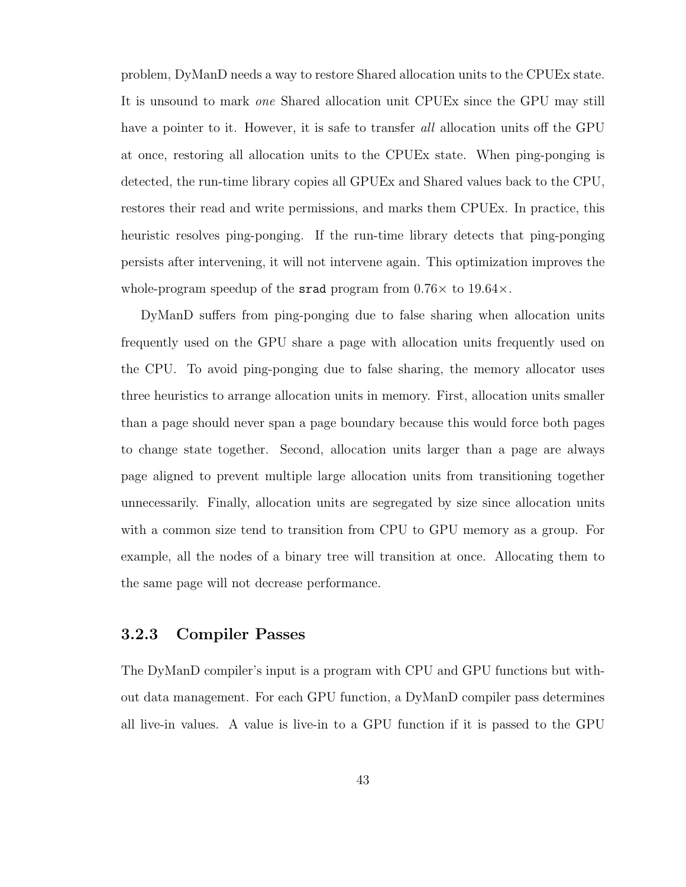problem, DyManD needs a way to restore Shared allocation units to the CPUEx state. It is unsound to mark one Shared allocation unit CPUEx since the GPU may still have a pointer to it. However, it is safe to transfer all allocation units off the GPU at once, restoring all allocation units to the CPUEx state. When ping-ponging is detected, the run-time library copies all GPUEx and Shared values back to the CPU, restores their read and write permissions, and marks them CPUEx. In practice, this heuristic resolves ping-ponging. If the run-time library detects that ping-ponging persists after intervening, it will not intervene again. This optimization improves the whole-program speedup of the srad program from  $0.76\times$  to  $19.64\times$ .

DyManD suffers from ping-ponging due to false sharing when allocation units frequently used on the GPU share a page with allocation units frequently used on the CPU. To avoid ping-ponging due to false sharing, the memory allocator uses three heuristics to arrange allocation units in memory. First, allocation units smaller than a page should never span a page boundary because this would force both pages to change state together. Second, allocation units larger than a page are always page aligned to prevent multiple large allocation units from transitioning together unnecessarily. Finally, allocation units are segregated by size since allocation units with a common size tend to transition from CPU to GPU memory as a group. For example, all the nodes of a binary tree will transition at once. Allocating them to the same page will not decrease performance.

### 3.2.3 Compiler Passes

The DyManD compiler's input is a program with CPU and GPU functions but without data management. For each GPU function, a DyManD compiler pass determines all live-in values. A value is live-in to a GPU function if it is passed to the GPU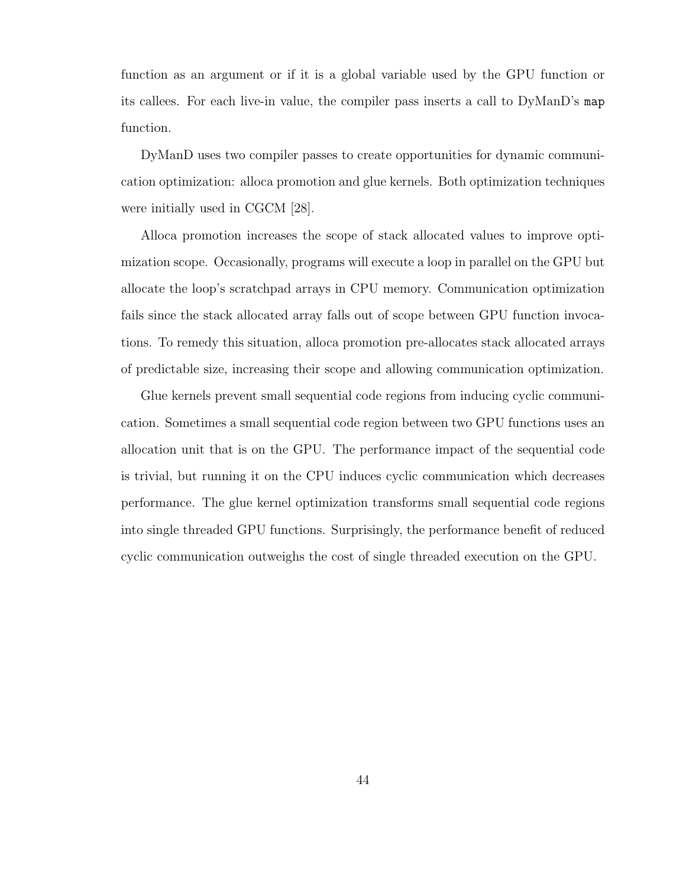function as an argument or if it is a global variable used by the GPU function or its callees. For each live-in value, the compiler pass inserts a call to DyManD's map function.

DyManD uses two compiler passes to create opportunities for dynamic communication optimization: alloca promotion and glue kernels. Both optimization techniques were initially used in CGCM [28].

Alloca promotion increases the scope of stack allocated values to improve optimization scope. Occasionally, programs will execute a loop in parallel on the GPU but allocate the loop's scratchpad arrays in CPU memory. Communication optimization fails since the stack allocated array falls out of scope between GPU function invocations. To remedy this situation, alloca promotion pre-allocates stack allocated arrays of predictable size, increasing their scope and allowing communication optimization.

Glue kernels prevent small sequential code regions from inducing cyclic communication. Sometimes a small sequential code region between two GPU functions uses an allocation unit that is on the GPU. The performance impact of the sequential code is trivial, but running it on the CPU induces cyclic communication which decreases performance. The glue kernel optimization transforms small sequential code regions into single threaded GPU functions. Surprisingly, the performance benefit of reduced cyclic communication outweighs the cost of single threaded execution on the GPU.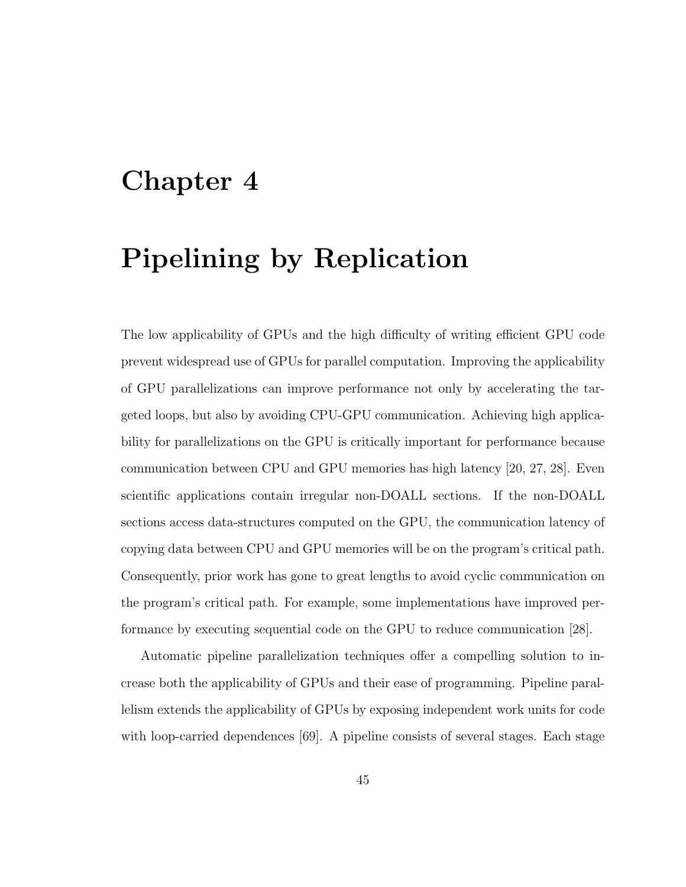# Chapter 4

# Pipelining by Replication

The low applicability of GPUs and the high difficulty of writing efficient GPU code prevent widespread use of GPUs for parallel computation. Improving the applicability of GPU parallelizations can improve performance not only by accelerating the targeted loops, but also by avoiding CPU-GPU communication. Achieving high applicability for parallelizations on the GPU is critically important for performance because communication between CPU and GPU memories has high latency [20, 27, 28]. Even scientific applications contain irregular non-DOALL sections. If the non-DOALL sections access data-structures computed on the GPU, the communication latency of copying data between CPU and GPU memories will be on the program's critical path. Consequently, prior work has gone to great lengths to avoid cyclic communication on the program's critical path. For example, some implementations have improved performance by executing sequential code on the GPU to reduce communication [28].

Automatic pipeline parallelization techniques offer a compelling solution to increase both the applicability of GPUs and their ease of programming. Pipeline parallelism extends the applicability of GPUs by exposing independent work units for code with loop-carried dependences [69]. A pipeline consists of several stages. Each stage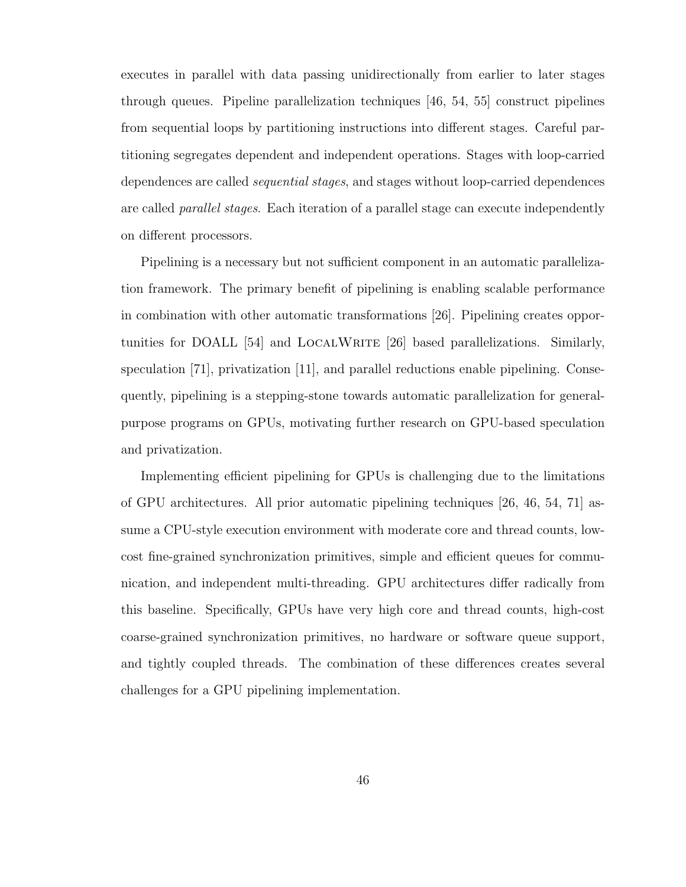executes in parallel with data passing unidirectionally from earlier to later stages through queues. Pipeline parallelization techniques [46, 54, 55] construct pipelines from sequential loops by partitioning instructions into different stages. Careful partitioning segregates dependent and independent operations. Stages with loop-carried dependences are called sequential stages, and stages without loop-carried dependences are called *parallel stages*. Each iteration of a parallel stage can execute independently on different processors.

Pipelining is a necessary but not sufficient component in an automatic parallelization framework. The primary benefit of pipelining is enabling scalable performance in combination with other automatic transformations [26]. Pipelining creates opportunities for DOALL [54] and LOCALWRITE [26] based parallelizations. Similarly, speculation [71], privatization [11], and parallel reductions enable pipelining. Consequently, pipelining is a stepping-stone towards automatic parallelization for generalpurpose programs on GPUs, motivating further research on GPU-based speculation and privatization.

Implementing efficient pipelining for GPUs is challenging due to the limitations of GPU architectures. All prior automatic pipelining techniques [26, 46, 54, 71] assume a CPU-style execution environment with moderate core and thread counts, lowcost fine-grained synchronization primitives, simple and efficient queues for communication, and independent multi-threading. GPU architectures differ radically from this baseline. Specifically, GPUs have very high core and thread counts, high-cost coarse-grained synchronization primitives, no hardware or software queue support, and tightly coupled threads. The combination of these differences creates several challenges for a GPU pipelining implementation.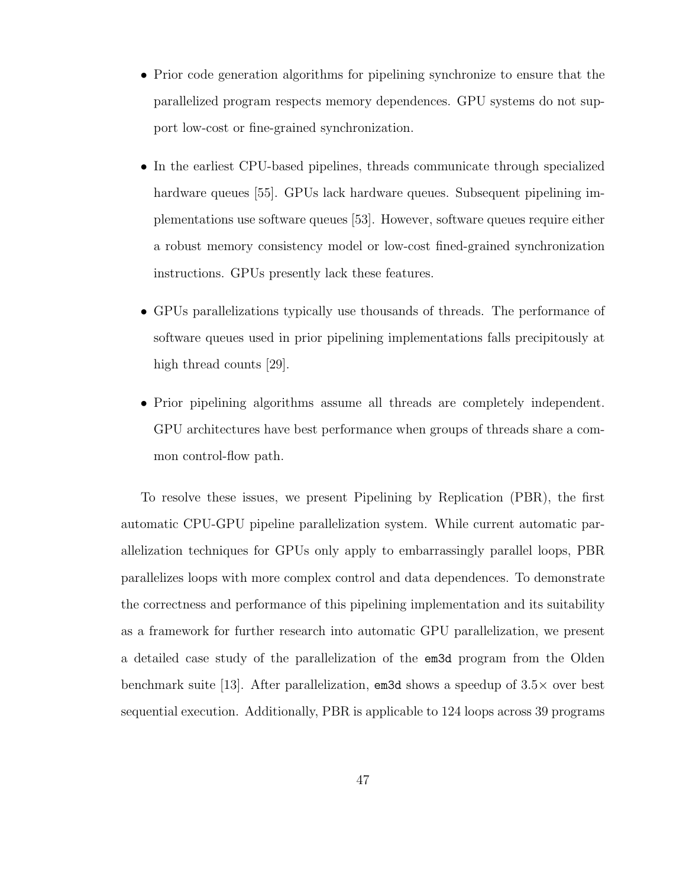- Prior code generation algorithms for pipelining synchronize to ensure that the parallelized program respects memory dependences. GPU systems do not support low-cost or fine-grained synchronization.
- In the earliest CPU-based pipelines, threads communicate through specialized hardware queues [55]. GPUs lack hardware queues. Subsequent pipelining implementations use software queues [53]. However, software queues require either a robust memory consistency model or low-cost fined-grained synchronization instructions. GPUs presently lack these features.
- GPUs parallelizations typically use thousands of threads. The performance of software queues used in prior pipelining implementations falls precipitously at high thread counts [29].
- Prior pipelining algorithms assume all threads are completely independent. GPU architectures have best performance when groups of threads share a common control-flow path.

To resolve these issues, we present Pipelining by Replication (PBR), the first automatic CPU-GPU pipeline parallelization system. While current automatic parallelization techniques for GPUs only apply to embarrassingly parallel loops, PBR parallelizes loops with more complex control and data dependences. To demonstrate the correctness and performance of this pipelining implementation and its suitability as a framework for further research into automatic GPU parallelization, we present a detailed case study of the parallelization of the em3d program from the Olden benchmark suite [13]. After parallelization,  $\epsilon$  and shows a speedup of 3.5 $\times$  over best sequential execution. Additionally, PBR is applicable to 124 loops across 39 programs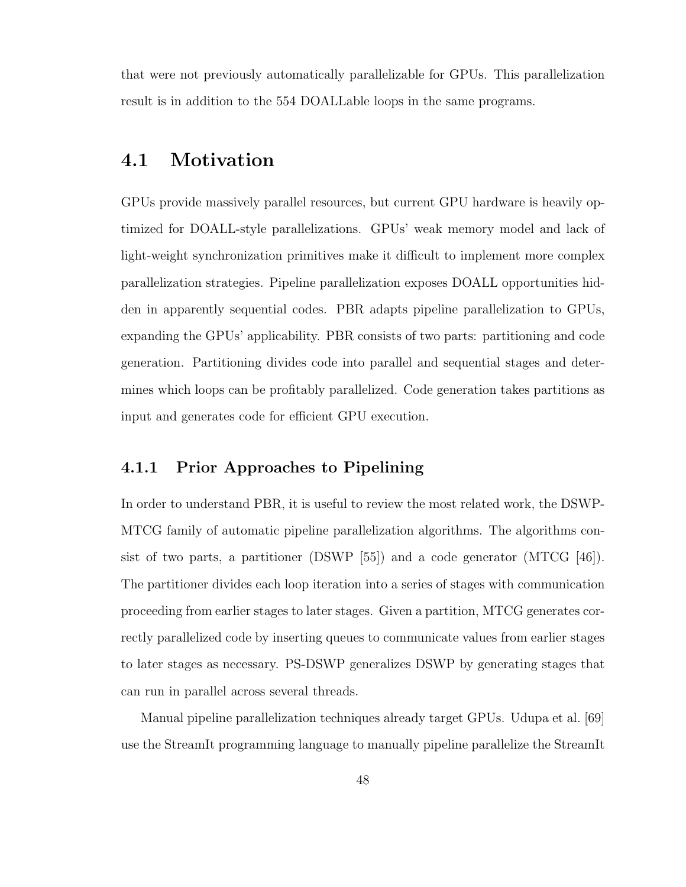that were not previously automatically parallelizable for GPUs. This parallelization result is in addition to the 554 DOALLable loops in the same programs.

## 4.1 Motivation

GPUs provide massively parallel resources, but current GPU hardware is heavily optimized for DOALL-style parallelizations. GPUs' weak memory model and lack of light-weight synchronization primitives make it difficult to implement more complex parallelization strategies. Pipeline parallelization exposes DOALL opportunities hidden in apparently sequential codes. PBR adapts pipeline parallelization to GPUs, expanding the GPUs' applicability. PBR consists of two parts: partitioning and code generation. Partitioning divides code into parallel and sequential stages and determines which loops can be profitably parallelized. Code generation takes partitions as input and generates code for efficient GPU execution.

## 4.1.1 Prior Approaches to Pipelining

In order to understand PBR, it is useful to review the most related work, the DSWP-MTCG family of automatic pipeline parallelization algorithms. The algorithms consist of two parts, a partitioner (DSWP [55]) and a code generator (MTCG [46]). The partitioner divides each loop iteration into a series of stages with communication proceeding from earlier stages to later stages. Given a partition, MTCG generates correctly parallelized code by inserting queues to communicate values from earlier stages to later stages as necessary. PS-DSWP generalizes DSWP by generating stages that can run in parallel across several threads.

Manual pipeline parallelization techniques already target GPUs. Udupa et al. [69] use the StreamIt programming language to manually pipeline parallelize the StreamIt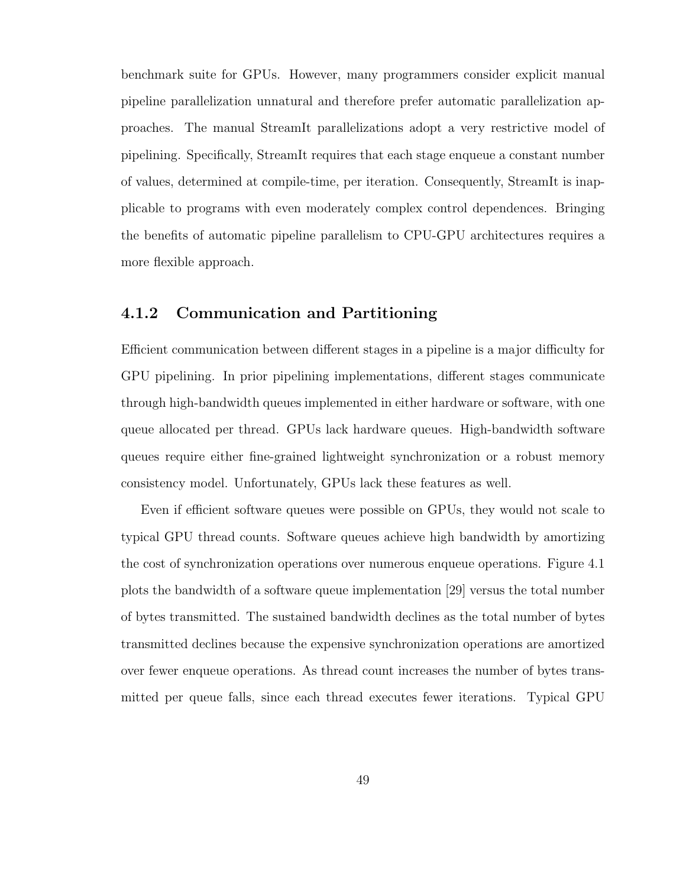benchmark suite for GPUs. However, many programmers consider explicit manual pipeline parallelization unnatural and therefore prefer automatic parallelization approaches. The manual StreamIt parallelizations adopt a very restrictive model of pipelining. Specifically, StreamIt requires that each stage enqueue a constant number of values, determined at compile-time, per iteration. Consequently, StreamIt is inapplicable to programs with even moderately complex control dependences. Bringing the benefits of automatic pipeline parallelism to CPU-GPU architectures requires a more flexible approach.

## 4.1.2 Communication and Partitioning

Efficient communication between different stages in a pipeline is a major difficulty for GPU pipelining. In prior pipelining implementations, different stages communicate through high-bandwidth queues implemented in either hardware or software, with one queue allocated per thread. GPUs lack hardware queues. High-bandwidth software queues require either fine-grained lightweight synchronization or a robust memory consistency model. Unfortunately, GPUs lack these features as well.

Even if efficient software queues were possible on GPUs, they would not scale to typical GPU thread counts. Software queues achieve high bandwidth by amortizing the cost of synchronization operations over numerous enqueue operations. Figure 4.1 plots the bandwidth of a software queue implementation [29] versus the total number of bytes transmitted. The sustained bandwidth declines as the total number of bytes transmitted declines because the expensive synchronization operations are amortized over fewer enqueue operations. As thread count increases the number of bytes transmitted per queue falls, since each thread executes fewer iterations. Typical GPU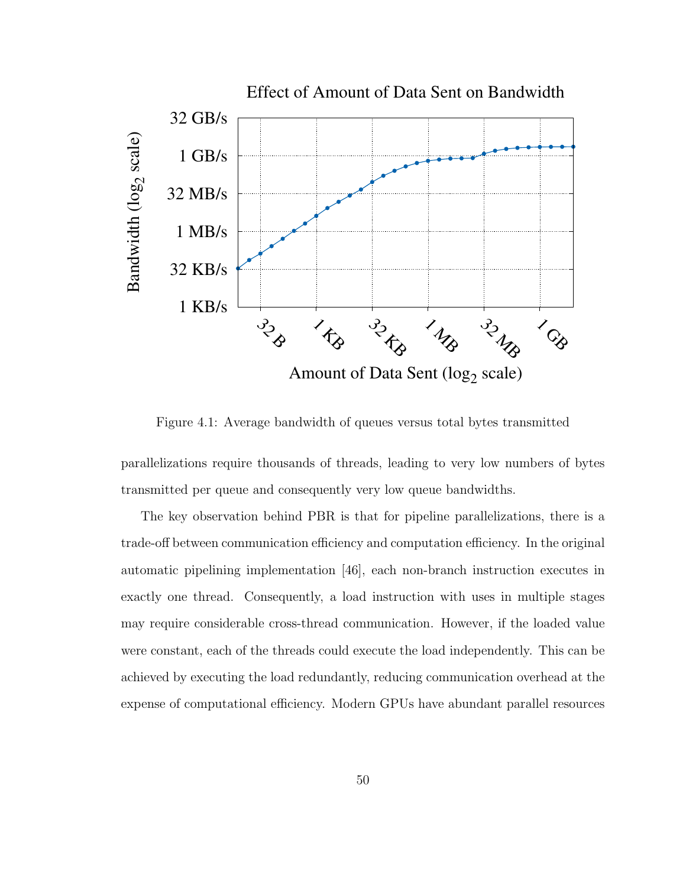

Figure 4.1: Average bandwidth of queues versus total bytes transmitted

parallelizations require thousands of threads, leading to very low numbers of bytes transmitted per queue and consequently very low queue bandwidths.

The key observation behind PBR is that for pipeline parallelizations, there is a trade-off between communication efficiency and computation efficiency. In the original automatic pipelining implementation [46], each non-branch instruction executes in exactly one thread. Consequently, a load instruction with uses in multiple stages may require considerable cross-thread communication. However, if the loaded value were constant, each of the threads could execute the load independently. This can be achieved by executing the load redundantly, reducing communication overhead at the expense of computational efficiency. Modern GPUs have abundant parallel resources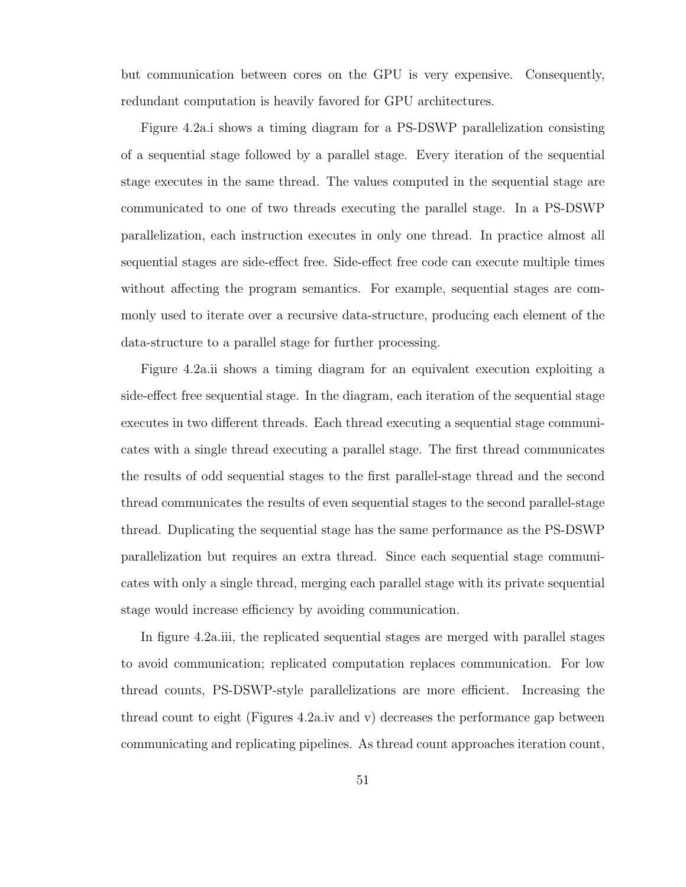but communication between cores on the GPU is very expensive. Consequently, redundant computation is heavily favored for GPU architectures.

Figure 4.2a.i shows a timing diagram for a PS-DSWP parallelization consisting of a sequential stage followed by a parallel stage. Every iteration of the sequential stage executes in the same thread. The values computed in the sequential stage are communicated to one of two threads executing the parallel stage. In a PS-DSWP parallelization, each instruction executes in only one thread. In practice almost all sequential stages are side-effect free. Side-effect free code can execute multiple times without affecting the program semantics. For example, sequential stages are commonly used to iterate over a recursive data-structure, producing each element of the data-structure to a parallel stage for further processing.

Figure 4.2a.ii shows a timing diagram for an equivalent execution exploiting a side-effect free sequential stage. In the diagram, each iteration of the sequential stage executes in two different threads. Each thread executing a sequential stage communicates with a single thread executing a parallel stage. The first thread communicates the results of odd sequential stages to the first parallel-stage thread and the second thread communicates the results of even sequential stages to the second parallel-stage thread. Duplicating the sequential stage has the same performance as the PS-DSWP parallelization but requires an extra thread. Since each sequential stage communicates with only a single thread, merging each parallel stage with its private sequential stage would increase efficiency by avoiding communication.

In figure 4.2a.iii, the replicated sequential stages are merged with parallel stages to avoid communication; replicated computation replaces communication. For low thread counts, PS-DSWP-style parallelizations are more efficient. Increasing the thread count to eight (Figures 4.2a.iv and v) decreases the performance gap between communicating and replicating pipelines. As thread count approaches iteration count,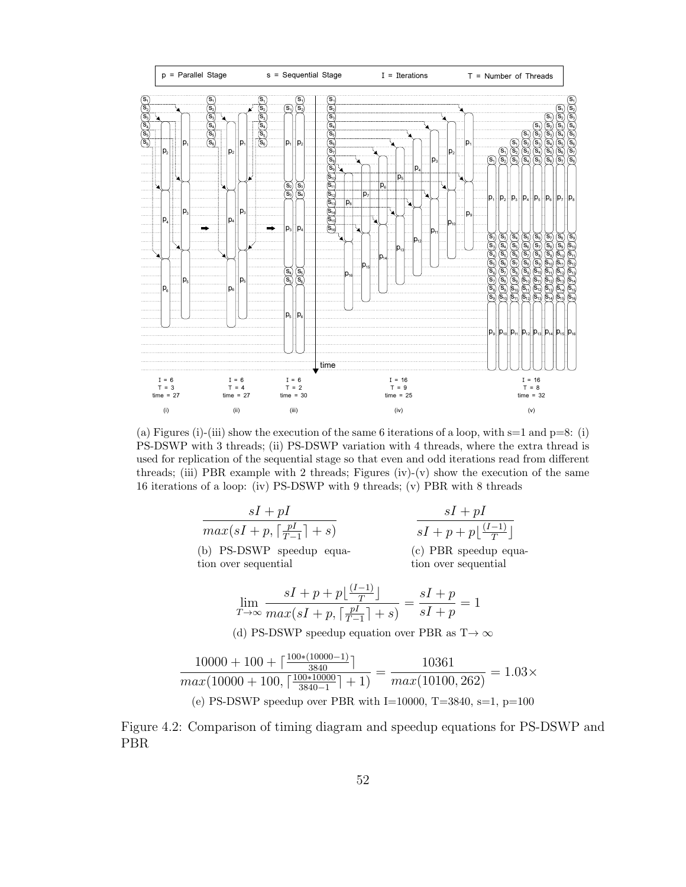

(a) Figures (i)-(iii) show the execution of the same 6 iterations of a loop, with  $s=1$  and  $p=8$ : (i) PS-DSWP with 3 threads; (ii) PS-DSWP variation with 4 threads, where the extra thread is used for replication of the sequential stage so that even and odd iterations read from different threads; (iii) PBR example with 2 threads; Figures (iv)-(v) show the execution of the same 16 iterations of a loop: (iv) PS-DSWP with 9 threads; (v) PBR with 8 threads

| $sI + pI$                                       | $sI + pI$                                |
|-------------------------------------------------|------------------------------------------|
| $max(sI + p, \lceil \frac{pI}{T-1} \rceil + s)$ | $sI + p + p\left(\frac{(I-1)}{T}\right)$ |
|                                                 | $\sqrt{2}$                               |

(b) PS-DSWP speedup equation over sequential

 $\overline{a}$ 

T  $\overline{\phantom{a}}$ (c) PBR speedup equation over sequential

$$
\lim_{T \to \infty} \frac{sI + p + p\lfloor \frac{(I-1)}{T} \rfloor}{\max(sI + p, \lceil \frac{pI}{T-1} \rceil + s)} = \frac{sI + p}{sI + p} = 1
$$

(d) PS-DSWP speedup equation over PBR as  $T \rightarrow \infty$ 

$$
\frac{10000 + 100 + \left[\frac{100*(10000 - 1)}{3840}\right]}{max(10000 + 100, \left[\frac{100*(10000)}{3840 - 1}\right] + 1)} = \frac{10361}{max(10100, 262)} = 1.03 \times
$$
\n(e) PS-DSWP speedup over PBR with I=10000, T=3840, s=1, p=100

Figure 4.2: Comparison of timing diagram and speedup equations for PS-DSWP and PBR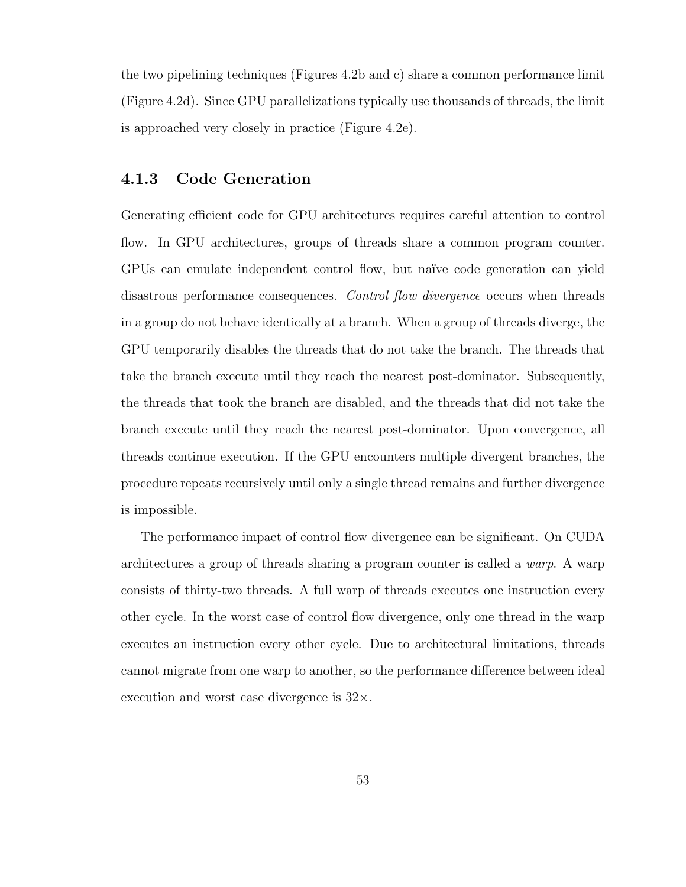the two pipelining techniques (Figures 4.2b and c) share a common performance limit (Figure 4.2d). Since GPU parallelizations typically use thousands of threads, the limit is approached very closely in practice (Figure 4.2e).

## 4.1.3 Code Generation

Generating efficient code for GPU architectures requires careful attention to control flow. In GPU architectures, groups of threads share a common program counter. GPUs can emulate independent control flow, but naïve code generation can yield disastrous performance consequences. Control flow divergence occurs when threads in a group do not behave identically at a branch. When a group of threads diverge, the GPU temporarily disables the threads that do not take the branch. The threads that take the branch execute until they reach the nearest post-dominator. Subsequently, the threads that took the branch are disabled, and the threads that did not take the branch execute until they reach the nearest post-dominator. Upon convergence, all threads continue execution. If the GPU encounters multiple divergent branches, the procedure repeats recursively until only a single thread remains and further divergence is impossible.

The performance impact of control flow divergence can be significant. On CUDA architectures a group of threads sharing a program counter is called a warp. A warp consists of thirty-two threads. A full warp of threads executes one instruction every other cycle. In the worst case of control flow divergence, only one thread in the warp executes an instruction every other cycle. Due to architectural limitations, threads cannot migrate from one warp to another, so the performance difference between ideal execution and worst case divergence is  $32\times$ .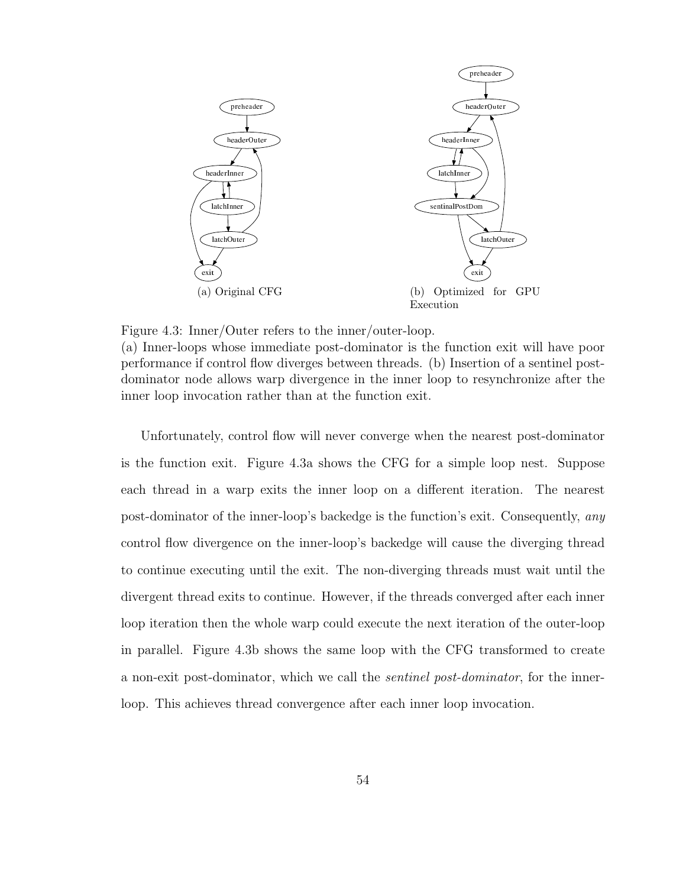

Figure 4.3: Inner/Outer refers to the inner/outer-loop.

(a) Inner-loops whose immediate post-dominator is the function exit will have poor performance if control flow diverges between threads. (b) Insertion of a sentinel postdominator node allows warp divergence in the inner loop to resynchronize after the inner loop invocation rather than at the function exit.

Unfortunately, control flow will never converge when the nearest post-dominator is the function exit. Figure 4.3a shows the CFG for a simple loop nest. Suppose each thread in a warp exits the inner loop on a different iteration. The nearest post-dominator of the inner-loop's backedge is the function's exit. Consequently, any control flow divergence on the inner-loop's backedge will cause the diverging thread to continue executing until the exit. The non-diverging threads must wait until the divergent thread exits to continue. However, if the threads converged after each inner loop iteration then the whole warp could execute the next iteration of the outer-loop in parallel. Figure 4.3b shows the same loop with the CFG transformed to create a non-exit post-dominator, which we call the sentinel post-dominator, for the innerloop. This achieves thread convergence after each inner loop invocation.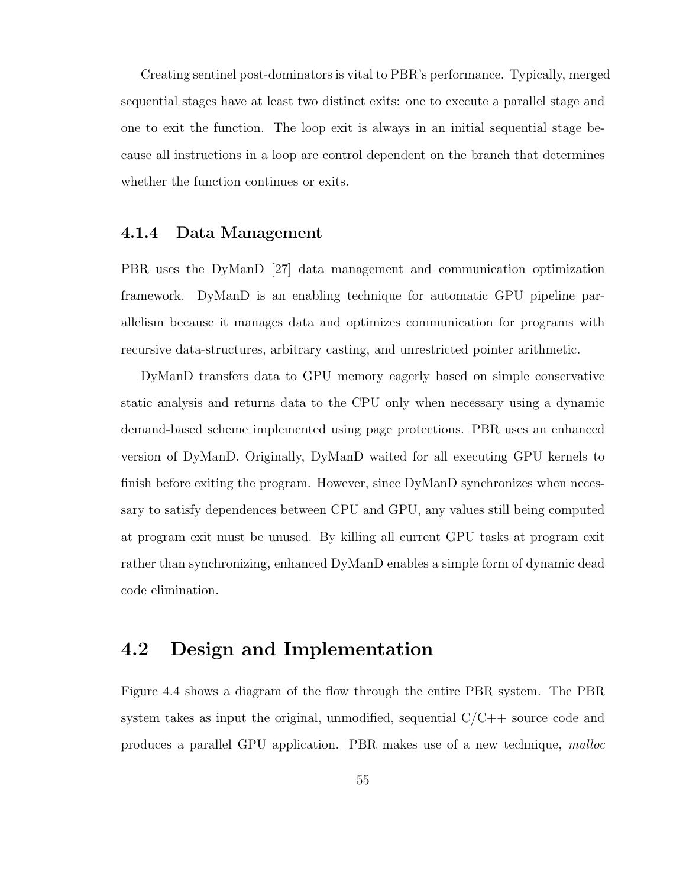Creating sentinel post-dominators is vital to PBR's performance. Typically, merged sequential stages have at least two distinct exits: one to execute a parallel stage and one to exit the function. The loop exit is always in an initial sequential stage because all instructions in a loop are control dependent on the branch that determines whether the function continues or exits.

#### 4.1.4 Data Management

PBR uses the DyManD [27] data management and communication optimization framework. DyManD is an enabling technique for automatic GPU pipeline parallelism because it manages data and optimizes communication for programs with recursive data-structures, arbitrary casting, and unrestricted pointer arithmetic.

DyManD transfers data to GPU memory eagerly based on simple conservative static analysis and returns data to the CPU only when necessary using a dynamic demand-based scheme implemented using page protections. PBR uses an enhanced version of DyManD. Originally, DyManD waited for all executing GPU kernels to finish before exiting the program. However, since DyManD synchronizes when necessary to satisfy dependences between CPU and GPU, any values still being computed at program exit must be unused. By killing all current GPU tasks at program exit rather than synchronizing, enhanced DyManD enables a simple form of dynamic dead code elimination.

## 4.2 Design and Implementation

Figure 4.4 shows a diagram of the flow through the entire PBR system. The PBR system takes as input the original, unmodified, sequential  $C/C++$  source code and produces a parallel GPU application. PBR makes use of a new technique, malloc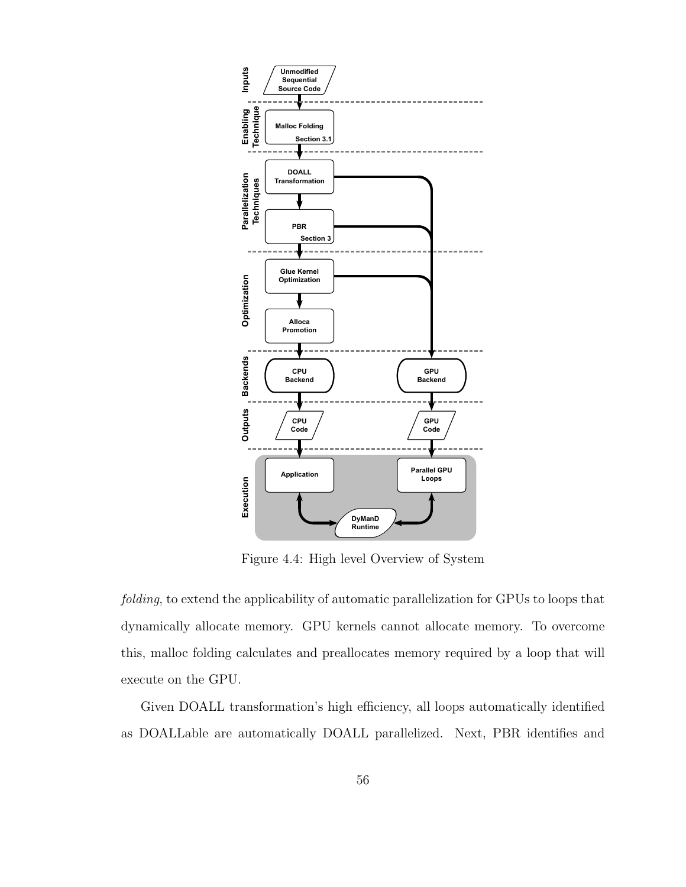

Figure 4.4: High level Overview of System

folding, to extend the applicability of automatic parallelization for GPUs to loops that dynamically allocate memory. GPU kernels cannot allocate memory. To overcome this, malloc folding calculates and preallocates memory required by a loop that will execute on the GPU.

Given DOALL transformation's high efficiency, all loops automatically identified as DOALLable are automatically DOALL parallelized. Next, PBR identifies and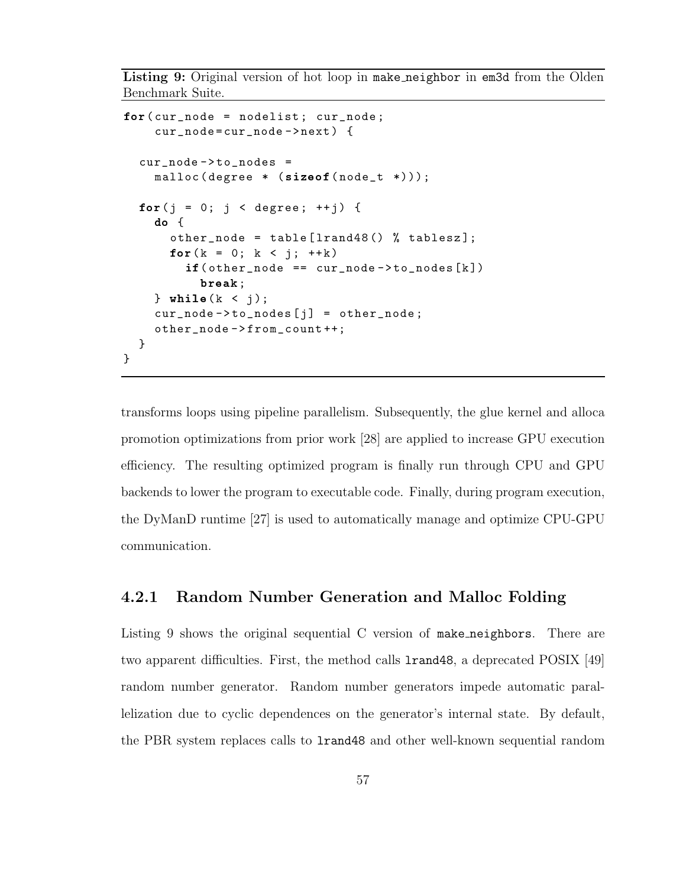Listing 9: Original version of hot loop in make neighbor in em3d from the Olden Benchmark Suite.

```
for( cur_node = nodelist ; cur_node ;
    cur_node = cur_node - > next ) {
  cur\_node - > to\_nodes =malloc ( degree * ( size of ( node_t * ) ) );
  for(j = 0; j < degree; ++j) {
    do {
      other_node = table [lrand48() % tablesz];for (k = 0; k < j; ++k)if (other-node == cur-node -> to\_nodes [k])break;
    } while (k < j);
    cur\_node \rightarrow to\_nodes [j] = other\_node;other_node - > from_count ++;
  }
}
```
transforms loops using pipeline parallelism. Subsequently, the glue kernel and alloca promotion optimizations from prior work [28] are applied to increase GPU execution efficiency. The resulting optimized program is finally run through CPU and GPU backends to lower the program to executable code. Finally, during program execution, the DyManD runtime [27] is used to automatically manage and optimize CPU-GPU communication.

### 4.2.1 Random Number Generation and Malloc Folding

Listing 9 shows the original sequential C version of make neighbors. There are two apparent difficulties. First, the method calls lrand48, a deprecated POSIX [49] random number generator. Random number generators impede automatic parallelization due to cyclic dependences on the generator's internal state. By default, the PBR system replaces calls to lrand48 and other well-known sequential random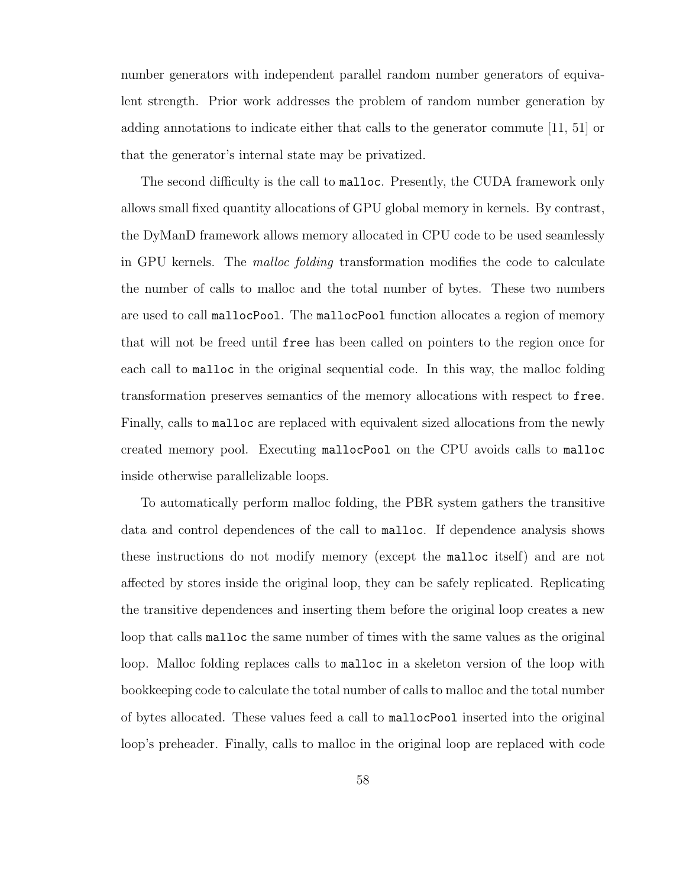number generators with independent parallel random number generators of equivalent strength. Prior work addresses the problem of random number generation by adding annotations to indicate either that calls to the generator commute [11, 51] or that the generator's internal state may be privatized.

The second difficulty is the call to malloc. Presently, the CUDA framework only allows small fixed quantity allocations of GPU global memory in kernels. By contrast, the DyManD framework allows memory allocated in CPU code to be used seamlessly in GPU kernels. The malloc folding transformation modifies the code to calculate the number of calls to malloc and the total number of bytes. These two numbers are used to call mallocPool. The mallocPool function allocates a region of memory that will not be freed until free has been called on pointers to the region once for each call to malloc in the original sequential code. In this way, the malloc folding transformation preserves semantics of the memory allocations with respect to free. Finally, calls to malloc are replaced with equivalent sized allocations from the newly created memory pool. Executing mallocPool on the CPU avoids calls to malloc inside otherwise parallelizable loops.

To automatically perform malloc folding, the PBR system gathers the transitive data and control dependences of the call to malloc. If dependence analysis shows these instructions do not modify memory (except the malloc itself) and are not affected by stores inside the original loop, they can be safely replicated. Replicating the transitive dependences and inserting them before the original loop creates a new loop that calls malloc the same number of times with the same values as the original loop. Malloc folding replaces calls to malloc in a skeleton version of the loop with bookkeeping code to calculate the total number of calls to malloc and the total number of bytes allocated. These values feed a call to mallocPool inserted into the original loop's preheader. Finally, calls to malloc in the original loop are replaced with code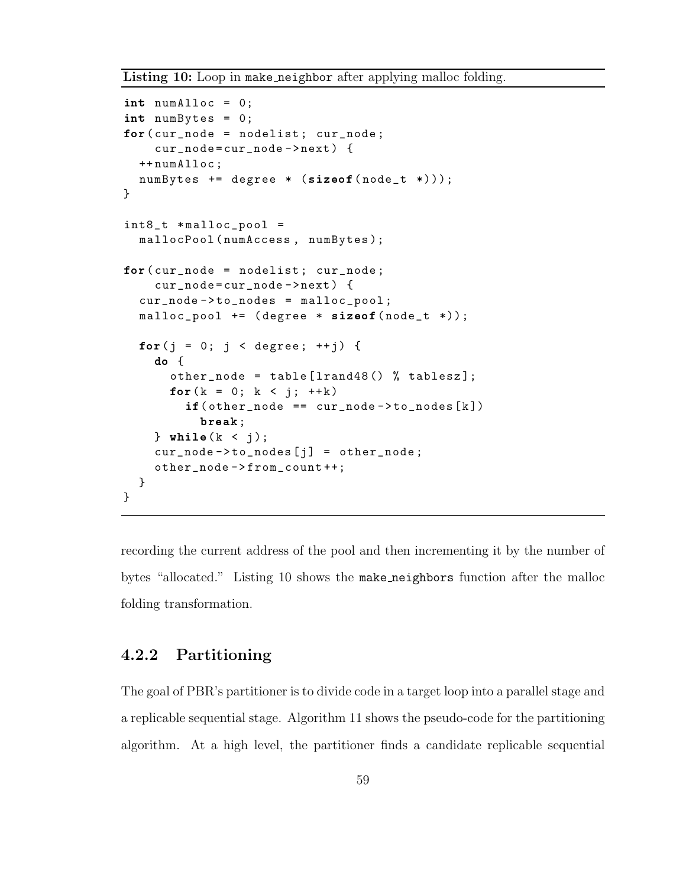Listing 10: Loop in make neighbor after applying malloc folding.

```
int numAlloc = 0;
int numBytes = 0;
for(cur\_node = nodelist; cur\_node;cur_node = cur_node - > next ) {
  ++ numAlloc ;
  numBytes += degree * (sizeof(node_t *)));
}
int8_t * <i>math>malloc_pool</i> =mallocPool ( numAccess , numBytes );
for(cur\_node = nodelist; cur\_node;cur_node = cur_node - > next ) {
  cur\_node - > to\_nodes = malloc\_pool;malloc_pool += (degree * sizeof(node_t *));
  for(j = 0; j < degree; ++j) {
    do {
      other_node = table [lrand48() % tablesz];for (k = 0; k < j; ++k)if (other-node == cur-node -> to nodes [k])break;
    } while (k < j);
    cur\_node \rightarrow to\_nodes [j] = other\_node;other_node - > from_count ++;
  }
}
```
recording the current address of the pool and then incrementing it by the number of bytes "allocated." Listing 10 shows the make neighbors function after the malloc folding transformation.

## 4.2.2 Partitioning

The goal of PBR's partitioner is to divide code in a target loop into a parallel stage and a replicable sequential stage. Algorithm 11 shows the pseudo-code for the partitioning algorithm. At a high level, the partitioner finds a candidate replicable sequential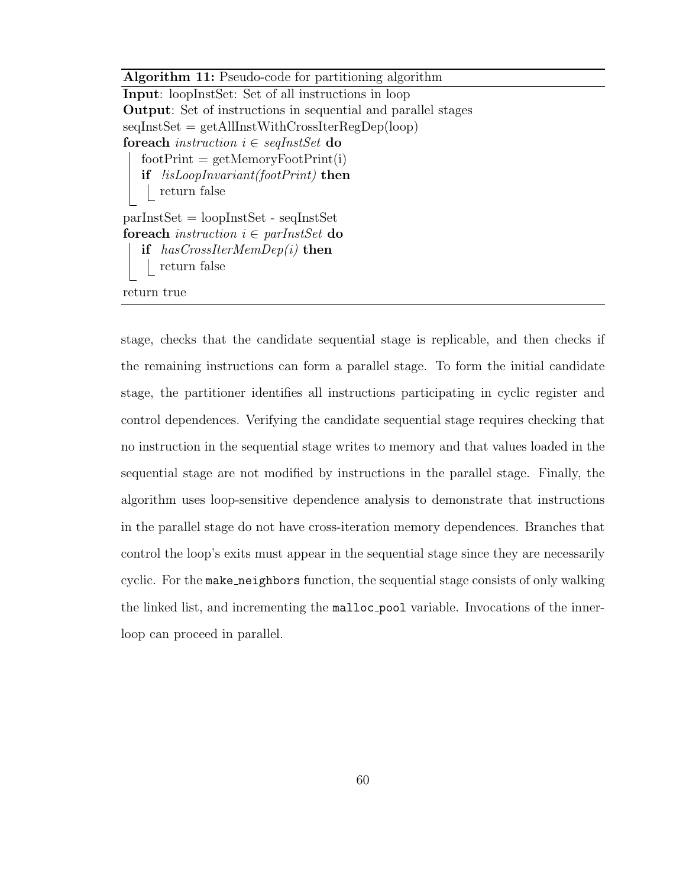Algorithm 11: Pseudo-code for partitioning algorithm Input: loopInstSet: Set of all instructions in loop Output: Set of instructions in sequential and parallel stages seqInstSet = getAllInstWithCrossIterRegDep(loop) for each instruction  $i \in \text{seqInstSet}$  do  $footPrint = getMemory FootPrint(i)$ if !isLoopInvariant(footPrint) then return false parInstSet = loopInstSet - seqInstSet for each instruction  $i \in \text{parInstSet}$  do if  $has CrossIterMemDep(i)$  then return false return true

stage, checks that the candidate sequential stage is replicable, and then checks if the remaining instructions can form a parallel stage. To form the initial candidate stage, the partitioner identifies all instructions participating in cyclic register and control dependences. Verifying the candidate sequential stage requires checking that no instruction in the sequential stage writes to memory and that values loaded in the sequential stage are not modified by instructions in the parallel stage. Finally, the algorithm uses loop-sensitive dependence analysis to demonstrate that instructions in the parallel stage do not have cross-iteration memory dependences. Branches that control the loop's exits must appear in the sequential stage since they are necessarily cyclic. For the make neighbors function, the sequential stage consists of only walking the linked list, and incrementing the malloc pool variable. Invocations of the innerloop can proceed in parallel.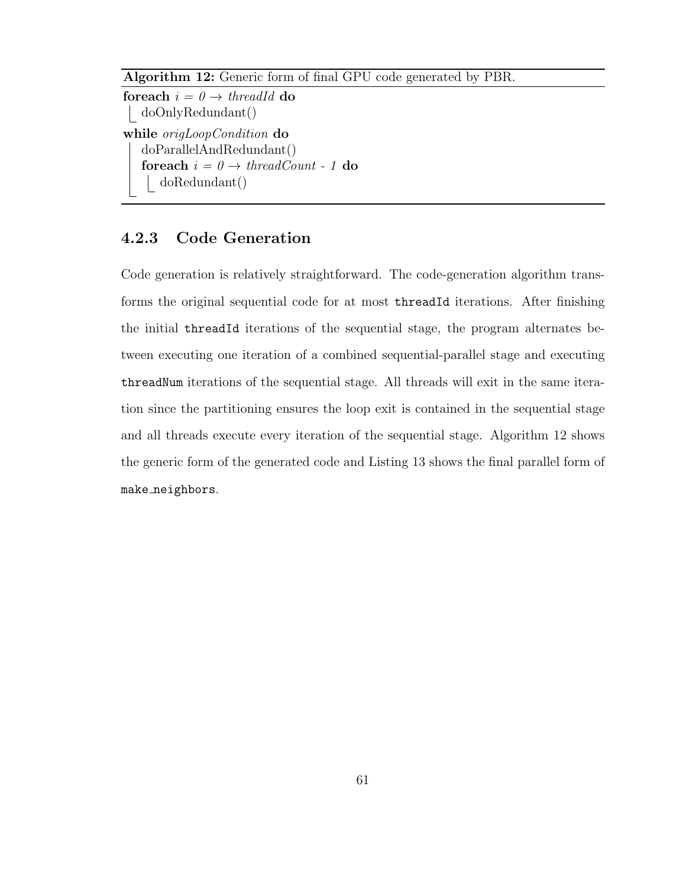```
Algorithm 12: Generic form of final GPU code generated by PBR.
foreach i = 0 \rightarrow \text{threadId} do
 doOnlyRedundant()
while origLoopCondition do
   doParallelAndRedundant()
   foreach i = 0 \rightarrow \text{threadCount} - 1 do
      doRedundant()
```
## 4.2.3 Code Generation

Code generation is relatively straightforward. The code-generation algorithm transforms the original sequential code for at most threadId iterations. After finishing the initial threadId iterations of the sequential stage, the program alternates between executing one iteration of a combined sequential-parallel stage and executing threadNum iterations of the sequential stage. All threads will exit in the same iteration since the partitioning ensures the loop exit is contained in the sequential stage and all threads execute every iteration of the sequential stage. Algorithm 12 shows the generic form of the generated code and Listing 13 shows the final parallel form of make neighbors.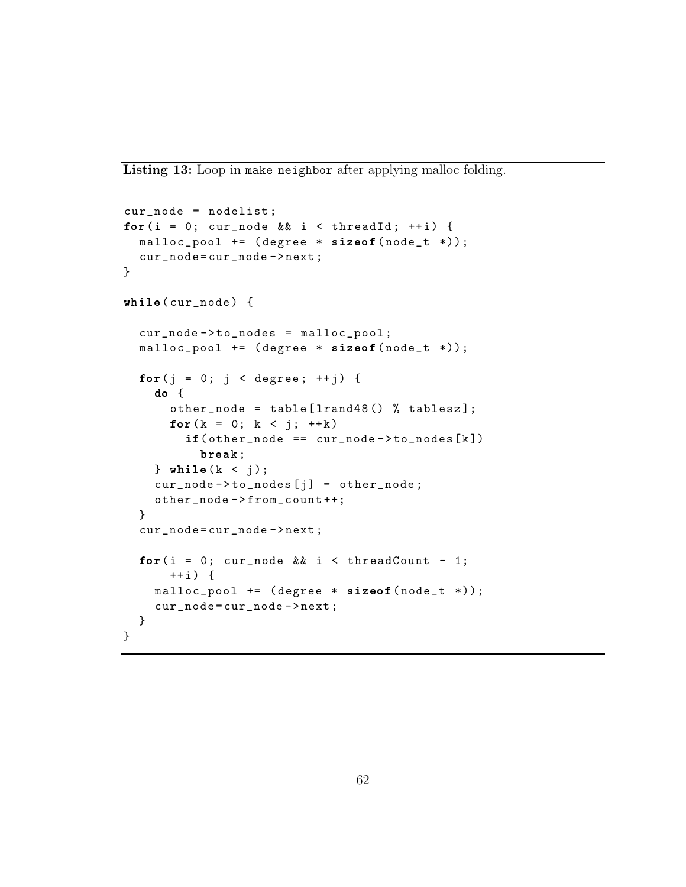Listing 13: Loop in make neighbor after applying malloc folding.

```
cur_node = nodelist ;
for(i = 0; cur_node && i < threadId; ++i) {
  malloc\_pool += (degree * sizeof(node_t *));
  cur_node = cur_node - > next ;
}
while( cur_node ) {
  cur\_node - > to\_nodes = malloc\_pool;malloc_pool += (degree * sizeof(node_t *));
  for(j = 0; j < degree; ++j) {
    do {
      other_node = table [lrand48() % tablesz];for (k = 0; k < j; ++k)if (other-node == cur-node -> to nodes [k])break;
    } while (k < i);
    cur\_node - > to\_nodes [j] = other\_node;other_node - > from_count ++;
  }
  cur_node = cur_node - > next ;
  for(i = 0; cur_node && i < threadCount - 1;
      ++i) {
    malloc\_pool += (degrec * sizeof(node_t *));
    cur_node = cur_node - > next ;
  }
}
```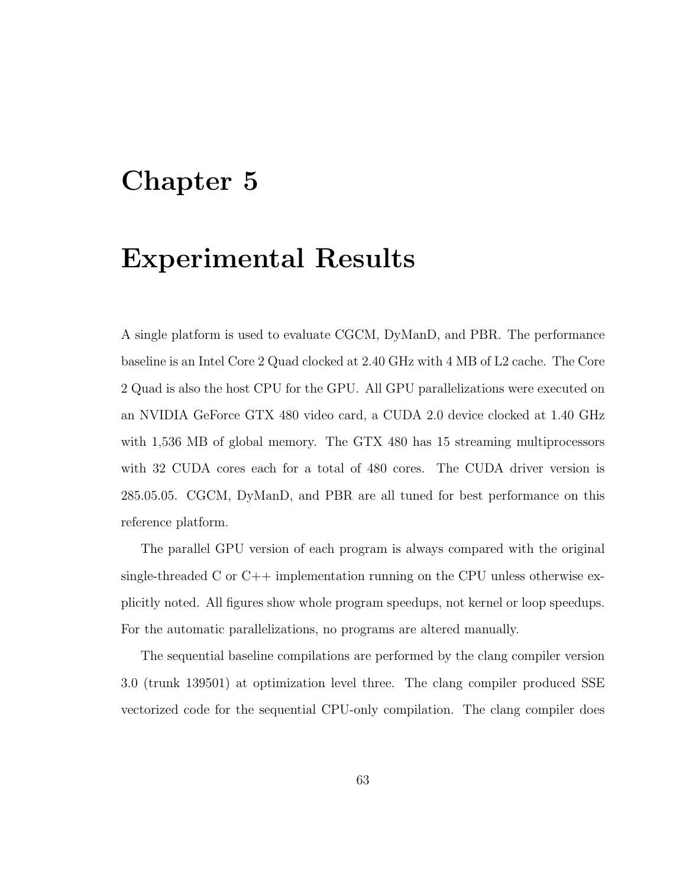## Chapter 5

## Experimental Results

A single platform is used to evaluate CGCM, DyManD, and PBR. The performance baseline is an Intel Core 2 Quad clocked at 2.40 GHz with 4 MB of L2 cache. The Core 2 Quad is also the host CPU for the GPU. All GPU parallelizations were executed on an NVIDIA GeForce GTX 480 video card, a CUDA 2.0 device clocked at 1.40 GHz with 1,536 MB of global memory. The GTX 480 has 15 streaming multiprocessors with 32 CUDA cores each for a total of 480 cores. The CUDA driver version is 285.05.05. CGCM, DyManD, and PBR are all tuned for best performance on this reference platform.

The parallel GPU version of each program is always compared with the original single-threaded C or  $C_{++}$  implementation running on the CPU unless otherwise explicitly noted. All figures show whole program speedups, not kernel or loop speedups. For the automatic parallelizations, no programs are altered manually.

The sequential baseline compilations are performed by the clang compiler version 3.0 (trunk 139501) at optimization level three. The clang compiler produced SSE vectorized code for the sequential CPU-only compilation. The clang compiler does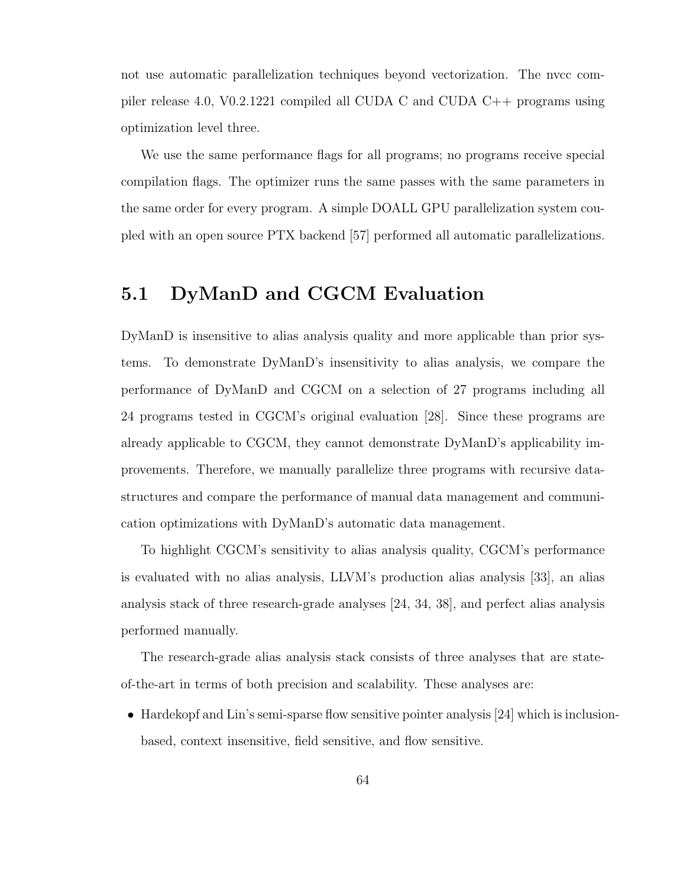not use automatic parallelization techniques beyond vectorization. The nvcc compiler release 4.0, V0.2.1221 compiled all CUDA C and CUDA C++ programs using optimization level three.

We use the same performance flags for all programs; no programs receive special compilation flags. The optimizer runs the same passes with the same parameters in the same order for every program. A simple DOALL GPU parallelization system coupled with an open source PTX backend [57] performed all automatic parallelizations.

## 5.1 DyManD and CGCM Evaluation

DyManD is insensitive to alias analysis quality and more applicable than prior systems. To demonstrate DyManD's insensitivity to alias analysis, we compare the performance of DyManD and CGCM on a selection of 27 programs including all 24 programs tested in CGCM's original evaluation [28]. Since these programs are already applicable to CGCM, they cannot demonstrate DyManD's applicability improvements. Therefore, we manually parallelize three programs with recursive datastructures and compare the performance of manual data management and communication optimizations with DyManD's automatic data management.

To highlight CGCM's sensitivity to alias analysis quality, CGCM's performance is evaluated with no alias analysis, LLVM's production alias analysis [33], an alias analysis stack of three research-grade analyses [24, 34, 38], and perfect alias analysis performed manually.

The research-grade alias analysis stack consists of three analyses that are stateof-the-art in terms of both precision and scalability. These analyses are:

• Hardekopf and Lin's semi-sparse flow sensitive pointer analysis [24] which is inclusionbased, context insensitive, field sensitive, and flow sensitive.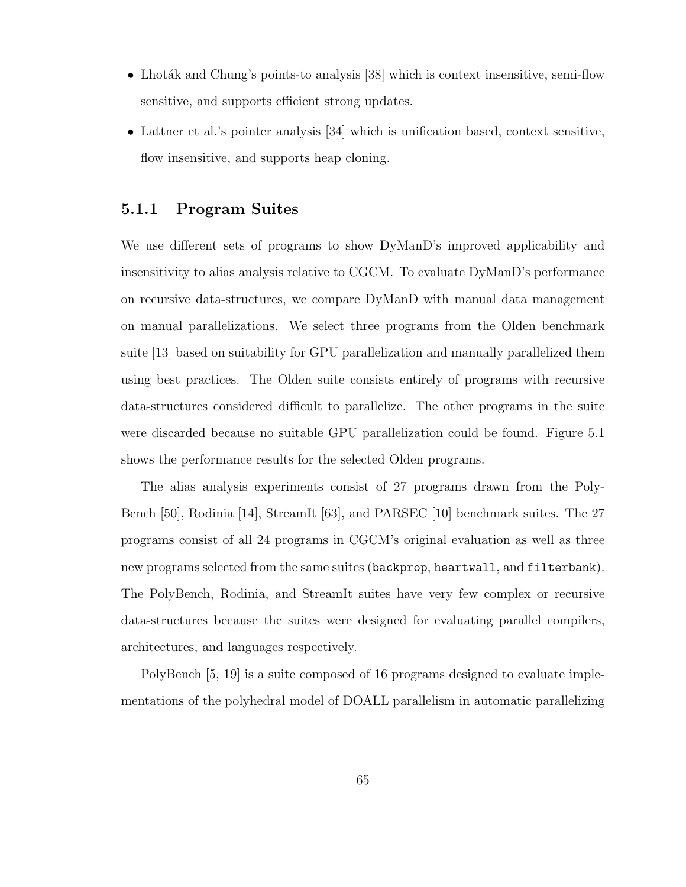- Lhoták and Chung's points-to analysis  $[38]$  which is context insensitive, semi-flow sensitive, and supports efficient strong updates.
- Lattner et al.'s pointer analysis [34] which is unification based, context sensitive, flow insensitive, and supports heap cloning.

#### 5.1.1 Program Suites

We use different sets of programs to show DyManD's improved applicability and insensitivity to alias analysis relative to CGCM. To evaluate DyManD's performance on recursive data-structures, we compare DyManD with manual data management on manual parallelizations. We select three programs from the Olden benchmark suite [13] based on suitability for GPU parallelization and manually parallelized them using best practices. The Olden suite consists entirely of programs with recursive data-structures considered difficult to parallelize. The other programs in the suite were discarded because no suitable GPU parallelization could be found. Figure 5.1 shows the performance results for the selected Olden programs.

The alias analysis experiments consist of 27 programs drawn from the Poly-Bench [50], Rodinia [14], StreamIt [63], and PARSEC [10] benchmark suites. The 27 programs consist of all 24 programs in CGCM's original evaluation as well as three new programs selected from the same suites (backprop, heartwall, and filterbank). The PolyBench, Rodinia, and StreamIt suites have very few complex or recursive data-structures because the suites were designed for evaluating parallel compilers, architectures, and languages respectively.

PolyBench [5, 19] is a suite composed of 16 programs designed to evaluate implementations of the polyhedral model of DOALL parallelism in automatic parallelizing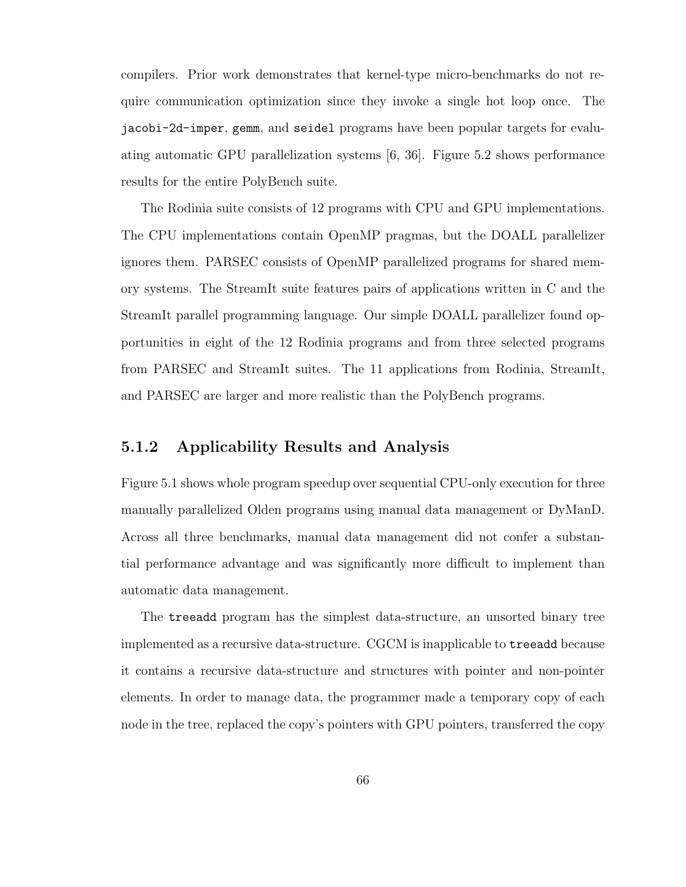compilers. Prior work demonstrates that kernel-type micro-benchmarks do not require communication optimization since they invoke a single hot loop once. The jacobi-2d-imper, gemm, and seidel programs have been popular targets for evaluating automatic GPU parallelization systems [6, 36]. Figure 5.2 shows performance results for the entire PolyBench suite.

The Rodinia suite consists of 12 programs with CPU and GPU implementations. The CPU implementations contain OpenMP pragmas, but the DOALL parallelizer ignores them. PARSEC consists of OpenMP parallelized programs for shared memory systems. The StreamIt suite features pairs of applications written in C and the StreamIt parallel programming language. Our simple DOALL parallelizer found opportunities in eight of the 12 Rodinia programs and from three selected programs from PARSEC and StreamIt suites. The 11 applications from Rodinia, StreamIt, and PARSEC are larger and more realistic than the PolyBench programs.

#### 5.1.2 Applicability Results and Analysis

Figure 5.1 shows whole program speedup over sequential CPU-only execution for three manually parallelized Olden programs using manual data management or DyManD. Across all three benchmarks, manual data management did not confer a substantial performance advantage and was significantly more difficult to implement than automatic data management.

The treeadd program has the simplest data-structure, an unsorted binary tree implemented as a recursive data-structure. CGCM is inapplicable to treeadd because it contains a recursive data-structure and structures with pointer and non-pointer elements. In order to manage data, the programmer made a temporary copy of each node in the tree, replaced the copy's pointers with GPU pointers, transferred the copy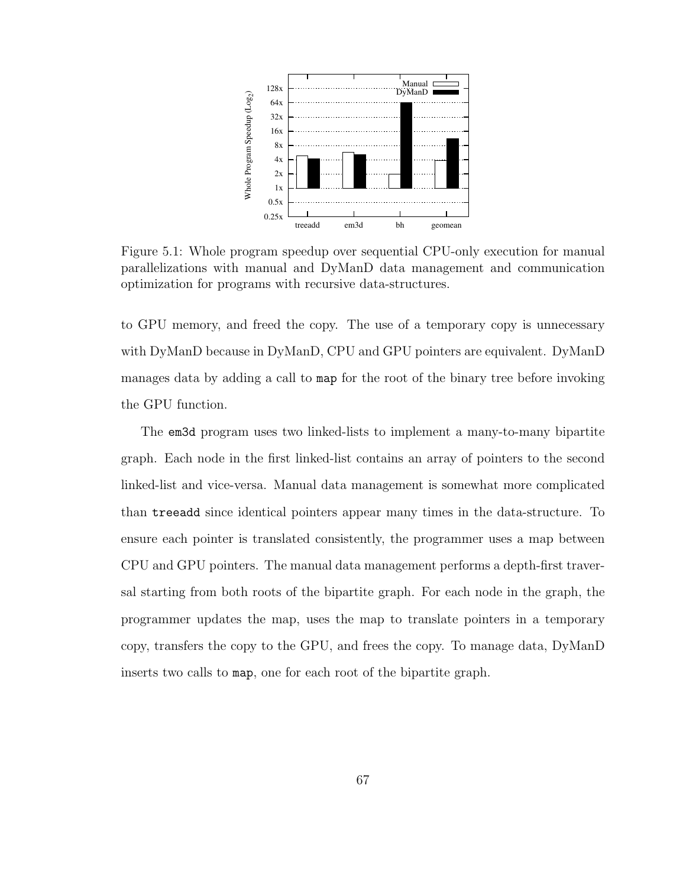

Figure 5.1: Whole program speedup over sequential CPU-only execution for manual parallelizations with manual and DyManD data management and communication optimization for programs with recursive data-structures.

to GPU memory, and freed the copy. The use of a temporary copy is unnecessary with DyManD because in DyManD, CPU and GPU pointers are equivalent. DyManD manages data by adding a call to map for the root of the binary tree before invoking the GPU function.

The em3d program uses two linked-lists to implement a many-to-many bipartite graph. Each node in the first linked-list contains an array of pointers to the second linked-list and vice-versa. Manual data management is somewhat more complicated than treeadd since identical pointers appear many times in the data-structure. To ensure each pointer is translated consistently, the programmer uses a map between CPU and GPU pointers. The manual data management performs a depth-first traversal starting from both roots of the bipartite graph. For each node in the graph, the programmer updates the map, uses the map to translate pointers in a temporary copy, transfers the copy to the GPU, and frees the copy. To manage data, DyManD inserts two calls to map, one for each root of the bipartite graph.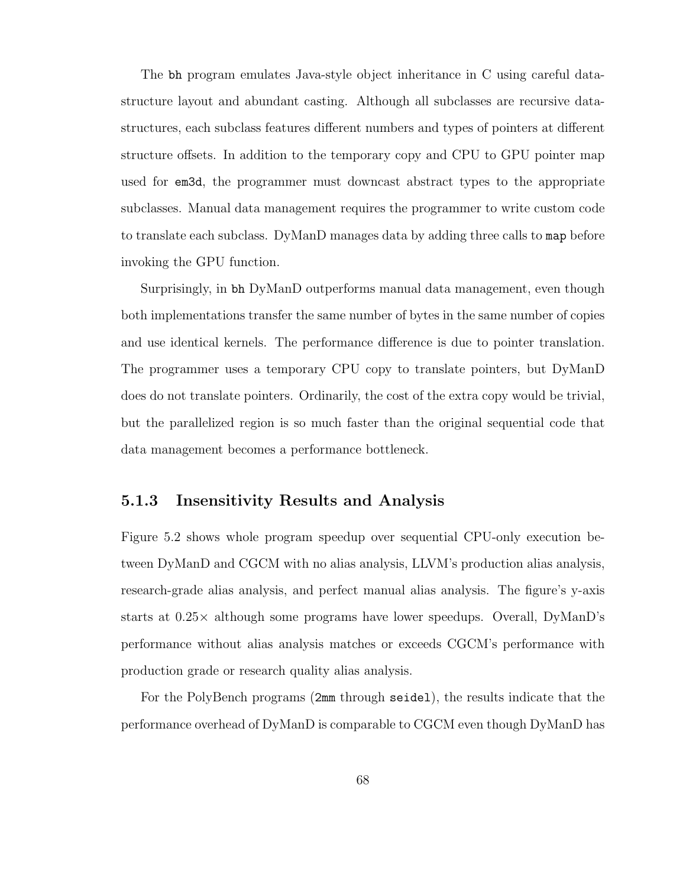The bh program emulates Java-style object inheritance in C using careful datastructure layout and abundant casting. Although all subclasses are recursive datastructures, each subclass features different numbers and types of pointers at different structure offsets. In addition to the temporary copy and CPU to GPU pointer map used for em3d, the programmer must downcast abstract types to the appropriate subclasses. Manual data management requires the programmer to write custom code to translate each subclass. DyManD manages data by adding three calls to map before invoking the GPU function.

Surprisingly, in bh DyManD outperforms manual data management, even though both implementations transfer the same number of bytes in the same number of copies and use identical kernels. The performance difference is due to pointer translation. The programmer uses a temporary CPU copy to translate pointers, but DyManD does do not translate pointers. Ordinarily, the cost of the extra copy would be trivial, but the parallelized region is so much faster than the original sequential code that data management becomes a performance bottleneck.

#### 5.1.3 Insensitivity Results and Analysis

Figure 5.2 shows whole program speedup over sequential CPU-only execution between DyManD and CGCM with no alias analysis, LLVM's production alias analysis, research-grade alias analysis, and perfect manual alias analysis. The figure's y-axis starts at 0.25× although some programs have lower speedups. Overall, DyManD's performance without alias analysis matches or exceeds CGCM's performance with production grade or research quality alias analysis.

For the PolyBench programs (2mm through seidel), the results indicate that the performance overhead of DyManD is comparable to CGCM even though DyManD has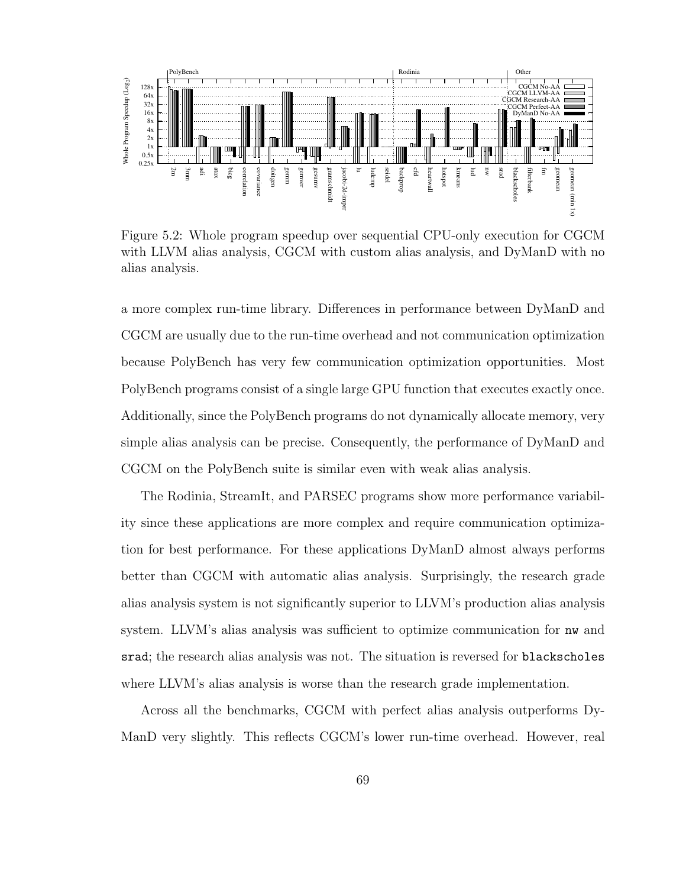

Figure 5.2: Whole program speedup over sequential CPU-only execution for CGCM with LLVM alias analysis, CGCM with custom alias analysis, and DyManD with no alias analysis.

a more complex run-time library. Differences in performance between DyManD and CGCM are usually due to the run-time overhead and not communication optimization because PolyBench has very few communication optimization opportunities. Most PolyBench programs consist of a single large GPU function that executes exactly once. Additionally, since the PolyBench programs do not dynamically allocate memory, very simple alias analysis can be precise. Consequently, the performance of DyManD and CGCM on the PolyBench suite is similar even with weak alias analysis.

The Rodinia, StreamIt, and PARSEC programs show more performance variability since these applications are more complex and require communication optimization for best performance. For these applications DyManD almost always performs better than CGCM with automatic alias analysis. Surprisingly, the research grade alias analysis system is not significantly superior to LLVM's production alias analysis system. LLVM's alias analysis was sufficient to optimize communication for nw and srad; the research alias analysis was not. The situation is reversed for blackscholes where LLVM's alias analysis is worse than the research grade implementation.

Across all the benchmarks, CGCM with perfect alias analysis outperforms Dy-ManD very slightly. This reflects CGCM's lower run-time overhead. However, real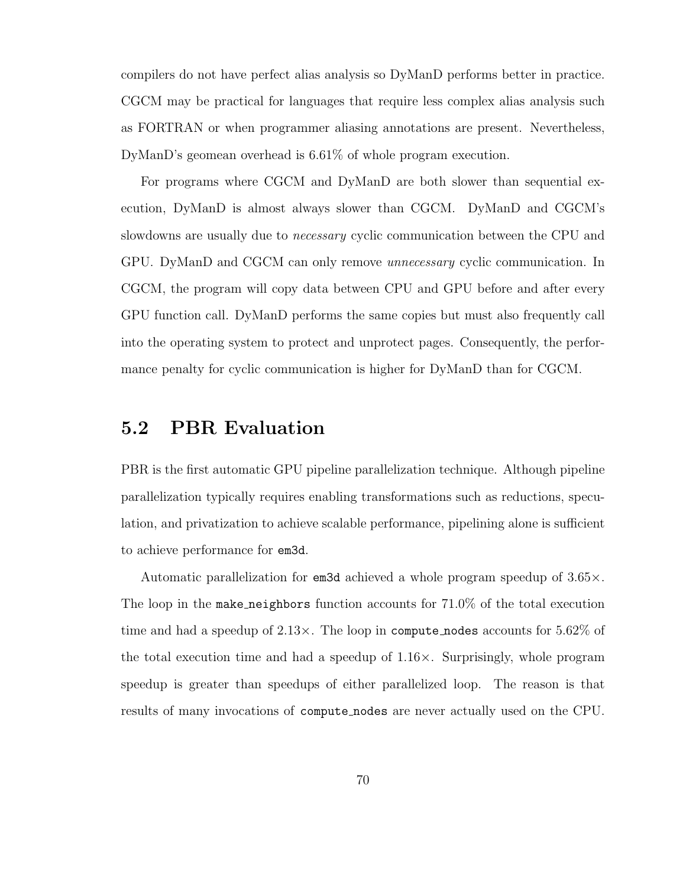compilers do not have perfect alias analysis so DyManD performs better in practice. CGCM may be practical for languages that require less complex alias analysis such as FORTRAN or when programmer aliasing annotations are present. Nevertheless, DyManD's geomean overhead is 6.61% of whole program execution.

For programs where CGCM and DyManD are both slower than sequential execution, DyManD is almost always slower than CGCM. DyManD and CGCM's slowdowns are usually due to necessary cyclic communication between the CPU and GPU. DyManD and CGCM can only remove unnecessary cyclic communication. In CGCM, the program will copy data between CPU and GPU before and after every GPU function call. DyManD performs the same copies but must also frequently call into the operating system to protect and unprotect pages. Consequently, the performance penalty for cyclic communication is higher for DyManD than for CGCM.

#### 5.2 PBR Evaluation

PBR is the first automatic GPU pipeline parallelization technique. Although pipeline parallelization typically requires enabling transformations such as reductions, speculation, and privatization to achieve scalable performance, pipelining alone is sufficient to achieve performance for em3d.

Automatic parallelization for em3d achieved a whole program speedup of 3.65×. The loop in the make neighbors function accounts for 71.0% of the total execution time and had a speedup of  $2.13 \times$ . The loop in compute nodes accounts for  $5.62\%$  of the total execution time and had a speedup of  $1.16\times$ . Surprisingly, whole program speedup is greater than speedups of either parallelized loop. The reason is that results of many invocations of compute nodes are never actually used on the CPU.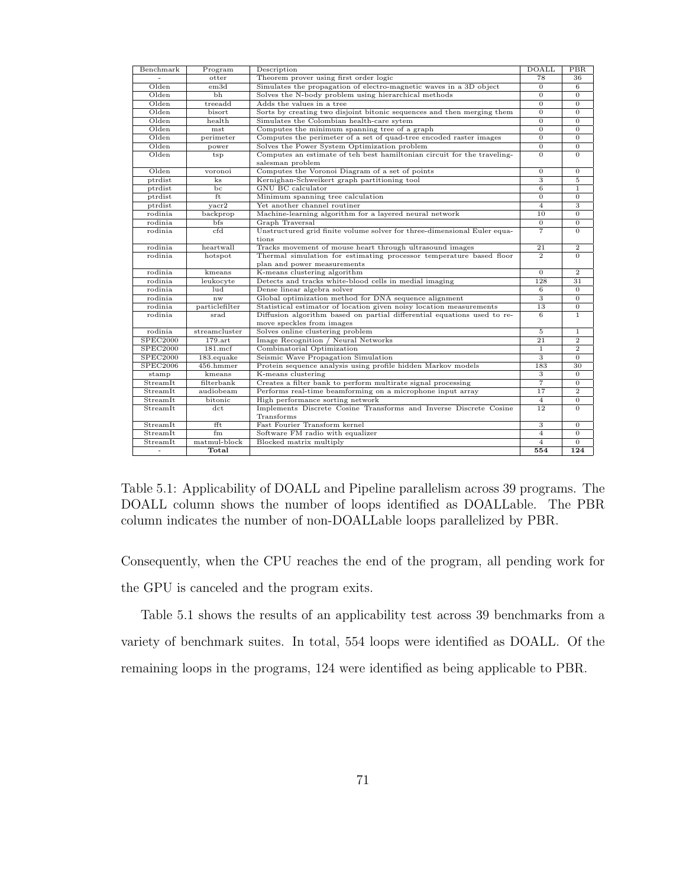| Benchmark       | Program                  | Description                                                              | <b>DOALL</b>            | PBR            |
|-----------------|--------------------------|--------------------------------------------------------------------------|-------------------------|----------------|
|                 | otter                    | Theorem prover using first order logic                                   | 78                      | 36             |
| Olden           | em3d                     | Simulates the propagation of electro-magnetic waves in a 3D object       | $\mathbf{0}$            | 6              |
| Olden           | bh                       | Solves the N-body problem using hierarchical methods                     | $\Omega$                | $\Omega$       |
| Olden           | treeadd                  | Adds the values in a tree                                                | $\overline{0}$          | $\overline{0}$ |
| Olden           | bisort                   | Sorts by creating two disjoint bitonic sequences and then merging them   | $\mathbf{0}$            | $\overline{0}$ |
| Olden           | health                   | Simulates the Colombian health-care sytem                                | $\overline{0}$          | $\overline{0}$ |
| Olden           | mst                      | Computes the minimum spanning tree of a graph                            | $\Omega$                | $\overline{0}$ |
| Olden           | perimeter                | Computes the perimeter of a set of quad-tree encoded raster images       | $\Omega$                | $\mathbf{0}$   |
| Olden           | power                    | Solves the Power System Optimization problem                             | $\overline{0}$          | $\overline{0}$ |
| Olden           | $t_{\rm SD}$             | Computes an estimate of teh best hamiltonian circuit for the traveling-  | $\overline{0}$          | $\overline{0}$ |
|                 |                          | salesman problem                                                         |                         |                |
| Olden           | voronoi                  | Computes the Voronoi Diagram of a set of points                          | $\overline{0}$          | $\overline{0}$ |
| ptrdist         | $\rm ks$                 | Kernighan-Schweikert graph partitioning tool                             | 3                       | $\rm 5$        |
| ptrdist         | bc                       | GNU BC calculator                                                        | $\overline{6}$          | $\mathbf{1}$   |
| ptrdist         | ft                       | Minimum spanning tree calculation                                        | $\overline{0}$          | $\overline{0}$ |
| ptrdist         | yacr2                    | Yet another channel routiner                                             | $\overline{4}$          | 3              |
| rodinia         | backprop                 | Machine-learning algorithm for a layered neural network                  | 10                      | $\overline{0}$ |
| rodinia         | bfs                      | Graph Traversal                                                          | $\mathbf{0}$            | $\overline{0}$ |
| rodinia         | $_{\rm cfd}$             | Unstructured grid finite volume solver for three-dimensional Euler equa- | $\overline{7}$          | $\Omega$       |
|                 |                          | tions                                                                    |                         |                |
| rodinia         | heartwall                | Tracks movement of mouse heart through ultrasound images                 | 21                      | $\overline{2}$ |
| rodinia         | hotspot                  | Thermal simulation for estimating processor temperature based floor      | $\overline{2}$          | $\Omega$       |
|                 |                          | plan and power measurements                                              |                         |                |
| rodinia         | kmeans                   | K-means clustering algorithm                                             | $\mathbf{0}$            | $\overline{2}$ |
| rodinia         | leukocyte                | Detects and tracks white-blood cells in medial imaging                   | 128                     | 31             |
| rodinia         | lud                      | Dense linear algebra solver                                              | 6                       | $\overline{0}$ |
| rodinia         | nw                       | Global optimization method for DNA sequence alignment                    | $\overline{\mathbf{3}}$ | $\overline{0}$ |
| rodinia         | particlefilter           | Statistical estimator of location given noisy location measurements      | 13                      | $\overline{0}$ |
| rodinia         | srad                     | Diffusion algorithm based on partial differential equations used to re-  | 6                       | $\mathbf{1}$   |
|                 |                          | move speckles from images                                                |                         |                |
| rodinia         | streamcluster            | Solves online clustering problem                                         | 5                       | 1              |
| SPEC2000        | $179.\text{art}$         | Image Recognition / Neural Networks                                      | $\overline{21}$         | $\overline{2}$ |
| SPEC2000        | $181$ .mcf               | Combinatorial Optimization                                               | $\mathbf{1}$            | $\overline{2}$ |
| SPEC2000        | 183 <sup>.equake</sup>   | Seismic Wave Propagation Simulation                                      | 3                       | $\overline{0}$ |
| <b>SPEC2006</b> | 456.hmmer                | Protein sequence analysis using profile hidden Markov models             | 183                     | 30             |
| stamp           | kmeans                   | K-means clustering                                                       | 3                       | $\overline{0}$ |
| StreamIt        | filterbank               | Creates a filter bank to perform multirate signal processing             | $\overline{7}$          | $\overline{0}$ |
| <b>StreamIt</b> | audiobeam                | Performs real-time beamforming on a microphone input array               | 17                      | $\overline{2}$ |
| StreamIt        | bitonic                  | High performance sorting network                                         | $\overline{4}$          | $\overline{0}$ |
| StreamIt        | $\overline{\text{dct.}}$ | Implements Discrete Cosine Transforms and Inverse Discrete Cosine        | $\overline{12}$         | $\overline{0}$ |
|                 |                          | Transforms                                                               |                         |                |
| StreamIt        | fft                      | Fast Fourier Transform kernel                                            | $\overline{\mathbf{3}}$ | $\mathbf{0}$   |
| StreamIt        | f <sub>m</sub>           | Software FM radio with equalizer                                         | $\overline{4}$          | $\overline{0}$ |
| StreanIt        | matmul-block             | Blocked matrix multiply                                                  | $\overline{4}$          | $\mathbf{0}$   |
| $\blacksquare$  | Total                    |                                                                          | 554                     | 124            |

Table 5.1: Applicability of DOALL and Pipeline parallelism across 39 programs. The DOALL column shows the number of loops identified as DOALLable. The PBR column indicates the number of non-DOALLable loops parallelized by PBR.

Consequently, when the CPU reaches the end of the program, all pending work for the GPU is canceled and the program exits.

Table 5.1 shows the results of an applicability test across 39 benchmarks from a variety of benchmark suites. In total, 554 loops were identified as DOALL. Of the remaining loops in the programs, 124 were identified as being applicable to PBR.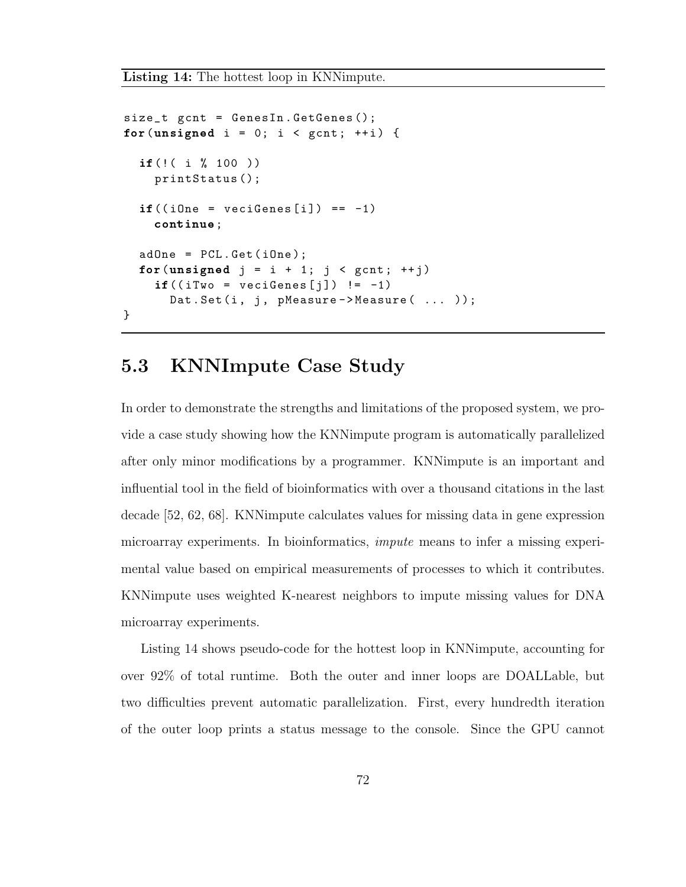```
size_t gcnt = GenesIn . GetGenes ();
for(unsigned i = 0; i < gcnt; ++i) {
  if(!( i % 100 ))
    printStatus ();
  if((iOne = vecifeness[i]) == -1)continue;
  adOne = PCL.Get(iOne);for(unsigned j = i + 1; j < gcnt; ++j)
    if ((ifwo = vecifeness[j]) != -1)Dat. Set (i, j, pMeasure ->Measure ( ... ));
}
```
### 5.3 KNNImpute Case Study

In order to demonstrate the strengths and limitations of the proposed system, we provide a case study showing how the KNNimpute program is automatically parallelized after only minor modifications by a programmer. KNNimpute is an important and influential tool in the field of bioinformatics with over a thousand citations in the last decade [52, 62, 68]. KNNimpute calculates values for missing data in gene expression microarray experiments. In bioinformatics, impute means to infer a missing experimental value based on empirical measurements of processes to which it contributes. KNNimpute uses weighted K-nearest neighbors to impute missing values for DNA microarray experiments.

Listing 14 shows pseudo-code for the hottest loop in KNNimpute, accounting for over 92% of total runtime. Both the outer and inner loops are DOALLable, but two difficulties prevent automatic parallelization. First, every hundredth iteration of the outer loop prints a status message to the console. Since the GPU cannot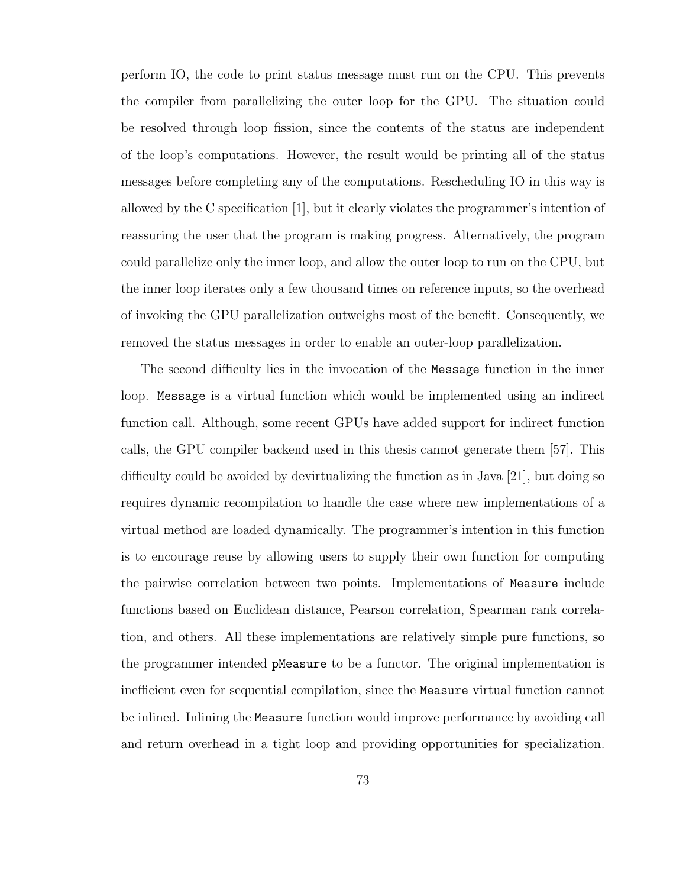perform IO, the code to print status message must run on the CPU. This prevents the compiler from parallelizing the outer loop for the GPU. The situation could be resolved through loop fission, since the contents of the status are independent of the loop's computations. However, the result would be printing all of the status messages before completing any of the computations. Rescheduling IO in this way is allowed by the C specification [1], but it clearly violates the programmer's intention of reassuring the user that the program is making progress. Alternatively, the program could parallelize only the inner loop, and allow the outer loop to run on the CPU, but the inner loop iterates only a few thousand times on reference inputs, so the overhead of invoking the GPU parallelization outweighs most of the benefit. Consequently, we removed the status messages in order to enable an outer-loop parallelization.

The second difficulty lies in the invocation of the Message function in the inner loop. Message is a virtual function which would be implemented using an indirect function call. Although, some recent GPUs have added support for indirect function calls, the GPU compiler backend used in this thesis cannot generate them [57]. This difficulty could be avoided by devirtualizing the function as in Java [21], but doing so requires dynamic recompilation to handle the case where new implementations of a virtual method are loaded dynamically. The programmer's intention in this function is to encourage reuse by allowing users to supply their own function for computing the pairwise correlation between two points. Implementations of Measure include functions based on Euclidean distance, Pearson correlation, Spearman rank correlation, and others. All these implementations are relatively simple pure functions, so the programmer intended pMeasure to be a functor. The original implementation is inefficient even for sequential compilation, since the Measure virtual function cannot be inlined. Inlining the Measure function would improve performance by avoiding call and return overhead in a tight loop and providing opportunities for specialization.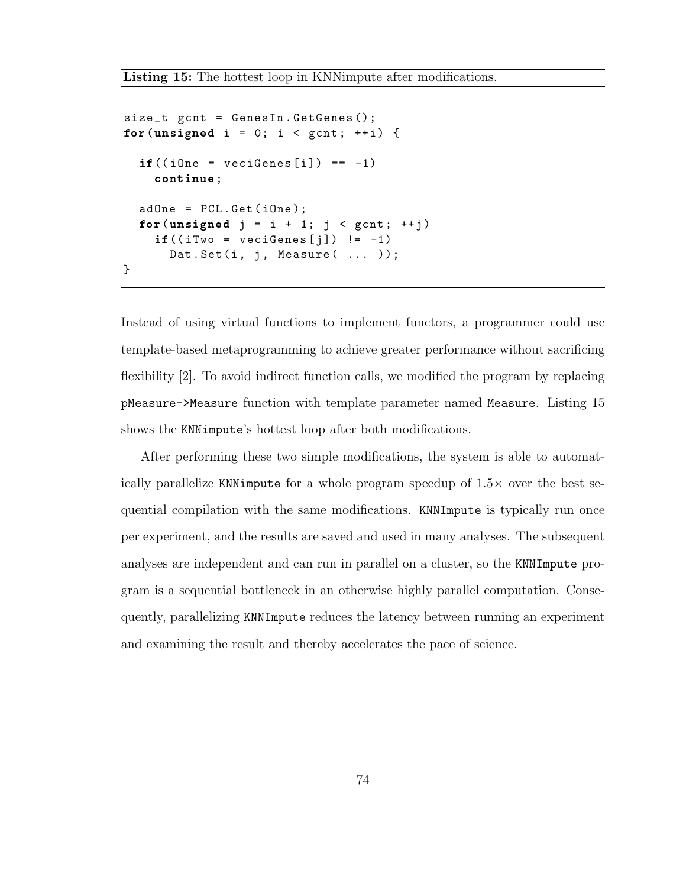```
size_t gcnt = GenesIn . GetGenes ();
for (unsigned i = 0; i < gcnt; ++i) {
  if((iOne = vecifeness[i]) == -1)continue;
  adOne = PCL.Get(iOne);for (unsigned j = i + 1; j < gcnt; ++j)
    if((iTwo = vecifeness[j]) != -1)Dat. Set (i, j, Measure ( ... );
}
```
Instead of using virtual functions to implement functors, a programmer could use template-based metaprogramming to achieve greater performance without sacrificing flexibility [2]. To avoid indirect function calls, we modified the program by replacing pMeasure->Measure function with template parameter named Measure. Listing 15 shows the KNNimpute's hottest loop after both modifications.

After performing these two simple modifications, the system is able to automatically parallelize KNNimpute for a whole program speedup of  $1.5\times$  over the best sequential compilation with the same modifications. KNNImpute is typically run once per experiment, and the results are saved and used in many analyses. The subsequent analyses are independent and can run in parallel on a cluster, so the KNNImpute program is a sequential bottleneck in an otherwise highly parallel computation. Consequently, parallelizing KNNImpute reduces the latency between running an experiment and examining the result and thereby accelerates the pace of science.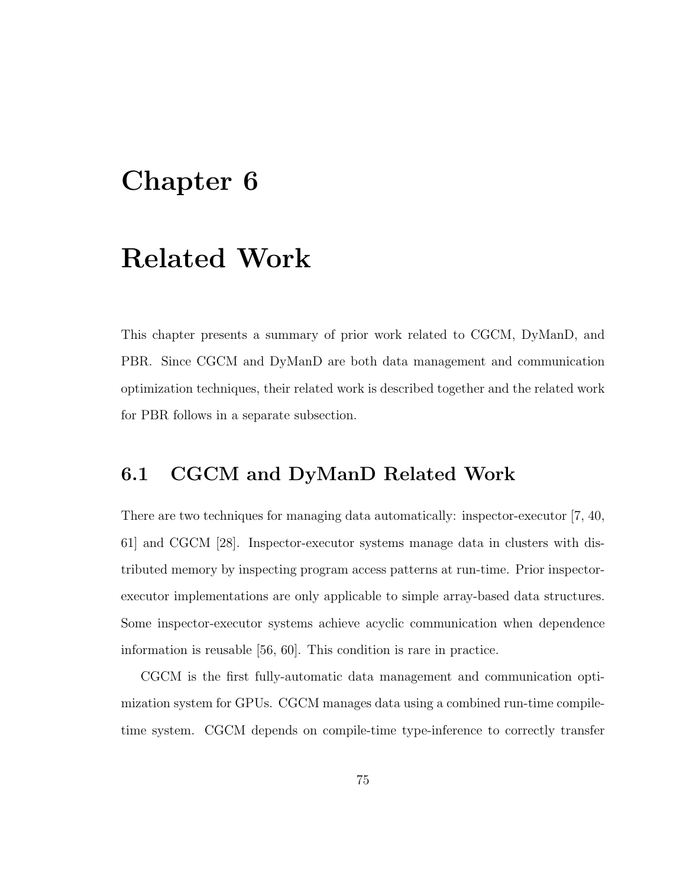# Chapter 6

## Related Work

This chapter presents a summary of prior work related to CGCM, DyManD, and PBR. Since CGCM and DyManD are both data management and communication optimization techniques, their related work is described together and the related work for PBR follows in a separate subsection.

#### 6.1 CGCM and DyManD Related Work

There are two techniques for managing data automatically: inspector-executor [7, 40, 61] and CGCM [28]. Inspector-executor systems manage data in clusters with distributed memory by inspecting program access patterns at run-time. Prior inspectorexecutor implementations are only applicable to simple array-based data structures. Some inspector-executor systems achieve acyclic communication when dependence information is reusable [56, 60]. This condition is rare in practice.

CGCM is the first fully-automatic data management and communication optimization system for GPUs. CGCM manages data using a combined run-time compiletime system. CGCM depends on compile-time type-inference to correctly transfer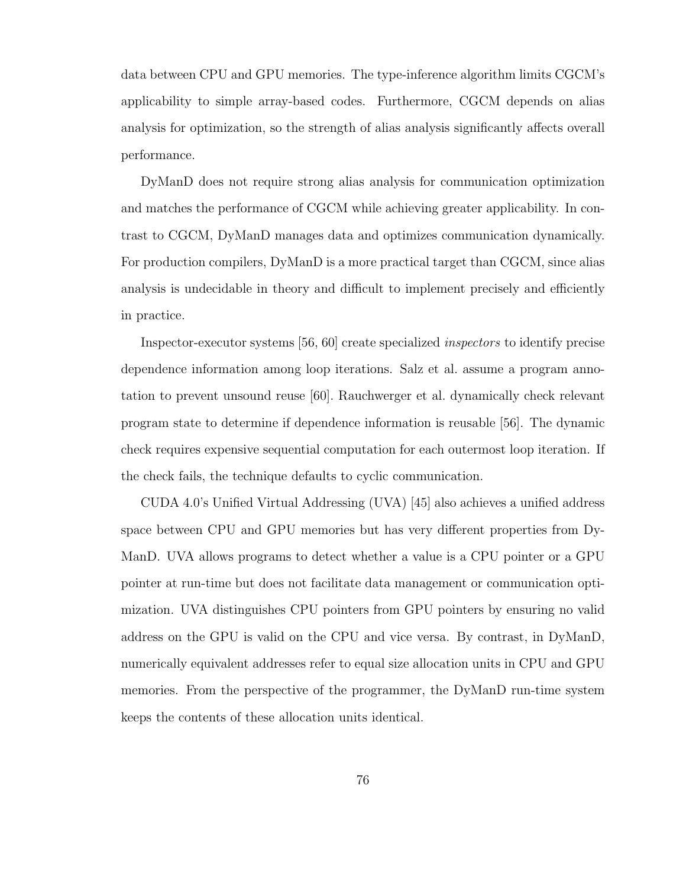data between CPU and GPU memories. The type-inference algorithm limits CGCM's applicability to simple array-based codes. Furthermore, CGCM depends on alias analysis for optimization, so the strength of alias analysis significantly affects overall performance.

DyManD does not require strong alias analysis for communication optimization and matches the performance of CGCM while achieving greater applicability. In contrast to CGCM, DyManD manages data and optimizes communication dynamically. For production compilers, DyManD is a more practical target than CGCM, since alias analysis is undecidable in theory and difficult to implement precisely and efficiently in practice.

Inspector-executor systems [56, 60] create specialized inspectors to identify precise dependence information among loop iterations. Salz et al. assume a program annotation to prevent unsound reuse [60]. Rauchwerger et al. dynamically check relevant program state to determine if dependence information is reusable [56]. The dynamic check requires expensive sequential computation for each outermost loop iteration. If the check fails, the technique defaults to cyclic communication.

CUDA 4.0's Unified Virtual Addressing (UVA) [45] also achieves a unified address space between CPU and GPU memories but has very different properties from Dy-ManD. UVA allows programs to detect whether a value is a CPU pointer or a GPU pointer at run-time but does not facilitate data management or communication optimization. UVA distinguishes CPU pointers from GPU pointers by ensuring no valid address on the GPU is valid on the CPU and vice versa. By contrast, in DyManD, numerically equivalent addresses refer to equal size allocation units in CPU and GPU memories. From the perspective of the programmer, the DyManD run-time system keeps the contents of these allocation units identical.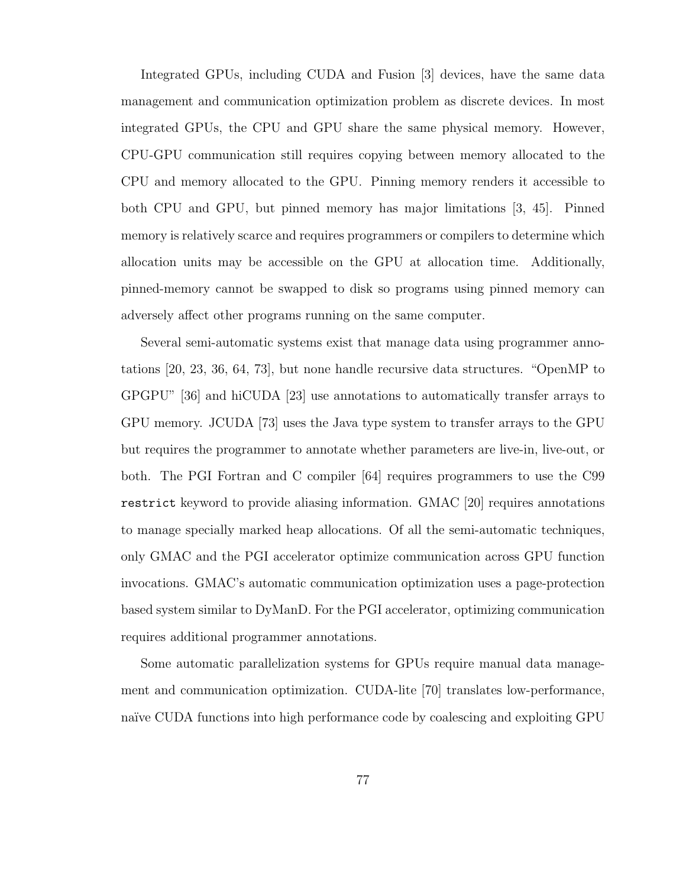Integrated GPUs, including CUDA and Fusion [3] devices, have the same data management and communication optimization problem as discrete devices. In most integrated GPUs, the CPU and GPU share the same physical memory. However, CPU-GPU communication still requires copying between memory allocated to the CPU and memory allocated to the GPU. Pinning memory renders it accessible to both CPU and GPU, but pinned memory has major limitations [3, 45]. Pinned memory is relatively scarce and requires programmers or compilers to determine which allocation units may be accessible on the GPU at allocation time. Additionally, pinned-memory cannot be swapped to disk so programs using pinned memory can adversely affect other programs running on the same computer.

Several semi-automatic systems exist that manage data using programmer annotations [20, 23, 36, 64, 73], but none handle recursive data structures. "OpenMP to GPGPU" [36] and hiCUDA [23] use annotations to automatically transfer arrays to GPU memory. JCUDA [73] uses the Java type system to transfer arrays to the GPU but requires the programmer to annotate whether parameters are live-in, live-out, or both. The PGI Fortran and C compiler [64] requires programmers to use the C99 restrict keyword to provide aliasing information. GMAC [20] requires annotations to manage specially marked heap allocations. Of all the semi-automatic techniques, only GMAC and the PGI accelerator optimize communication across GPU function invocations. GMAC's automatic communication optimization uses a page-protection based system similar to DyManD. For the PGI accelerator, optimizing communication requires additional programmer annotations.

Some automatic parallelization systems for GPUs require manual data management and communication optimization. CUDA-lite [70] translates low-performance, naïve CUDA functions into high performance code by coalescing and exploiting GPU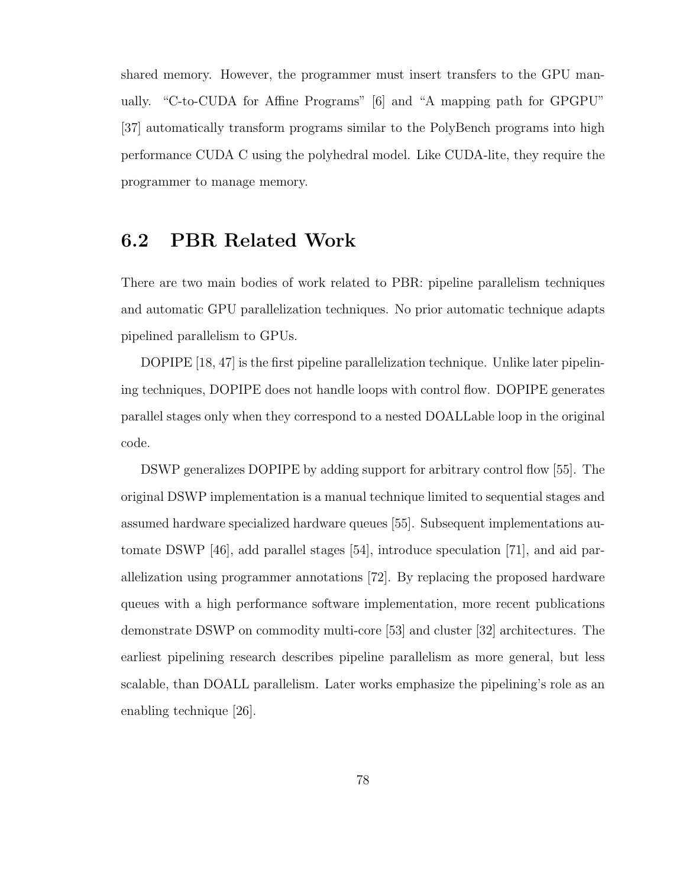shared memory. However, the programmer must insert transfers to the GPU manually. "C-to-CUDA for Affine Programs" [6] and "A mapping path for GPGPU" [37] automatically transform programs similar to the PolyBench programs into high performance CUDA C using the polyhedral model. Like CUDA-lite, they require the programmer to manage memory.

#### 6.2 PBR Related Work

There are two main bodies of work related to PBR: pipeline parallelism techniques and automatic GPU parallelization techniques. No prior automatic technique adapts pipelined parallelism to GPUs.

DOPIPE [18, 47] is the first pipeline parallelization technique. Unlike later pipelining techniques, DOPIPE does not handle loops with control flow. DOPIPE generates parallel stages only when they correspond to a nested DOALLable loop in the original code.

DSWP generalizes DOPIPE by adding support for arbitrary control flow [55]. The original DSWP implementation is a manual technique limited to sequential stages and assumed hardware specialized hardware queues [55]. Subsequent implementations automate DSWP [46], add parallel stages [54], introduce speculation [71], and aid parallelization using programmer annotations [72]. By replacing the proposed hardware queues with a high performance software implementation, more recent publications demonstrate DSWP on commodity multi-core [53] and cluster [32] architectures. The earliest pipelining research describes pipeline parallelism as more general, but less scalable, than DOALL parallelism. Later works emphasize the pipelining's role as an enabling technique [26].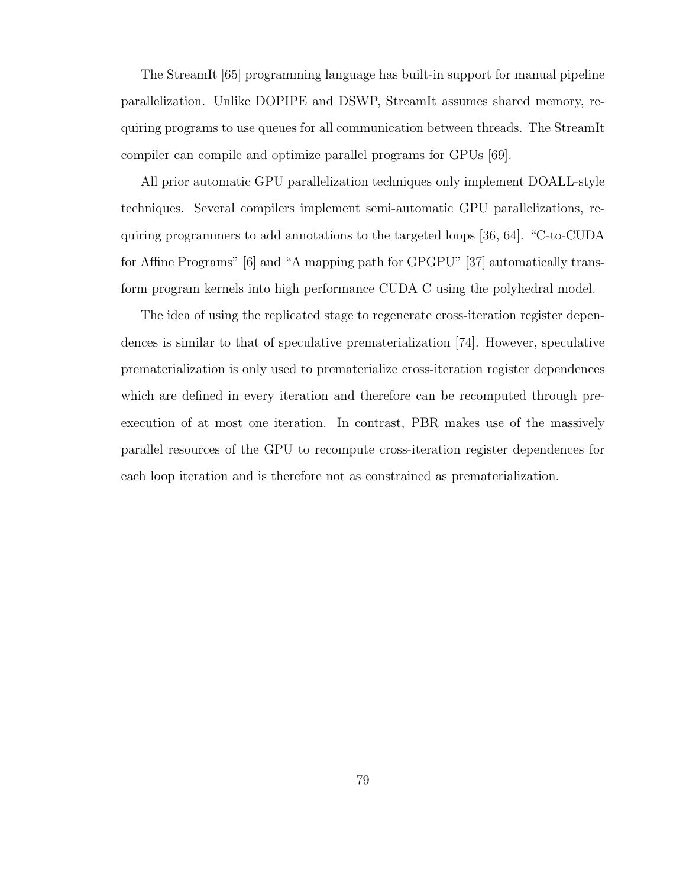The StreamIt [65] programming language has built-in support for manual pipeline parallelization. Unlike DOPIPE and DSWP, StreamIt assumes shared memory, requiring programs to use queues for all communication between threads. The StreamIt compiler can compile and optimize parallel programs for GPUs [69].

All prior automatic GPU parallelization techniques only implement DOALL-style techniques. Several compilers implement semi-automatic GPU parallelizations, requiring programmers to add annotations to the targeted loops [36, 64]. "C-to-CUDA for Affine Programs" [6] and "A mapping path for GPGPU" [37] automatically transform program kernels into high performance CUDA C using the polyhedral model.

The idea of using the replicated stage to regenerate cross-iteration register dependences is similar to that of speculative prematerialization [74]. However, speculative prematerialization is only used to prematerialize cross-iteration register dependences which are defined in every iteration and therefore can be recomputed through preexecution of at most one iteration. In contrast, PBR makes use of the massively parallel resources of the GPU to recompute cross-iteration register dependences for each loop iteration and is therefore not as constrained as prematerialization.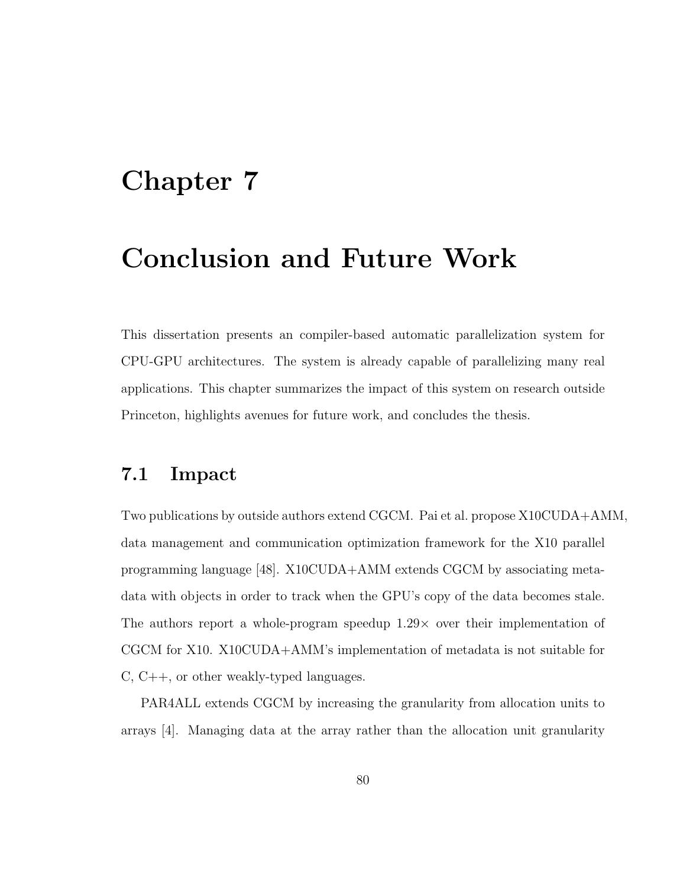## Chapter 7

## Conclusion and Future Work

This dissertation presents an compiler-based automatic parallelization system for CPU-GPU architectures. The system is already capable of parallelizing many real applications. This chapter summarizes the impact of this system on research outside Princeton, highlights avenues for future work, and concludes the thesis.

#### 7.1 Impact

Two publications by outside authors extend CGCM. Pai et al. propose X10CUDA+AMM, data management and communication optimization framework for the X10 parallel programming language [48]. X10CUDA+AMM extends CGCM by associating metadata with objects in order to track when the GPU's copy of the data becomes stale. The authors report a whole-program speedup  $1.29\times$  over their implementation of CGCM for X10. X10CUDA+AMM's implementation of metadata is not suitable for C, C++, or other weakly-typed languages.

PAR4ALL extends CGCM by increasing the granularity from allocation units to arrays [4]. Managing data at the array rather than the allocation unit granularity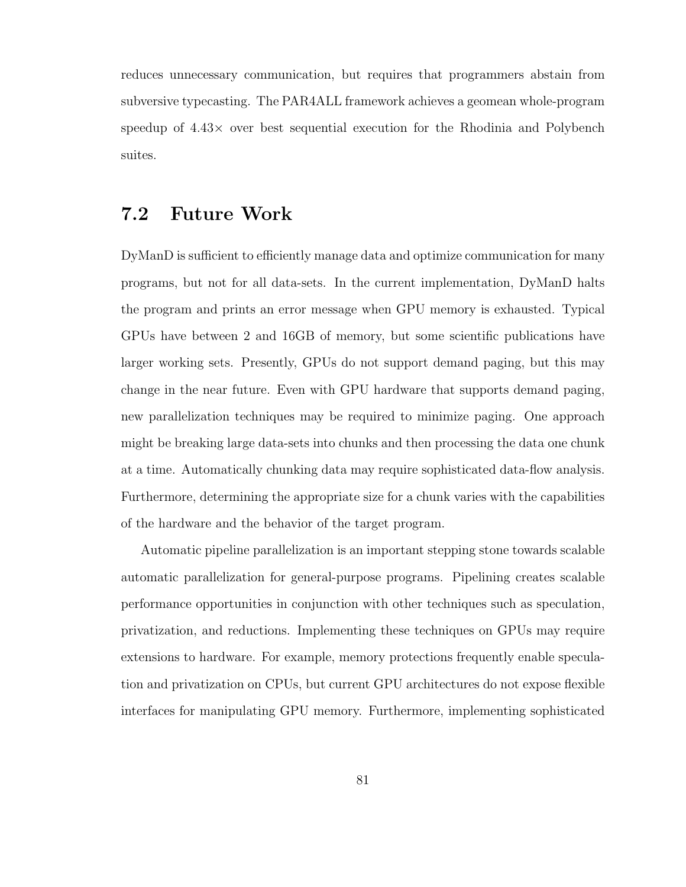reduces unnecessary communication, but requires that programmers abstain from subversive typecasting. The PAR4ALL framework achieves a geomean whole-program speedup of 4.43× over best sequential execution for the Rhodinia and Polybench suites.

### 7.2 Future Work

DyManD is sufficient to efficiently manage data and optimize communication for many programs, but not for all data-sets. In the current implementation, DyManD halts the program and prints an error message when GPU memory is exhausted. Typical GPUs have between 2 and 16GB of memory, but some scientific publications have larger working sets. Presently, GPUs do not support demand paging, but this may change in the near future. Even with GPU hardware that supports demand paging, new parallelization techniques may be required to minimize paging. One approach might be breaking large data-sets into chunks and then processing the data one chunk at a time. Automatically chunking data may require sophisticated data-flow analysis. Furthermore, determining the appropriate size for a chunk varies with the capabilities of the hardware and the behavior of the target program.

Automatic pipeline parallelization is an important stepping stone towards scalable automatic parallelization for general-purpose programs. Pipelining creates scalable performance opportunities in conjunction with other techniques such as speculation, privatization, and reductions. Implementing these techniques on GPUs may require extensions to hardware. For example, memory protections frequently enable speculation and privatization on CPUs, but current GPU architectures do not expose flexible interfaces for manipulating GPU memory. Furthermore, implementing sophisticated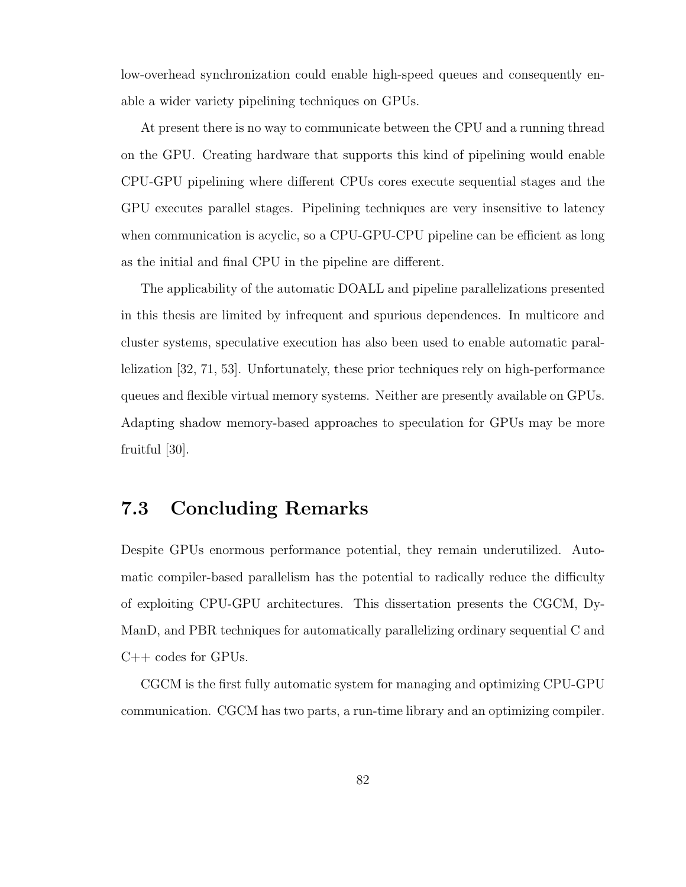low-overhead synchronization could enable high-speed queues and consequently enable a wider variety pipelining techniques on GPUs.

At present there is no way to communicate between the CPU and a running thread on the GPU. Creating hardware that supports this kind of pipelining would enable CPU-GPU pipelining where different CPUs cores execute sequential stages and the GPU executes parallel stages. Pipelining techniques are very insensitive to latency when communication is acyclic, so a CPU-GPU-CPU pipeline can be efficient as long as the initial and final CPU in the pipeline are different.

The applicability of the automatic DOALL and pipeline parallelizations presented in this thesis are limited by infrequent and spurious dependences. In multicore and cluster systems, speculative execution has also been used to enable automatic parallelization [32, 71, 53]. Unfortunately, these prior techniques rely on high-performance queues and flexible virtual memory systems. Neither are presently available on GPUs. Adapting shadow memory-based approaches to speculation for GPUs may be more fruitful [30].

### 7.3 Concluding Remarks

Despite GPUs enormous performance potential, they remain underutilized. Automatic compiler-based parallelism has the potential to radically reduce the difficulty of exploiting CPU-GPU architectures. This dissertation presents the CGCM, Dy-ManD, and PBR techniques for automatically parallelizing ordinary sequential C and C++ codes for GPUs.

CGCM is the first fully automatic system for managing and optimizing CPU-GPU communication. CGCM has two parts, a run-time library and an optimizing compiler.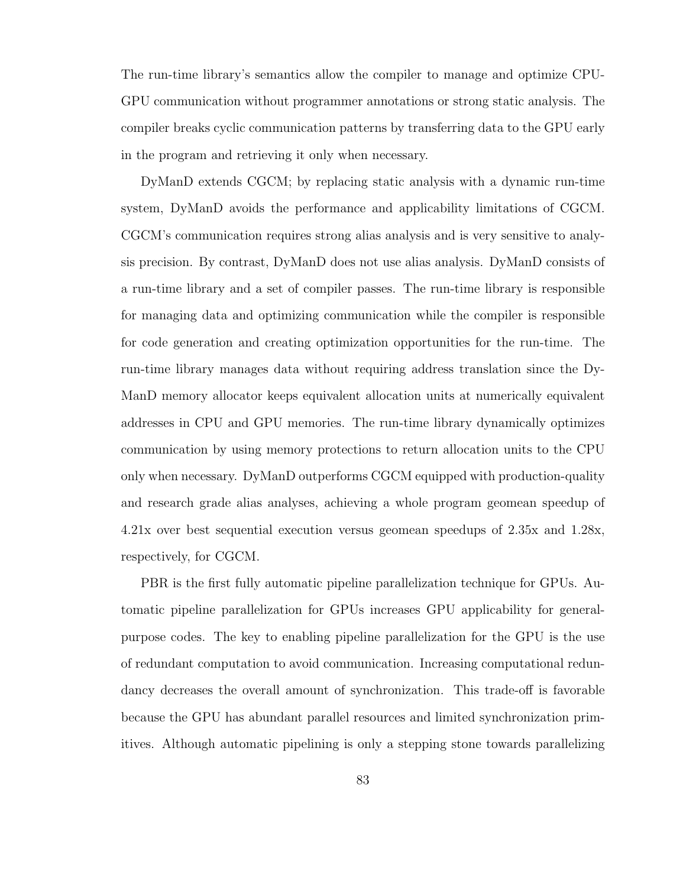The run-time library's semantics allow the compiler to manage and optimize CPU-GPU communication without programmer annotations or strong static analysis. The compiler breaks cyclic communication patterns by transferring data to the GPU early in the program and retrieving it only when necessary.

DyManD extends CGCM; by replacing static analysis with a dynamic run-time system, DyManD avoids the performance and applicability limitations of CGCM. CGCM's communication requires strong alias analysis and is very sensitive to analysis precision. By contrast, DyManD does not use alias analysis. DyManD consists of a run-time library and a set of compiler passes. The run-time library is responsible for managing data and optimizing communication while the compiler is responsible for code generation and creating optimization opportunities for the run-time. The run-time library manages data without requiring address translation since the Dy-ManD memory allocator keeps equivalent allocation units at numerically equivalent addresses in CPU and GPU memories. The run-time library dynamically optimizes communication by using memory protections to return allocation units to the CPU only when necessary. DyManD outperforms CGCM equipped with production-quality and research grade alias analyses, achieving a whole program geomean speedup of 4.21x over best sequential execution versus geomean speedups of 2.35x and 1.28x, respectively, for CGCM.

PBR is the first fully automatic pipeline parallelization technique for GPUs. Automatic pipeline parallelization for GPUs increases GPU applicability for generalpurpose codes. The key to enabling pipeline parallelization for the GPU is the use of redundant computation to avoid communication. Increasing computational redundancy decreases the overall amount of synchronization. This trade-off is favorable because the GPU has abundant parallel resources and limited synchronization primitives. Although automatic pipelining is only a stepping stone towards parallelizing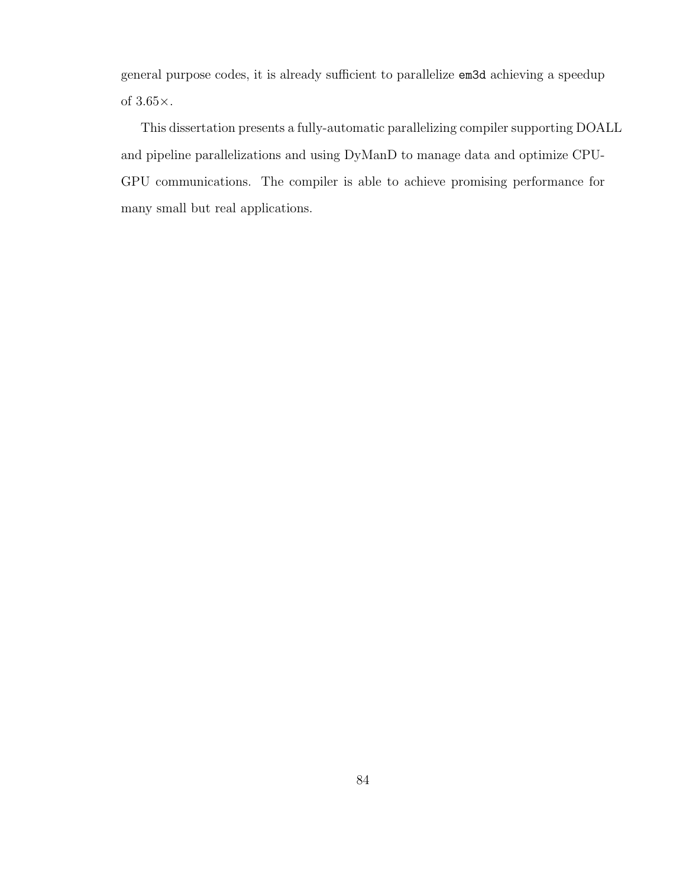general purpose codes, it is already sufficient to parallelize em3d achieving a speedup of  $3.65\times$  .

This dissertation presents a fully-automatic parallelizing compiler supporting DOALL and pipeline parallelizations and using DyManD to manage data and optimize CPU-GPU communications. The compiler is able to achieve promising performance for many small but real applications.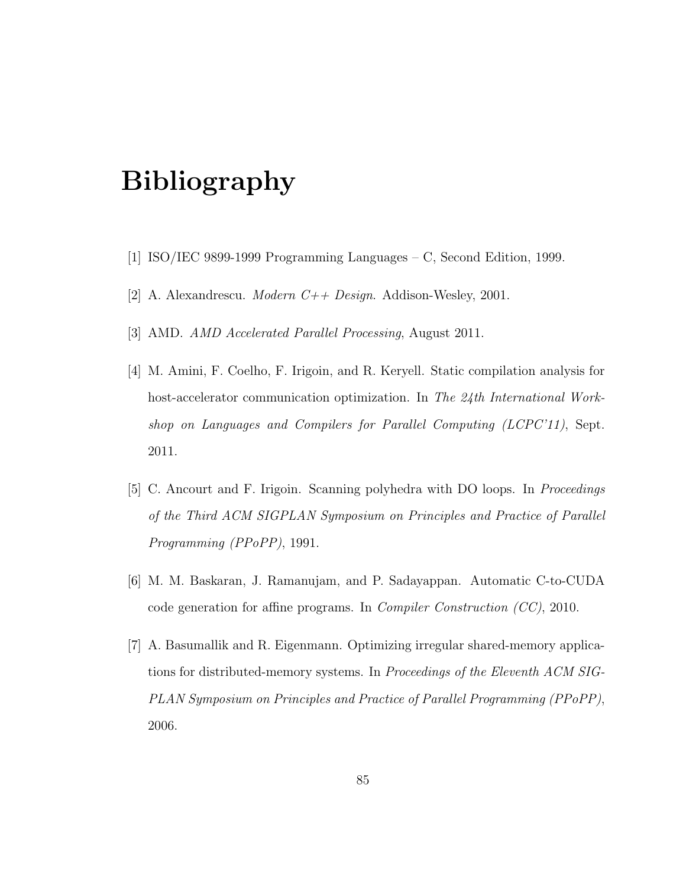# Bibliography

- [1] ISO/IEC 9899-1999 Programming Languages C, Second Edition, 1999.
- [2] A. Alexandrescu. *Modern C++ Design*. Addison-Wesley, 2001.
- [3] AMD. AMD Accelerated Parallel Processing, August 2011.
- [4] M. Amini, F. Coelho, F. Irigoin, and R. Keryell. Static compilation analysis for host-accelerator communication optimization. In The 24th International Workshop on Languages and Compilers for Parallel Computing (LCPC'11), Sept. 2011.
- [5] C. Ancourt and F. Irigoin. Scanning polyhedra with DO loops. In Proceedings of the Third ACM SIGPLAN Symposium on Principles and Practice of Parallel Programming (PPoPP), 1991.
- [6] M. M. Baskaran, J. Ramanujam, and P. Sadayappan. Automatic C-to-CUDA code generation for affine programs. In Compiler Construction (CC), 2010.
- [7] A. Basumallik and R. Eigenmann. Optimizing irregular shared-memory applications for distributed-memory systems. In Proceedings of the Eleventh ACM SIG-PLAN Symposium on Principles and Practice of Parallel Programming (PPoPP), 2006.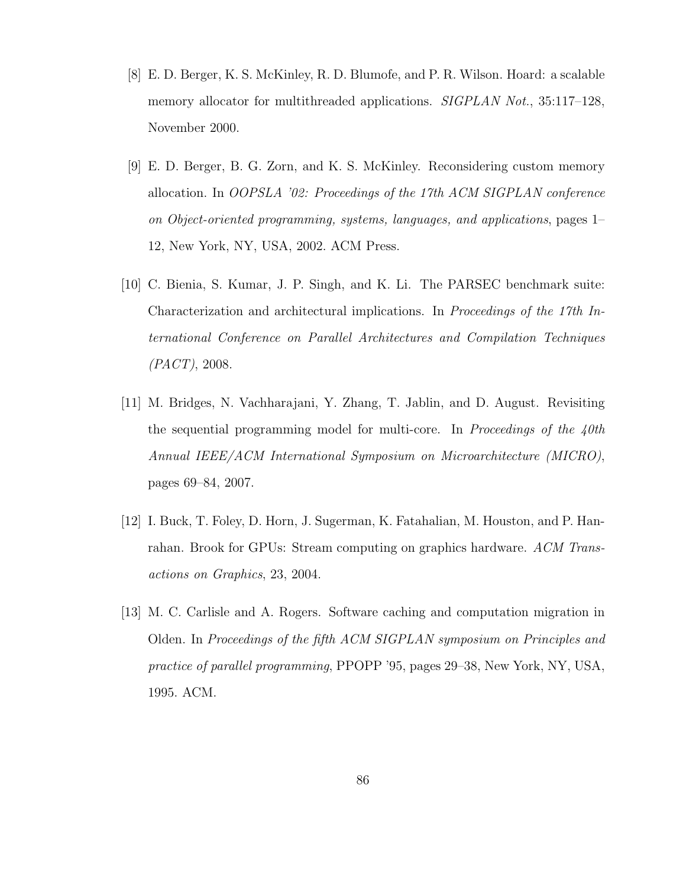- [8] E. D. Berger, K. S. McKinley, R. D. Blumofe, and P. R. Wilson. Hoard: a scalable memory allocator for multithreaded applications. SIGPLAN Not., 35:117-128, November 2000.
- [9] E. D. Berger, B. G. Zorn, and K. S. McKinley. Reconsidering custom memory allocation. In OOPSLA '02: Proceedings of the 17th ACM SIGPLAN conference on Object-oriented programming, systems, languages, and applications, pages 1– 12, New York, NY, USA, 2002. ACM Press.
- [10] C. Bienia, S. Kumar, J. P. Singh, and K. Li. The PARSEC benchmark suite: Characterization and architectural implications. In Proceedings of the 17th International Conference on Parallel Architectures and Compilation Techniques (PACT), 2008.
- [11] M. Bridges, N. Vachharajani, Y. Zhang, T. Jablin, and D. August. Revisiting the sequential programming model for multi-core. In Proceedings of the  $\phi$ th Annual IEEE/ACM International Symposium on Microarchitecture (MICRO), pages 69–84, 2007.
- [12] I. Buck, T. Foley, D. Horn, J. Sugerman, K. Fatahalian, M. Houston, and P. Hanrahan. Brook for GPUs: Stream computing on graphics hardware. ACM Transactions on Graphics, 23, 2004.
- [13] M. C. Carlisle and A. Rogers. Software caching and computation migration in Olden. In Proceedings of the fifth ACM SIGPLAN symposium on Principles and practice of parallel programming, PPOPP '95, pages 29–38, New York, NY, USA, 1995. ACM.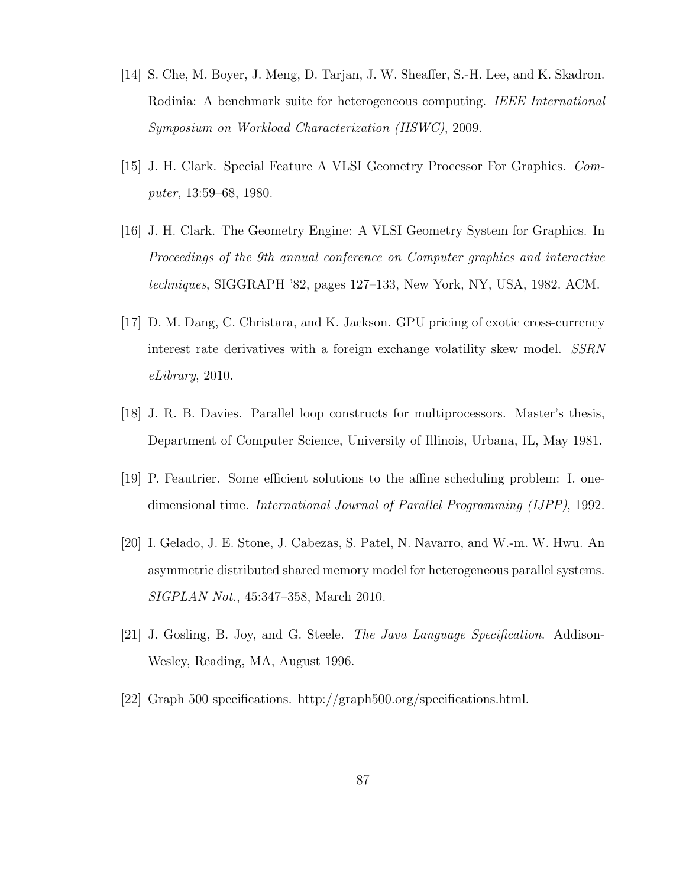- [14] S. Che, M. Boyer, J. Meng, D. Tarjan, J. W. Sheaffer, S.-H. Lee, and K. Skadron. Rodinia: A benchmark suite for heterogeneous computing. IEEE International Symposium on Workload Characterization (IISWC), 2009.
- [15] J. H. Clark. Special Feature A VLSI Geometry Processor For Graphics. Computer, 13:59–68, 1980.
- [16] J. H. Clark. The Geometry Engine: A VLSI Geometry System for Graphics. In Proceedings of the 9th annual conference on Computer graphics and interactive techniques, SIGGRAPH '82, pages 127–133, New York, NY, USA, 1982. ACM.
- [17] D. M. Dang, C. Christara, and K. Jackson. GPU pricing of exotic cross-currency interest rate derivatives with a foreign exchange volatility skew model. SSRN eLibrary, 2010.
- [18] J. R. B. Davies. Parallel loop constructs for multiprocessors. Master's thesis, Department of Computer Science, University of Illinois, Urbana, IL, May 1981.
- [19] P. Feautrier. Some efficient solutions to the affine scheduling problem: I. onedimensional time. International Journal of Parallel Programming (IJPP), 1992.
- [20] I. Gelado, J. E. Stone, J. Cabezas, S. Patel, N. Navarro, and W.-m. W. Hwu. An asymmetric distributed shared memory model for heterogeneous parallel systems. SIGPLAN Not., 45:347–358, March 2010.
- [21] J. Gosling, B. Joy, and G. Steele. The Java Language Specification. Addison-Wesley, Reading, MA, August 1996.
- [22] Graph 500 specifications. http://graph500.org/specifications.html.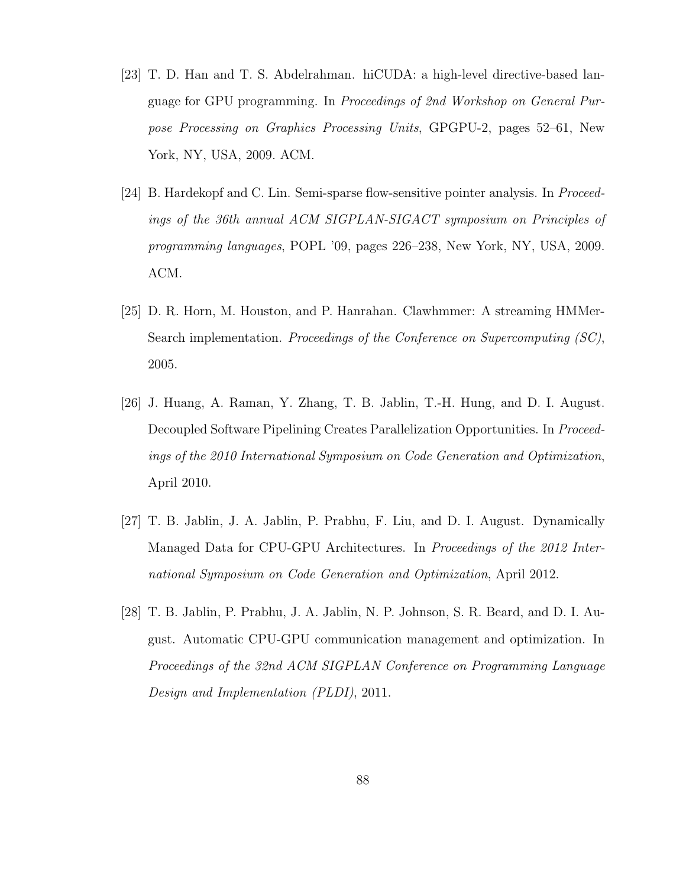- [23] T. D. Han and T. S. Abdelrahman. hiCUDA: a high-level directive-based language for GPU programming. In Proceedings of 2nd Workshop on General Purpose Processing on Graphics Processing Units, GPGPU-2, pages 52–61, New York, NY, USA, 2009. ACM.
- [24] B. Hardekopf and C. Lin. Semi-sparse flow-sensitive pointer analysis. In Proceedings of the 36th annual ACM SIGPLAN-SIGACT symposium on Principles of programming languages, POPL '09, pages 226–238, New York, NY, USA, 2009. ACM.
- [25] D. R. Horn, M. Houston, and P. Hanrahan. Clawhmmer: A streaming HMMer-Search implementation. Proceedings of the Conference on Supercomputing (SC), 2005.
- [26] J. Huang, A. Raman, Y. Zhang, T. B. Jablin, T.-H. Hung, and D. I. August. Decoupled Software Pipelining Creates Parallelization Opportunities. In Proceedings of the 2010 International Symposium on Code Generation and Optimization, April 2010.
- [27] T. B. Jablin, J. A. Jablin, P. Prabhu, F. Liu, and D. I. August. Dynamically Managed Data for CPU-GPU Architectures. In Proceedings of the 2012 International Symposium on Code Generation and Optimization, April 2012.
- [28] T. B. Jablin, P. Prabhu, J. A. Jablin, N. P. Johnson, S. R. Beard, and D. I. August. Automatic CPU-GPU communication management and optimization. In Proceedings of the 32nd ACM SIGPLAN Conference on Programming Language Design and Implementation (PLDI), 2011.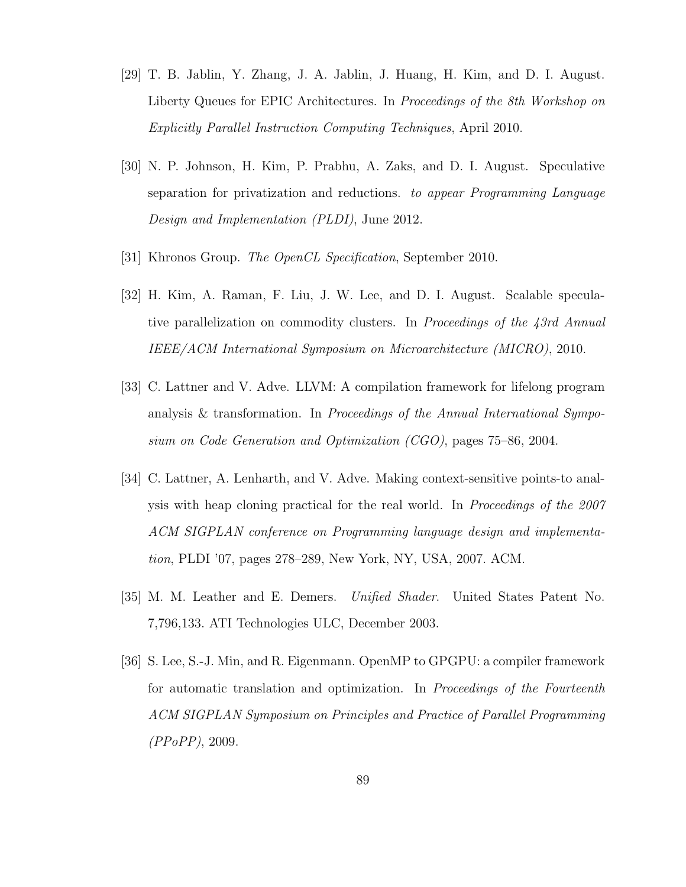- [29] T. B. Jablin, Y. Zhang, J. A. Jablin, J. Huang, H. Kim, and D. I. August. Liberty Queues for EPIC Architectures. In *Proceedings of the 8th Workshop on* Explicitly Parallel Instruction Computing Techniques, April 2010.
- [30] N. P. Johnson, H. Kim, P. Prabhu, A. Zaks, and D. I. August. Speculative separation for privatization and reductions. to appear Programming Language Design and Implementation (PLDI), June 2012.
- [31] Khronos Group. The OpenCL Specification, September 2010.
- [32] H. Kim, A. Raman, F. Liu, J. W. Lee, and D. I. August. Scalable speculative parallelization on commodity clusters. In Proceedings of the 43rd Annual IEEE/ACM International Symposium on Microarchitecture (MICRO), 2010.
- [33] C. Lattner and V. Adve. LLVM: A compilation framework for lifelong program analysis & transformation. In Proceedings of the Annual International Symposium on Code Generation and Optimization (CGO), pages 75–86, 2004.
- [34] C. Lattner, A. Lenharth, and V. Adve. Making context-sensitive points-to analysis with heap cloning practical for the real world. In Proceedings of the 2007 ACM SIGPLAN conference on Programming language design and implementation, PLDI '07, pages 278–289, New York, NY, USA, 2007. ACM.
- [35] M. M. Leather and E. Demers. Unified Shader. United States Patent No. 7,796,133. ATI Technologies ULC, December 2003.
- [36] S. Lee, S.-J. Min, and R. Eigenmann. OpenMP to GPGPU: a compiler framework for automatic translation and optimization. In Proceedings of the Fourteenth ACM SIGPLAN Symposium on Principles and Practice of Parallel Programming (PPoPP), 2009.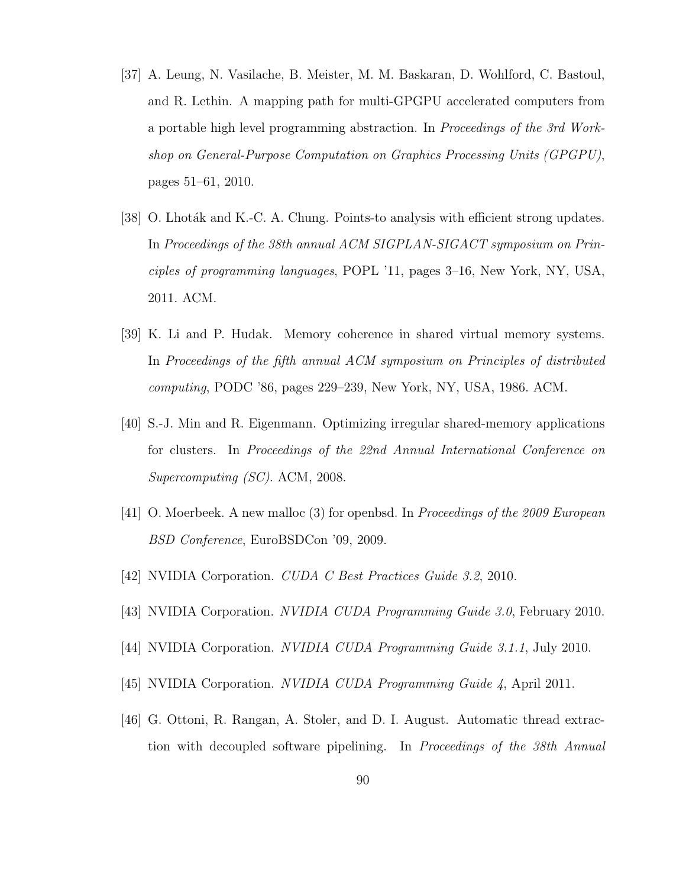- [37] A. Leung, N. Vasilache, B. Meister, M. M. Baskaran, D. Wohlford, C. Bastoul, and R. Lethin. A mapping path for multi-GPGPU accelerated computers from a portable high level programming abstraction. In Proceedings of the 3rd Workshop on General-Purpose Computation on Graphics Processing Units (GPGPU), pages 51–61, 2010.
- [38] O. Lhoták and K.-C. A. Chung. Points-to analysis with efficient strong updates. In Proceedings of the 38th annual ACM SIGPLAN-SIGACT symposium on Principles of programming languages, POPL '11, pages 3–16, New York, NY, USA, 2011. ACM.
- [39] K. Li and P. Hudak. Memory coherence in shared virtual memory systems. In Proceedings of the fifth annual ACM symposium on Principles of distributed computing, PODC '86, pages 229–239, New York, NY, USA, 1986. ACM.
- [40] S.-J. Min and R. Eigenmann. Optimizing irregular shared-memory applications for clusters. In Proceedings of the 22nd Annual International Conference on Supercomputing (SC). ACM, 2008.
- [41] O. Moerbeek. A new malloc (3) for openbsd. In Proceedings of the 2009 European BSD Conference, EuroBSDCon '09, 2009.
- [42] NVIDIA Corporation. CUDA C Best Practices Guide 3.2, 2010.
- [43] NVIDIA Corporation. NVIDIA CUDA Programming Guide 3.0, February 2010.
- [44] NVIDIA Corporation. NVIDIA CUDA Programming Guide 3.1.1, July 2010.
- [45] NVIDIA Corporation. NVIDIA CUDA Programming Guide 4, April 2011.
- [46] G. Ottoni, R. Rangan, A. Stoler, and D. I. August. Automatic thread extraction with decoupled software pipelining. In Proceedings of the 38th Annual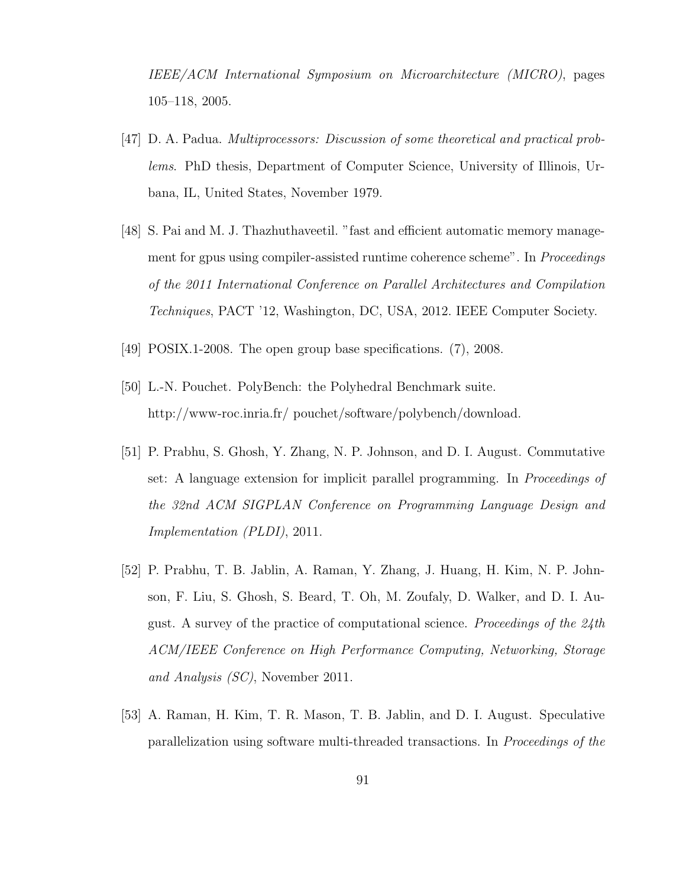IEEE/ACM International Symposium on Microarchitecture (MICRO), pages 105–118, 2005.

- [47] D. A. Padua. Multiprocessors: Discussion of some theoretical and practical problems. PhD thesis, Department of Computer Science, University of Illinois, Urbana, IL, United States, November 1979.
- [48] S. Pai and M. J. Thazhuthaveetil. "fast and efficient automatic memory management for gpus using compiler-assisted runtime coherence scheme". In Proceedings of the 2011 International Conference on Parallel Architectures and Compilation Techniques, PACT '12, Washington, DC, USA, 2012. IEEE Computer Society.
- [49] POSIX.1-2008. The open group base specifications. (7), 2008.
- [50] L.-N. Pouchet. PolyBench: the Polyhedral Benchmark suite. http://www-roc.inria.fr/ pouchet/software/polybench/download.
- [51] P. Prabhu, S. Ghosh, Y. Zhang, N. P. Johnson, and D. I. August. Commutative set: A language extension for implicit parallel programming. In Proceedings of the 32nd ACM SIGPLAN Conference on Programming Language Design and Implementation (PLDI), 2011.
- [52] P. Prabhu, T. B. Jablin, A. Raman, Y. Zhang, J. Huang, H. Kim, N. P. Johnson, F. Liu, S. Ghosh, S. Beard, T. Oh, M. Zoufaly, D. Walker, and D. I. August. A survey of the practice of computational science. Proceedings of the 24th ACM/IEEE Conference on High Performance Computing, Networking, Storage and Analysis (SC), November 2011.
- [53] A. Raman, H. Kim, T. R. Mason, T. B. Jablin, and D. I. August. Speculative parallelization using software multi-threaded transactions. In Proceedings of the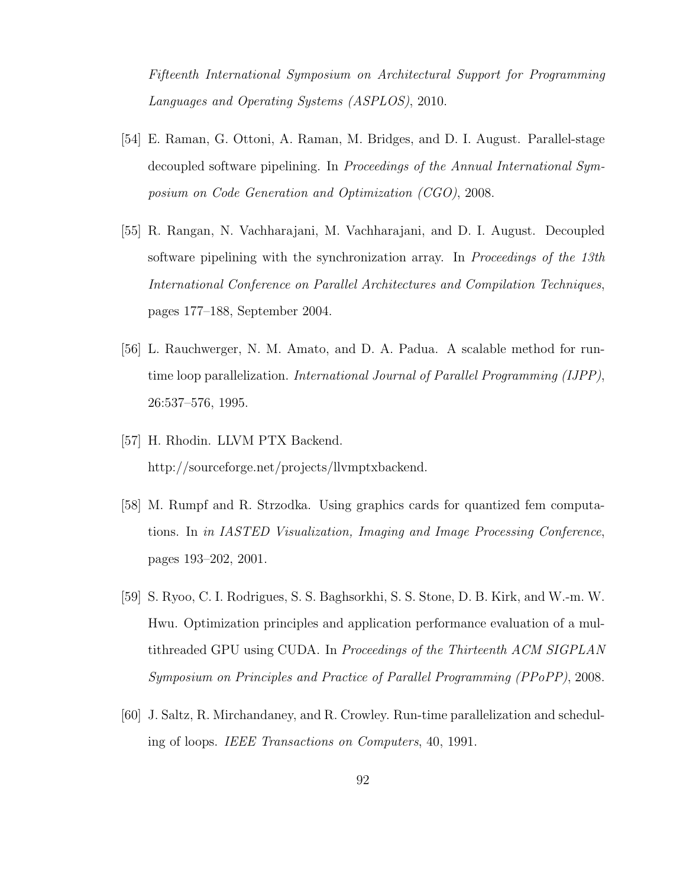Fifteenth International Symposium on Architectural Support for Programming Languages and Operating Systems (ASPLOS), 2010.

- [54] E. Raman, G. Ottoni, A. Raman, M. Bridges, and D. I. August. Parallel-stage decoupled software pipelining. In Proceedings of the Annual International Symposium on Code Generation and Optimization (CGO), 2008.
- [55] R. Rangan, N. Vachharajani, M. Vachharajani, and D. I. August. Decoupled software pipelining with the synchronization array. In Proceedings of the 13th International Conference on Parallel Architectures and Compilation Techniques, pages 177–188, September 2004.
- [56] L. Rauchwerger, N. M. Amato, and D. A. Padua. A scalable method for runtime loop parallelization. International Journal of Parallel Programming (IJPP), 26:537–576, 1995.
- [57] H. Rhodin. LLVM PTX Backend. http://sourceforge.net/projects/llvmptxbackend.
- [58] M. Rumpf and R. Strzodka. Using graphics cards for quantized fem computations. In in IASTED Visualization, Imaging and Image Processing Conference, pages 193–202, 2001.
- [59] S. Ryoo, C. I. Rodrigues, S. S. Baghsorkhi, S. S. Stone, D. B. Kirk, and W.-m. W. Hwu. Optimization principles and application performance evaluation of a multithreaded GPU using CUDA. In Proceedings of the Thirteenth ACM SIGPLAN Symposium on Principles and Practice of Parallel Programming (PPoPP), 2008.
- [60] J. Saltz, R. Mirchandaney, and R. Crowley. Run-time parallelization and scheduling of loops. IEEE Transactions on Computers, 40, 1991.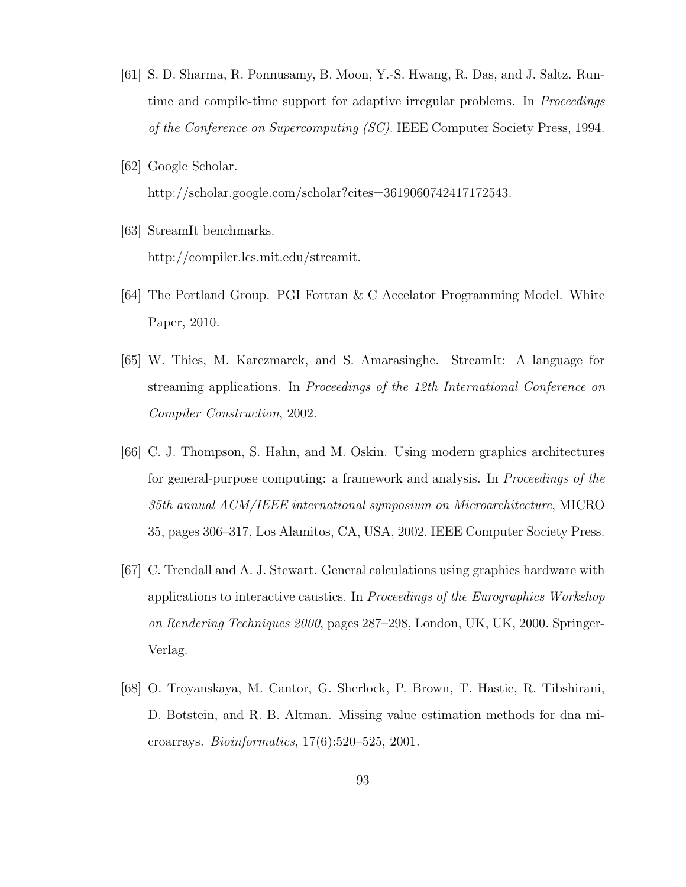- [61] S. D. Sharma, R. Ponnusamy, B. Moon, Y.-S. Hwang, R. Das, and J. Saltz. Runtime and compile-time support for adaptive irregular problems. In *Proceedings* of the Conference on Supercomputing (SC). IEEE Computer Society Press, 1994.
- [62] Google Scholar. http://scholar.google.com/scholar?cites=3619060742417172543.
- [63] StreamIt benchmarks. http://compiler.lcs.mit.edu/streamit.
- [64] The Portland Group. PGI Fortran & C Accelator Programming Model. White Paper, 2010.
- [65] W. Thies, M. Karczmarek, and S. Amarasinghe. StreamIt: A language for streaming applications. In Proceedings of the 12th International Conference on Compiler Construction, 2002.
- [66] C. J. Thompson, S. Hahn, and M. Oskin. Using modern graphics architectures for general-purpose computing: a framework and analysis. In Proceedings of the 35th annual ACM/IEEE international symposium on Microarchitecture, MICRO 35, pages 306–317, Los Alamitos, CA, USA, 2002. IEEE Computer Society Press.
- [67] C. Trendall and A. J. Stewart. General calculations using graphics hardware with applications to interactive caustics. In Proceedings of the Eurographics Workshop on Rendering Techniques 2000, pages 287–298, London, UK, UK, 2000. Springer-Verlag.
- [68] O. Troyanskaya, M. Cantor, G. Sherlock, P. Brown, T. Hastie, R. Tibshirani, D. Botstein, and R. B. Altman. Missing value estimation methods for dna microarrays. Bioinformatics, 17(6):520–525, 2001.